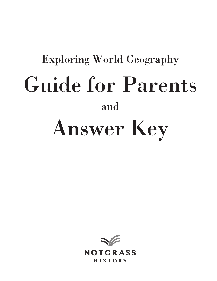# Exploring World Geography Guide for Parents and Answer Key

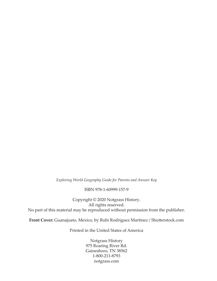*Exploring World Geography Guide for Parents and Answer Key*

#### ISBN 978-1-60999-157-9

Copyright © 2020 Notgrass History. All rights reserved. No part of this material may be reproduced without permission from the publisher.

**Front Cover:** Guanajuato, Mexico, by Rubi Rodriguez Martinez / Shutterstock.com

Printed in the United States of America

Notgrass History 975 Roaring River Rd. Gainesboro, TN 38562 1-800-211-8793 notgrass.com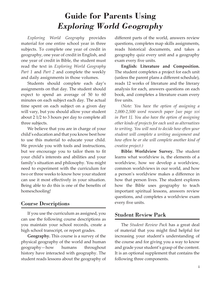# **Guide for Parents Using**  *Exploring World Geography*

*Exploring World Geography* provides material for one entire school year in three subjects. To complete one year of credit in geography, one year of credit in English, and one year of credit in Bible, the student must read the text in *Exploring World Geography Part 1* and *Part 2* and complete the weekly and daily assignments in those volumes.

Students should complete each day's assignments on that day. The student should expect to spend an average of 50 to 60 minutes on each subject each day. The actual time spent on each subject on a given day will vary, but you should allow your student about 2 1/2 to 3 hours per day to complete all three subjects.

We believe that you are in charge of your child's education and that you know best how to use this material to educate your child. We provide you with tools and instructions, but we encourage you to tailor them to fit your child's interests and abilities and your family's situation and philosophy. You might need to experiment with the curriculum for two or three weeks to know how your student can use it most effectively in your situation. Being able to do this is one of the benefits of homeschooling!

# Course Descriptions

If you use the curriculum as assigned, you can use the following course descriptions as you maintain your school records, create a high school transcript, or report grades.

**Geography.** This course is a survey of the physical geography of the world and human geography—how humans throughout history have interacted with geography. The student reads lessons about the geography of different parts of the world, answers review questions, completes map skills assignments, reads historical documents, and takes a geography quiz every unit and a geography exam every five units.

**English: Literature and Composition.**  The student completes a project for each unit (unless the parent plans a different schedule), reads 12 works of literature and the literary analysis for each, answers questions on each book, and completes a literature exam every five units.

*(Note: You have the option of assigning a 2,000-2,500 word research paper [see page xvi in Part 1]. You also have the option of assigning other kinds of projects for each unit as alternatives to writing. You will need to decide how often your student will complete a writing assignment and how often he or she will complete another kind of creative project.)*

**Bible: Worldview Survey.** The student learns what worldview is, the elements of a worldview, how we develop a worldview, common worldviews in our world, and how a person's worldview makes a difference in how that person lives. The student explores how the Bible uses geography to teach important spiritual lessons, answers review questions, and completes a worldview exam every five units.

# Student Review Pack

The *Student Review Pack* has a great deal of material that you might find helpful for increasing your student's understanding of the course and for giving you a way to know and grade your student's grasp of the content. It is an optional supplement that contains the following three components.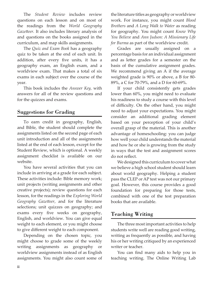The *Student Review* includes review questions on each lesson and on most of the readings from the *World Geography Gazetteer.* It also includes literary analysis of and questions on the books assigned in the curriculum, and map skills assignments.

The *Quiz and Exam Book* has a geography quiz to be taken at the end of each unit. In addition, after every five units, it has a geography exam, an English exam, and a worldview exam. That makes a total of six exams in each subject over the course of the year.

This book includes the *Answer Key,* with answers for all of the review questions and for the quizzes and exams.

# Suggestions for Grading

To earn credit in geography, English, and Bible, the student should complete the assignments listed on the second page of each unit introduction and all of the assignments listed at the end of each lesson, except for the Student Review, which is optional. A weekly assignment checklist is available on our website.

You have several activities that you can include in arriving at a grade for each subject. These activities include: Bible memory work; unit projects (writing assignments and other creative projects); review questions for each lesson, for the readings in the *Exploring World Geography Gazetteer*, and for the literature selections; unit quizzes on geography; and exams every five weeks on geography, English, and worldview. You can give equal weight to each element, or you might choose to give different weight to each component.

Depending on the chosen topic, you might choose to grade some of the weekly writing assignments as geography or worldview assignments instead of as English assignments. You might also count some of

the literature titles as geography or worldview work. For instance, you might count *Blood Brothers* and *A Long Walk to Water* as reading for geography. You might count *Know Why You Believe* and *Ann Judson: A Missionary Life for Burma* as part of the worldview credit.

Grades are usually assigned on a percentage basis for an individual assignment and as letter grades for a semester on the basis of the cumulative assignment grades. We recommend giving an A if the average weighted grade is 90% or above, a B for 80- 89%, a C for 70-79%, and a D for 60-69%.

If your child consistently gets grades lower than 60%, you might need to evaluate his readiness to study a course with this level of difficulty. On the other hand, you might need to adjust your expectations. You might consider an additional grading element based on your perception of your child's overall grasp of the material. This is another advantage of homeschooling: you can judge how well your child understands the material and how he or she is growing from the study in ways that the test and assignment scores do not reflect.

We designed this curriculum to cover what we believe a high school student should learn about world geography. Helping a student pass the CLEP or AP test was not our primary goal. However, this course provides a good foundation for preparing for those tests, combined with one of the test preparation books that are available.

# Teaching Writing

The three most important activities to help students write well are reading good writing, writing as frequently as possible, and having his or her writing critiqued by an experienced writer or teacher.

You can find many aids to help you in teaching writing. The Online Writing Lab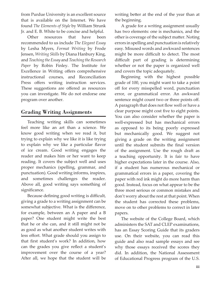from Purdue University is an excellent source that is available on the Internet. We have found *The Elements of Style* by William Strunk Jr. and E. B. White to be concise and helpful.

Other resources that have been recommended to us include *The Elegant Essay*  by Lesha Myers, *Format Writing* by Frode Jensen, *Writing Skills* by Diana Hanbury King, and *Teaching the Essay* and *Teaching the Research Paper* by Robin Finley. The Institute for Excellence in Writing offers comprehensive instructional courses, and Reconciliation Press offers writing instruction services. These suggestions are offered as resources you can investigate. We do not endorse one program over another.

# Grading Writing Assignments

Teaching writing skills can sometimes feel more like an art than a science. We know good writing when we read it, but trying to explain why we like it is like trying to explain why we like a particular flavor of ice cream. Good writing engages the reader and makes him or her want to keep reading. It covers the subject well and uses proper mechanics (spelling, grammar, and punctuation). Good writing informs, inspires, and sometimes challenges the reader. Above all, good writing says something of significance.

Because defining good writing is difficult, giving a grade to a writing assignment can be somewhat subjective. What is the difference, for example, between an A paper and a B paper? One student might write the best that he or she can, and it still might not be as good as what another student writes with less effort. What grade should you assign to that first student's work? In addition, how can the grades you give reflect a student's improvement over the course of a year? After all, we hope that the student will be writing better at the end of the year than at the beginning.

A grade for a writing assignment usually has two elements: one is mechanics, and the other is coverage of the subject matter. Noting errors in spelling and punctuation is relatively easy. Misused words and awkward sentences might be more difficult to detect. The most difficult part of grading is determining whether or not the paper is organized well and covers the topic adequately.

Beginning with the highest possible grade of 100, you might want to take a point off for every misspelled word, punctuation error, or grammatical error. An awkward sentence might count two or three points off. A paragraph that does not flow well or have a clear purpose might cost five to eight points. You can also consider whether the paper is well-expressed but has mechanical errors as opposed to its being poorly expressed but mechanically good. We suggest not giving a grade on the writing assignment until the student submits the final version of the assignment. Use the rough draft as a teaching opportunity. It is fair to have higher expectations later in the course. Also, if a student has numerous mechanical or grammatical errors in a paper, covering the paper with red ink might do more harm than good. Instead, focus on what appear to be the three most serious or common mistakes and don't worry about the rest at that point. When the student has corrected these problems, move on to other problems to correct in later papers.

The website of the College Board, which administers the SAT and CLEP examinations, has an Essay Scoring Guide that its graders use. On their website, you can read this guide and also read sample essays and see why those essays received the scores they did. In addition, the National Assessment of Educational Progress program of the U.S.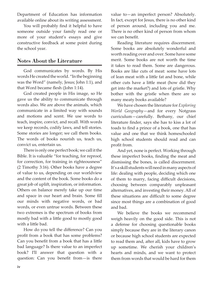Department of Education has information available online about its writing assessment.

You will probably find it helpful to have someone outside your family read one or more of your student's essays and give constructive feedback at some point during the school year.

# Notes About the Literature

God communicates by words. By His words He created the world. "In the beginning was the Word" (namely, Jesus; John 1:1), and that Word became flesh (John 1:14).

God created people in His image, so He gave us the ability to communicate through words also. We are above the animals, which communicate in a limited way with sounds and motions and scent. We use words to teach, inspire, convict, and recall. With words we keep records, codify laws, and tell stories. Some stories are longer; we call them books. The words of books nourish us, teach us, convict us, entertain us.

There is only one perfect book; we call it the Bible. It is valuable "for teaching, for reproof, for correction, for training in righteousness" (2 Timothy 3:16). Other books have a degree of value to us, depending on our worldview and the content of the book. Some books do a great job of uplift, inspiration, or information. Others on balance merely take up our time and space in our heart and brain. Some fill our minds with negative words, or bad words, or even untrue words. Between these two extremes is the spectrum of books from mostly bad with a little good to mostly good with a little bad.

How do you tell the difference? Can you profit from a book that has some problems? Can you benefit from a book that has a little bad language? Is there value to an imperfect book? I'll answer that question with a question: Can you benefit from—is there

value to—an imperfect person? Absolutely. In fact, except for Jesus, there is no other kind of person around, including you and me. There is no other kind of person from whom we can benefit.

Reading literature requires discernment. Some books are absolutely wonderful and worth reading over and over. Some have some merit. Some books are not worth the time it takes to read them. Some are dangerous. Books are like cuts of meat: some have lots of lean meat with a little fat and bone, while other cuts have a little meat (how did they get into the market?) and lots of gristle. Why bother with the gristle when there are so many meaty books available?

We have chosen the literature for *Exploring World Geography*—and for every Notgrass curriculum—carefully. Bethany, our chief literature finder, says she has to kiss a lot of toads to find a prince of a book, one that has value and one that we think homeschooled high school students should read and can profit from.

And yet, none is perfect. Working through these imperfect books, finding the meat and dismissing the bones, is called discernment. It's a skill students will need in many aspects of life: dealing with people, deciding which one of them to marry, facing difficult decisions, choosing between comparably unpleasant alternatives, and investing their money. All of these situations are difficult to some degree since most things are a combination of good and bad.

We believe the books we recommend weigh heavily on the good side. This is not a defense for choosing questionable books simply because they are in the literary canon or because high school students are expected to read them and, after all, kids have to grow up sometime. We cherish your children's hearts and minds, and we want to protect them from words that would be hard for them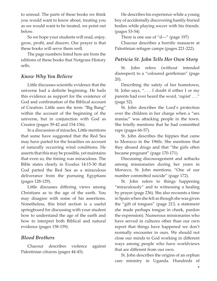to unread. The parts of these books we think you would want to know about, treating you as we would want to be treated, we point out below.

So we hope your students will read, enjoy, grow, profit, and discern. Our prayer is that these books will serve them well.

The page numbers listed here are from the editions of these books that Notgrass History sells.

# *Know Why You Believe*

Little discusses scientific evidence that the universe had a definite beginning. He hails this evidence as support for the existence of God and confirmation of the Biblical account of Creation. Little uses the term "Big Bang" within the account of the beginning of the universe, but in conjunction with God as Creator (pages 39-42 and 154-156).

In a discussion of miracles, Little mentions that some have suggested that the Red Sea may have parted for the Israelites on account of naturally occurring wind conditions. He asserts that this may be possible, yet maintains that even so, the timing was miraculous. The Bible states clearly in Exodus 14:15-30 that God parted the Red Sea as a miraculous deliverance from the pursuing Egyptians (pages 128-129).

Little discusses differing views among Christians as to the age of the earth. You may disagree with some of his assertions. Nonetheless, this brief section is a useful springboard for discussing with your student how to understand the age of the earth and how to interpret both Biblical and natural evidence (pages 158-159).

# *Blood Brothers*

Chacour describes violence against Palestinian citizens (pages 44-45).

He describes his experience while a young boy of accidentally discovering hastily-buried bodies while playing soccer with his friends. (pages 53-54)

There is one use of "d---" (page 197)

Chacour describes a horrific massacre at Palestinian refugee camps (pages 221-222).

# *Patricia St. John Tells Her Own Story*

St. John refers (without intended disrespect) to a "coloured gentleman" (page 20).

Describing the safety of her hometown, St. John says, ". . . I doubt if either I or my parents had ever heard the word, 'rapist' . . ." (page 52).

St. John describes the Lord's protection over the children in her charge when a "sex maniac" was attacking people in the town. She briefly mentions that he had committed rape (pages 66-57).

St. John describes the hippies that came to Morocco in the 1960s. She mentions that they abused drugs and that "the girls often became pregnant" (page 170-171).

Discussing discouragement and setbacks among missionaries during her years in Morocco, St. John mentions, "One of our number committed suicide" (page 172).

St. John refers to things happening "miraculously" and to witnessing a healing by prayer (page 236). She also recounts a time in Spain when she felt as though she was given the "gift of tongues" (page 213, a statement she made perhaps tongue in cheek, pardon the expression). Numerous missionaries who have served in cultures other than our own report that things have happened we don't normally encounter in ours. We should not close our minds to God working in different ways among people who have worldviews that are different from our own.

St. John describes the origins of an orphan care ministry in Uganda. Hundreds of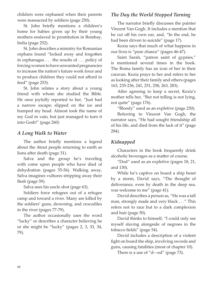children were orphaned when their parents were massacred by soldiers (page 250).

St. John briefly mentions a children's home for babies given up by their young mothers enslaved in prostitution in Bombay, India (page 252).

St. John describes a ministry for Romanian orphans found "locked away and forgotten in orphanages . . . the results of . . . policy of forcing women to have unwanted pregnancies to increase the nation's future work force and to produce children they could not afford to feed" (page 253).

St. John relates a story about a young friend with whom she studied the Bible. He once joyfully reported to her, "Just had a narrow escape; slipped on the ice and bumped my head. Almost took the name of my God in vain, but just managed to turn it into Gosh!" (page 260)

# *A Long Walk to Water*

The author briefly mentions a legend about the Atout people returning to earth as lions after death (page 31).

Salva and the group he's traveling with come upon people who have died of dehydration (pages 55-56). Walking away, Salva imagines vultures stripping away their flesh (page 59).

Salva sees his uncle shot (page 63).

Soldiers force refugees out of a refugee camp and toward a river. Many are killed by the soldiers' guns, drowning, and crocodiles in the river (pages 77-79).

The author occasionally uses the word "lucky" or describes a character believing he or she might be "lucky" (pages 2, 3, 33, 34, 79).

# *The Day the World Stopped Turning*

The narrator briefly discusses the painter Vincent Van Gogh. It includes a mention that he cut off his own ear, and, "In the end, he had been driven to suicide" (page 17).

Kezia says that much of what happens in our lives is "pure chance" (pages 46-47).

Saint Sarah, "patron saint of gypsies," is mentioned several times in the book. The Roma family has an icon of her in their caravan. Kezia prays to her and refers to her as looking after their family and others (pages 163, 235-236, 241, 251, 258, 263, 283).

After agreeing to keep a secret, Kezia's mother tells her, "But not telling is not lying, not quite" (page 176).

"Bloody" used as an expletive (page 230).

Referring to Vincent Van Gogh, the narrator says, "He had sought friendship all of his life, and died from the lack of it" (page 284).

# *Kidnapped*

Characters in the book frequently drink alcoholic beverages as a matter of course.

"Dod" used as an expletive (pages 18, 21, and 130).

While he's captive on board a ship beset by a storm, David says, "The thought of deliverance, even by death in the deep sea, was welcome to me" (page 41).

David describes a person as, "He was a tall man, strongly made and very black . . ." This refers not to race but to a dark complexion and hair (page 50).

David thinks to himself, "I could only see myself slaving alongside of negroes in the tobacco fields" (page 54).

David includes a description of a violent fight on board the ship, involving swords and guns, causing fatalities (most of chapter 10).

There is a use of "d---ed" (page 73).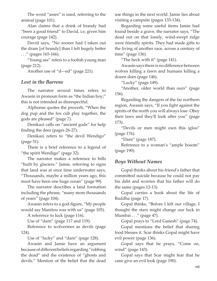The word "asses" is used, referring to the animal (page 101).

Alan claims that a drink of brandy had "been a good friend" to David, i.e, given him courage (page 142).

David says, "No sooner had I taken out the dram [of brandy] than I felt hugely better . . ." (pages 165-166).

"Young ass" refers to a foolish young man (page 212).

Another use of "d---ed" (page 221).

# *Lost in the Barrens*

The narrator several times refers to Awasin in pronoun form as "the Indian boy;" this is not intended as disrespectful.

Alphonse quotes the proverb, "When the dog pup and the fox cub play together, the gods are pleased" (page 7).

Denikazi calls on "ancient gods" for help finding the deer (pages 26-27).

Denikazi refers to "the devil Wendigo" (page 31).

There is a brief reference to a legend of "the spirit Wendigo" (page 32).

The narrator makes a reference to hills "built by glaciers." Jamie, referring to signs that land was at once time underwater says, "Thousands, maybe a million years ago, this must have been one huge ocean" (page 99).

The narrator describes a land formation including the phrase, "many more thousands of years" (page 104).

Awasin refers to a god-figure, "My people would say Manitou was with us" (page 105).

A reference to luck (page 116).

Use of "darn" (page 117 and 119).

Reference to wolverines as devils (page 124).

Use of "lucky" and "darn" (page 128).

Awasin and Jamie have an argument because of different beliefs regarding "robbing the dead" and the existence of "ghosts and devils." Mention of the belief that the dead use things in the next world. Jamie lies about visiting a campsite (pages 133-134).

Regarding some useful items Jamie had found beside a grave, the narrator says, "The dead out on that lonely, wind-swept ridge were friendly spirits. They had made gifts to the living of another race, across a century of time" (page 136).

"The heck with it" (page 141).

Awasin says there is no difference between wolves killing a fawn and humans killing a dozen does (page 146).

"Lucky" (page 149).

"Another, older world than ours" (page 156).

Regarding the dangers of the far northern region, Awasin says, "If you fight against the spirits of the north you will always lose. Obey their laws and they'll look after you" (page 173).

"Devils or men might own this igloo" (page 176).

"Darn" (page 187).

Reference to a woman's "ample bosom" (page 190).

# *Boys Without Names*

Gopal thinks about his friend's father that committed suicide because he could not pay his debt and worries that his father will do the same (pages 12-13).

Gopal carries a book about the life of Buddha (page 17).

Gopal thinks, "Before I left our village, I thought the stars might change our luck in Mumbai . . ." (page 47).

Gopal prays to "Lord Ganesh" (page 74).

Gopal mentions the belief that sharing food blesses it. Scar thinks Gopal might have evil power (page 136).

Gopal says that he prays, "Come on, wind" (page 143).

Gopal says that Scar might fear that he cane give an evil look (page 190).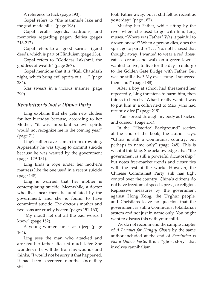A reference to luck (page 193).

Gopal refers to "the manmade lake and the god-made hills" (page 198).

Gopal recalls legends, traditions, and memories regarding pagan deities (pages 216-217).

Gopal refers to a "good karma" (good deed), which is part of Hinduism (page 236).

Gopal refers to "Goddess Lakshmi, the goddess of wealth" (page 267).

Gopal mentions that it is "Kali Chaudash night, which bring evil spirits out . . ." (page 284).

Scar swears in a vicious manner (page 290).

# *Revolution is Not a Dinner Party*

Ling explains that she gets new clothes for her birthday because, according to her Mother, "it was important so evil spirits would not recognize me in the coming year" (page 71).

Ling's father saves a man from drowning. Apparently he was trying to commit suicide because he was wanted by the government (pages 129-131).

Ling finds a rope under her mother's mattress like the one used in a recent suicide (page 148).

Ling is worried that her mother is contemplating suicide. Meanwhile, a doctor who lives near them is humiliated by the government, and she is found to have committed suicide. The doctor's mother and two sons are cruelly beaten (pages 151-160).

"My mouth let out all the bad words I knew" (page 152).

A young worker curses at a jeep (page 164).

**viii** Ling sees the man who attacked and arrested her father attacked much later. She wonders if he will die from his wounds and thinks, "I would not be sorry if that happened. It had been seventeen months since they took Father away, but it still felt as recent as yesterday" (page 187).

Missing her Father, while sitting by the river where she used to go with him, Ling muses, "Where was Father? Was it painful to drown oneself? When a person dies, does the spirit go to paradise? . . . No, no! I chased that thought away. I wanted to wear a red dress, eat ice cream, and walk on a green lawn. I wanted to live, to live for the day I could go to the Golden Gate Bridge with Father. But was he still alive? My eyes stung. I squeezed them shut" (page 188).

After a boy at school had threatened her repeatedly, Ling threatens to harm him, then thinks to herself, "What I really wanted was to put him in a coffin next to Mao [who had recently died]" (page 219).

"Pain spread through my body as I kicked and cursed" (page 231).

In the "Historical Background" section at the end of the book, the author says, "China is still a Communist country, but perhaps in name only" (page 248). This is wishful thinking. She acknowledges that "the government is still a powerful dictatorship," but notes free-market trends and closer ties with the rest of the world. However, the Chinese Communist Party still has tight control over the country. China's citizens do not have freedom of speech, press, or religion. Repressive measures by the government against Hong Kong, the Uyghur people, and Christians leave no question that the government is still a Communist totalitarian system and not just in name only. You might want to discuss this with your child.

We do not recommend the sample chapter of *A Banquet for Hungry Ghosts* by the same author included at the end of *Revolution is Not a Dinner Party*. It is a "ghost story" that involves cannibalism.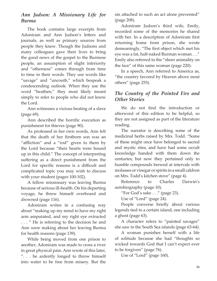# *Ann Judson: A Missionary Life for Burma*

The book contains large excerpts from Adoniram and Ann Judson's letters and journals, as well as primary sources from people they knew. Though the Judsons and many colleagues gave their lives to bring the good news of the gospel to the Burmese people, an assumption of slight inferiority and "otherness" comes through from time to time in their words. They use words like "savage" and "uncouth," which bespeak a condescending outlook. When they use the word "heathen," they most likely meant simply to refer to people who did not know the Lord.

Ann witnesses a vicious beating of a slave (page 69).

Ann described the horrific execution as punishment for thieves (page 90).

As professed in her own words, Ann felt that the death of her firstborn son was an "affliction" and a "rod" given to them by the Lord because "their hearts were bound up in this child." The concept of interpreting suffering as a direct punishment from the Lord for specific reasons is a difficult and complicated topic you may wish to discuss with your student (pages 100-102).

A fellow missionary was leaving Burma because of serious ill-health. On his departing voyage, he threw himself overboard and drowned (page 116).

Adoniram writes in a confusing way about "making up my mind to have my right arm amputated, and my right eye extracted . . . " He is referring to the decision he and Ann were making about her leaving Burma for health reasons (page 139).

While being moved from one prison to another, Adoniram was made to cross a river in great physical pain. Ann wrote of this later, ". . . he ardently longed to throw himself into water to be free from misery. But the sin attached to such an act alone prevented" (page 208).

Adoniram Judson's third wife, Emily, recorded some of the memories he shared with her. In a description of Adoniram first returning home from prison, she wrote demeaningly, "The first object which met his eye was a fat, half-naked Burman woman . . ." Emily also referred to the "sheer animality on the face" of this same woman (page 220).

In a speech, Ann referred to America as, "the country favored by Heaven above most others" (page 255).

# *The Country of the Pointed Firs and Other Stories*

We do not find the introduction or afterword of this edition to be helpful, so they are not assigned as part of the literature reading.

The narrator is describing some of the medicinal herbs raised by Mrs. Todd. "Some of these might once have belonged to sacred and mystic rites, and have had some occult knowledge handed with them down the centuries; but now they pertained only to humble compounds brewed at intervals with molasses or vinegar or spirits in a small caldron on Mrs. Todd's kitchen stove" (page 4).

Reference to Charles Darwin's autobiography (page 10).

"For God's sake . . ." (page 23).

Use of "Lord" (page 24).

People converse briefly about various legends tied to a certain island, one including a ghost (page 63).

A character refers to "painted savages" she saw in the South Sea islands (page 63-64).

A woman punishes herself with a life of solitude because she had "thoughts so wicked towards God that I can't expect ever to be forgiven" (page 76).

Use of "Lord" (page 160).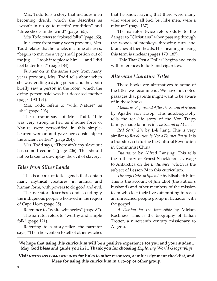Mrs. Todd tells a story that includes men becoming drunk, which she describes as "wasn't in no go-to-meetin' condition" and "three sheets in the wind" (page 165).

Mrs. Todd refers to "colored folks" (page 165).

In a story from many years previous, Mrs. Todd relates that her uncle, in a time of stress, "begun to mix me a very small portion out of the jug . . . I took it to please him . . . and I did feel better for it" (page 184).

Further on in the same story from many years previous, Mrs. Todd tells about when she was tending a dying person and they both briefly saw a person in the room, which the dying person said was her deceased mother (pages 190-191).

Mrs. Todd refers to "wild Nature" as "she" (page 203).

The narrator says of Mrs. Todd, "Life was very strong in her, as if some force of Nature were personified in this simplehearted woman and gave her cousinship to the ancient deities" (page 204).

Mrs. Todd says, "There ain't any slave but has some freedom" (page 206). This should not be taken to downplay the evil of slavery.

# *Tales from Silver Lands*

This is a book of folk legends that contain many mythical creatures, in animal and human form, with powers to do good and evil.

The narrator describes condescendingly the indigenous people who lived in the region of Cape Horn (page 35).

Reference to "white witcheries" (page 87).

The narrator refers to "worthy and simple folk" (page 121).

Referring to a story-teller, the narrator says, "Then he went on to tell of other witches

that he knew, saying that there were many who were not all bad, but like men, were a mixture" (page 137).

The narrator twice refers oddly to the danger to "Christians" when passing through the woods of monkeys throwing nuts and branches at their heads. His meaning in using this term is unclear (pages 170, 187).

"Tale That Cost a Dollar" begins and ends with references to luck and cigarettes.

# *Alternate Literature Titles*

These books are alternatives to some of the titles we recommend. We have not noted passages that parents might want to be aware of in these books.

*Memories Before and After the Sound of Music* by Agathe von Trapp. This autobiography tells the real-life story of the Von Trapp family, made famous in *The Sound of Music*.

*Red Scarf Girl* by Ji-li Jiang. This is very similar to *Revolution Is Not a Dinner Party*. It is a true story set during the Cultural Revolution in Communist China.

*Endurance* by Alfred Lansing. This tells the full story of Ernest Shackleton's voyage to Antarctica on the *Endurance*, which is the subject of Lesson 74 in this curriculum.

*Through Gates of Splendor* by Elisabeth Eliot. This is the account of Jim Eliot (the author's husband) and other members of the mission team who lost their lives attempting to reach an unreached people group in Ecuador with the gospel.

*A Passion for the Impossible* by Miriam Rockness. This is the biography of Lillian Trotter, a nineteenth century missionary to Algeria.

**We hope that using this curriculum will be a positive experience for you and your student. May God bless and guide you in it. Thank you for choosing** *Exploring World Geography!*

**Visit notgrass.com/ewglinks for links to other resources, a unit assignment checklist, and ideas for using this curriculum in a co-op or other group.**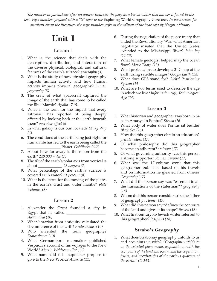*The number in parentheses after an answer indicates the page number on which that answer is found in the text. Page numbers prefixed with a "G" refer to the* Exploring World Geography Gazetteer*. In the answers for questions about the literature, the page numbers refer to the edition of the book sold by Notgrass History.*

# **Unit 1**

#### **Lesson 1**

- 1. What is the science that deals with the description, distribution, and interaction of the diverse physical, biological, and cultural features of the earth's surface? *geography (3)*
- 2. What is the study of how physical geography impacts human activity and how human activity impacts physical geography? *human geography (3)*
- 3. The crew of what spacecraft captured the image of the earth that has come to be called the Blue Marble? *Apollo 17 (5)*
- 4. What is the term for the impact that every astronaut has reported of being deeply affected by looking back at the earth beneath them? *overview effect (6)*
- 5. In what galaxy is our Sun located? *Milky Way (6)*
- 6. The conditions of the earth being just right for human life has led to the earth being called the \_\_\_\_\_\_\_\_\_\_\_\_\_\_\_\_\_ Planet. *Goldilocks (6-7)*
- 7. About how far away is the moon from the earth? *240,000 miles (7)*
- 8. The tilt of the earth's polar axis from vertical is about \_\_\_\_\_\_\_\_\_\_\_\_. *23 degrees (7)*
- 9. What percentage of the earth's surface is covered with water? *71 percent (8)*
- 10. What is the term for the moving of the plates in the earth's crust and outer mantle? *plate tectonics (8)*

# **Lesson 2**

- 1. Alexander the Great founded a city in Egypt that he called \_\_\_\_\_\_\_\_\_\_\_\_\_\_\_\_\_\_\_\_. *Alexandria (10)*
- 2. What librarian from antiquity calculated the circumference of the earth? *Eratosthenes (10)*
- 3. Who invented the term geography? *Eratosthenes (10)*
- 4. What German-born mapmaker published Vespucci's account of his voyages to the New World? *Martin Waldseemuller (11)*
- 5. What name did this mapmaker propose to give to the New World? *America (11)*
- 6. During the negotiation of the peace treaty that ended the Revolutionary War, what American negotiator insisted that the United States extended to the Mississippi River? *John Jay (12-13)*
- 7. What female geologist helped map the ocean floor? *Marie Tharp (13)*
- 8. What project aims to develop a 3-D map of the earth using satellite images? *Google Earth (14)*
- 9. What does GPS stand for? *Global Positioning System (14)*
- 10. What are two terms used to describe the age in which we live? *Information Age, Technological Age (14)*

# **Lesson 3**

- 1. What historian and geographer was born in 64 bc in Amasya in Pontus? *Strabo (16)*
- 2. What body of water does Pontus sit beside? *Black Sea (16)*
- 3. How did this geographer obtain an education? *private tutors (17)*
- 4. Of what philosophy did this geographer become an adherent? *stoicism (17)*
- 5. Of what governing authority was this person a strong supporter? *Roman Empire (17)*
- 6. What was the 17-volume work that this geographer published based on his travels and on information he gleaned from others? *Geography (17)*
- 7. What did this person say was "essential to all the transactions of the statesman"? *geography (18)*
- 8. Whom did this person consider to be the father of geography? *Homer (19)*
- 9. What did this person say "defines the contours of the land and gives it its shape? *the sea (18)*
- 10. What first century AD Jewish writer referred to this geographer? *Josephus (18)*

# **Strabo's** *Geography*

1. What does Strabo say geography unfolds to us and acquaints us with? *"Geography unfolds to us the celestial phenomena, acquaints us with the occupants of the land and ocean, and the vegetation, fruits, and peculiarities of the various quarters of the earth." (G 243)*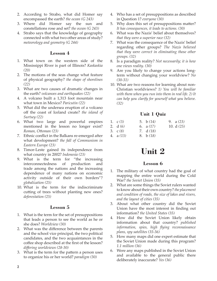- 2. According to Strabo, what did Homer say encompassed the earth? *the ocean (G 243)*
- 3. Where did Homer say the sun and constellations rose and set? *the ocean (G 243)*
- 4. Strabo says that the knowledge of geography connected with what two other areas of study? *meteorology and geometry (G 244)*

- 1. What town on the western side of the Mississippi River is part of Illinois? *Kaskaskia (20)*
- 2. The motions of the seas change what feature of physical geography? *the shape of shorelines (22)*
- 3. What are two causes of dramatic changes in the earth? *volcanoes and earthquakes (22)*
- 4. A volcano built a 1,313 foot mountain near what town in Mexico? *Paricutin (22)*
- 5. What did the undersea eruption of a volcano off the coast of Iceland create? *the island of Surtsey (22)*
- 6. What two large and powerful empires mentioned in the lesson no longer exist? *Roman, Ottoman (23)*
- 7. Ethnic conflict in the Balkans re-emerged after what development? *the fall of Communism in Eastern Europe (23)*
- 8. Timor-Leste gained its independence from what country in 2002? *Indonesia (23)*
- 9. What is the term for "the increasing interconnectedness of production and trade among the nations and the increasing dependence of many nations on economic activity outside of their own borders"? *globalization (25)*
- 10. What is the term for the indiscriminate cutting of trees without planting new ones? *deforestation (25)*

# **Lesson 5**

- 1. What is the term for the set of presuppositions that leads a person to see the world as he or she does? *Worldview (30)*
- 2. What was the difference between the parents and the school vice principal, the two political candidates, and the two acquaintances in the coffee shop described at the first of the lesson? *differing worldviews (28-30)*
- 3. What is the term for the pattern a person uses to organize his or her world? *paradigm (30)*
- 4. Who has a set of presuppositions as described in Question 1? *everyone (30)*
- 5. Why does this set of presuppositions matter? *It has consequences, it leads to actions. (30)*
- 6. What was the Nazis' belief about themselves? *that they were a superior race (32)*
- 7. What was the consequence of the Nazis' belief regarding other groups? *The Nazis believed that they were correct in eliminating those other groups. (32)*
- 8. Is a paradigm reality? *Not necessarily; it is how one views reality. (30)*
- 9. Are you likely to change your actions longterm without changing your worldview? *No (30-31)*
- 10. What are two reasons for learning about non-Christian worldviews? *1) You will be familiar with them when you run into them in real life. 2) It can help you clarify for yourself what you believe. (32)*

# **Unit 1 Quiz**

| 1. $C(3)$  | 5. b $(14)$ | 9. $a(23)$  |
|------------|-------------|-------------|
| 2. $d(6)$  | 6. $a(17)$  | 10. $d(25)$ |
| 3. $C(8)$  | 7. $d(18)$  |             |
| 4. $a(13)$ | 8. b $(18)$ |             |

# **Unit 2**

- 1. The military of what country had the goal of mapping the entire world during the Cold War? *the Soviet Union (35)*
- 2. What are some things the Soviet rulers wanted to know about their own country? *the placement and condition of roads, the size of lakes and rivers, and the layout of cities (35)*
- 3. About what other country did the Soviet Union have the most interest in finding out information? *the United States (35)*
- 4. How did the Soviet Union likely obtain information about that country? *published information, spies, high flying reconnaissance plans, spy satellites (35-36)*
- 5. How many maps did one expert estimate that the Soviet Union made during this program? *1.1 million (36)*
- 6. Were any maps published in the Soviet Union and available to the general public there deliberately inaccurate? *Yes (36)*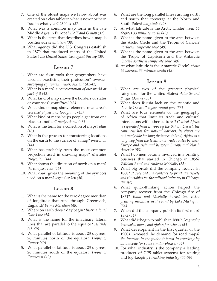- 7. One of the oldest maps we know about was created on a clay tablet in what is now northern Iraq in what year? *2300 bc (37)*
- 8. What was a common map form in the late Middle Ages in Europe? *the T and O map (37)*
- 9. What is the term that describes how a map is positioned? *orientation (38)*
- 10. What agency did the U.S. Congress establish in 1879 that produced maps of the United States? *the United States Geological Survey (39)*

- 1. What are four tools that geographers have used in practicing their profession? *compass, surveying equipment, ruler, sextant (41-42)*
- 2. What is a map? *a representation of our world or part of it (42)*
- 3. What kind of map shows the borders of states or countries? *geopolitical (43)*
- 4. What kind of map shows elements of an area's terrain? *physical or topograhic (43)*
- 5. What kind of maps helps people get from one place to another? *navigational (43)*
- 6. What is the term for a collection of maps? *atlas (43)*
- 7. What is the process for transferring locations on the earth to the surface of a map? *projection (44)*
- 8. What has probably been the most common projection used in drawing maps? *Mercator Projection (44)*
- 9. What shows the direction of north on a map? *the compass rose (46)*
- 10. What chart gives the meaning of the symbols used on a map? *legend or key (46)*

#### **Lesson 8**

- 1. What is the name for the zero degree meridian of longitude that runs through Greenwich, England? *Prime Meridian (48)*
- 2. Where on earth does a day begin? *International Date Line (48)*
- 3. What is the name for the imaginary lateral lines that are parallel to the equator? *latitude (48-49)*
- 4. What parallel of latitude is about 23 degrees, 26 minutes north of the equator? *Tropic of Cancer (49)*
- 5. What parallel of latitude is about 23 degrees, 26 minutes south of the equator? *Tropic of Capricorn (49)*
- 6. What are the long parallel lines running north and south that converge at the North and South Poles? *longitude (49)*
- 7. At what latitude is the Arctic Circle? *about 66 degrees 33 minutes north (49)*
- 8. What is the name given to the area between the Arctic Circle and the Tropic of Cancer? *northern temperate zone (49)*
- 9. What is the name given to the area between the Tropic of Capricorn and the Antarctic Circle? *southern temperate zone (49)*
- 10. At what latitude is the Antarctic Circle? *about 66 degrees, 33 minutes south (49)*

- 1. What are two of the greatest physical safeguards for the United States? *Atlantic and Pacific Oceans (53)*
- 2. What does Russia lack on the Atlantic and Pacific Oceans? *a year-round port (53)*
- 3. What are four elements of the geography of Africa that limit its trade and cultural interactions with other cultures? *Central Africa is separated from Europe by the Sahara Desert, the continent has few natural harbors, its rivers are not navigable for long distances inland, Africa is a long way from the traditional trade routes between Europe and Asia and between Europe and North America (53)*
- 4. What two men became involved in a printing business that started in Chicago in 1856? *William Rand and Andrew McNally (53)*
- 5. What big break did the company receive in 1868? *It received the contract to print the tickets and timetables for the railroad industry in Chicago. (53-54)*
- 6. What quick-thinking action helped the company recover from the Chicago fire of 1871? *Rand and McNally buried two ticket printing machines in the sand by Lake Michigan. (54)*
- 7. When did the company publish its first map? *1872 (54)*
- 8. What did it begin to publish in 1880? *Geography textbooks, maps, and globes for schools (54)*
- 9. What development in the first quarter of the 1900s increased the demand for road maps? *the increase in the public interest in traveling by automobile (or some similar phrase) (54)*
- 10. For what industry is the company a leading producer of GPS tablet systems for routing and log-keeping? *trucking industry (55-56)*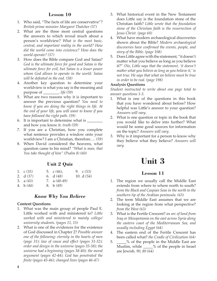- 1. Who said, "The facts of life are conservative"? *British prime minister Margaret Thatcher (57)*
- 2. What are the three most central questions the answers to which reveal much about a person's worldview? *What is the most basic, central, and important reality in the world? How did the world come into existence? How does the world operate? (57)*
- 3. How does the Bible compare God and Satan? *God is the ultimate force for good and Satan is the ultimate force for evil, but Satan is a lesser power whom God allows to operate in the world. Satan will be defeated in the end. (58)*
- 4. Another key question to determine your worldview is what you say is the meaning and purpose of \_\_\_\_\_\_\_\_. *life (59)*
- 5. What are two reasons why it is important to answer the previous question? *You need to know if you are doing the right things in life. At the end of your life, you will want to know if you have followed the right path. (59)*
- 6. It is important to determine what is \_\_\_\_\_\_\_\_ and how you know it. *truth (59)*
- 7. If you are a Christian, how you complete what sentence provides a window onto your worldview? I am a Christian, therefore…. *(59)*
- 8. When David considered the heavens, what question came to his mind? *"What is man, that You take thought of him" (Psalm 8) (60)*

# **Unit 2 Quiz**

| 1. $\mathcal{C}(35)$ | 5. $\mathcal{C}(46)$ , | 9. $c(53)$  |
|----------------------|------------------------|-------------|
| 2. $d(37)$           | 6. $d(48)$             | 10. $d(54)$ |
| 3. $a(43)$           | 7. a $(48-49)$         |             |
| 4. b $(44)$          | 8. b $(49)$            |             |

#### *Know Why You Believe*

#### **Content Questions**

- 1. What was the main group of people Paul E. Little worked with and ministered to? *Little worked with and ministered to mainly college/ university students. (pages 11, 15)*
- 2. What is one of the evidences for the existence of God discussed in Chapter 2? *Possible answer one of the following: eternity in the hearts of men (page 31); law of cause and effect (pages 31-32); order and design in the universe (pages 35-38); the universe had a beginning (pages 38-40); the moral argument (pages 42-44); God has penetrated the finite (pages 45-46); changed lives (pages 46-47)*
- 3. What historical event in the New Testament does Little say is the foundation stone of the Christian faith? *Little wrote that the foundation stone of the Christian faith is the resurrection of Jesus Christ. (page 60)*
- 4. What have modern archaeological discoveries shown about the Bible? *Modern archaeological discoveries have confirmed the events, people, and story of the Bible. (page 108)*
- 5. Does Little agree with the statement, "it doesn't matter what you believe as long as you believe it?" *(No, Little says that the statement, 'it doesn't matter what you believe as long as you believe it,' is not true. He says that what we believe must be true in order to be real. (page 198)*

#### **Analysis Questions**

*Student instructed to write about one page total to answer questions 1-3.*

- 1. What is one of the questions in this book that you have wondered about before? How helpful was Little's answer to your question? *Answers will vary.*
- 2. What is one question or topic in the book that you would like to delve into further? What would be some good sources for information on the topic? *Answers will vary.*
- 3. Why is it important for a person to know why they believe what they believe? *Answers will vary.*

# **Unit 3**

- 1. The region we usually call the Middle East extends from where to where north to south? *from the Black and Caspian Seas in the north to the southern tip of the Arabian peninsula. (63)*
- 2. The term Middle East assumes that we are looking at the region from what perspective? *from the West (63)*
- 3. What is the Fertile Crescent? *an arc of land from Iraq or Mesopotamia on the east across Syria along the eastern coast of the Mediterranean Sea, and usually including Egypt (64)*
- 4. The eastern end of the Fertile Crescent has been called what? *the Cradle of Civilization (64)*
- 5. \_\_\_\_\_% of the people in the Middle East are Muslim, while \_\_\_\_\_% of the people in Israel are Jewish. *90, 80 (64)*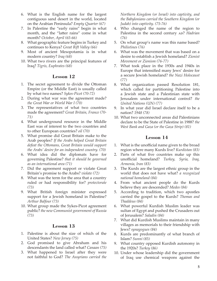- 6. What is the English name for the largest contiguous sand desert in the world, located on the Arabian Peninsula? *Empty Quarter (67)*
- 7. In Palestine the "early rains" begin in what month, and the "latter rains" come in what month? *October, April (65-66)*
- 8. What geographic feature begins in Turkey and continues to Kenya? *Great Rift Valley (66)*
- 9. Most of ancient Mesopotamia is in what modern country? *Iraq (68)*
- 10. What two rivers are the principal features of Iraq? *Tigris, Euphrates (68)*

- 1. The secret agreement to divide the Ottoman Empire (or the Middle East) is usually called by what two names? *Sykes-Picot (70-72)*
- 2. During what war was the agreement made? *the Great War or World War I (70)*
- 3. The representatives of what two countries made the agreement? *Great Britain, France (70- 71)*
- 4. What underground resource in the Middle East was of interest to the two countries and to other European countries? *oil (70)*
- 5. What promise did Great Britain make to the Arab peoples? *If the Arabs helped Great Britain defeat the Ottomans, Great Britain would support the Arabs' desire for an independent country. (70)*
- 6. What idea did the diplomats have for governing Palestine? *that it should be governed as an international area (71)*
- 7. Did the agreement support or violate Great Britain's promise to the Arabs? *violate (72)*
- 8. What was the term for the area that a country ruled or had responsibility for? *protectorate (73)*
- 9. What British foreign minister expressed support for a Jewish homeland in Palestine? *Arthur Balfour (73)*
- 10. What group made the Sykes-Picot agreement public? *the new Communist government of Russia (73)*

#### **Lesson 13**

- 1. Palestine is about the size of which of the United States? *New Jersey (75)*
- 2. God promised to give Abraham and his descendants the land called what? *Canaan (75)*
- 3. What happened to Israel after they were not faithful to God? *The Assyrians carried the*

*Northern Kingdom (or Israel) into captivity, and the Babylonians carried the Southern Kingdom (or Judah) into captivity. (75-76)*

- 4. Who changed the name of the region to Palestina in the second century AD? *Hadrian (76)*
- 5. On what group's name was this name based? *Philistines (76)*
- 6. What was the movement that was based on a desire to establish a Jewish homeland? *Zionist Movement or Zionism (76-77)*
- 7. What took place in the 1930s and 1940s in Europe that intensified many Jews' desire for a secure Jewish homeland? *the Nazi Holocaust (77)*
- 8. What organization passed Resolution 181, which called for partitioning Palestine into a Jewish state and a Palestinian state with Jerusalem under international control? *the United Nations (UN) (77)*
- 9. In what year did Israel declare itself to be a nation? *1948 (78)*
- 10. What two unconnected areas did Palestinians declare to be the State of Palestine in 1988? *the West Bank and Gaza (or the Gaza Strip) (81)*

- 1. What is the unofficial name given to the broad region where many Kurds live? *Kurdistan (83)*
- 2. Parts of what five countries make up this unofficial homeland? *Turkey, Syria, Iraq, Armenia, Iran (83)*
- 3. The Kurds are the largest ethnic group in the world that does not have what? *a recognized national homeland (84)*
- 4. From what ancient people do the Kurds believe they are descended? *Medes (84)*
- 5. According to tradition, which two apostles carried the gospel to the Kurds? *Thomas and Thaddeus (84)*
- 6. What powerful Kurdish Muslim leader was sultan of Egypt and pushed the Crusaders out of Jerusalem? *Saladin (84)*
- 7. What did Kurdish Muslims maintain in many villages as memorials to their friendship with Jews? *synagogues (84)*
- 8. Kurds are predominantly of what branch of Islam? *Sunni (85)*
- 9. What country opposed Kurdish autonomy in the 1920s? *Turkey (86)*
- 10. Under whose leadership did the government of Iraq use chemical weapons against the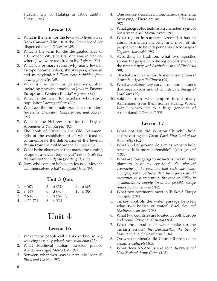Kurdish city of Halabja in 1988? *Saddam Hussein (86)*

## **Lesson 15**

- 1. What is the term for the Jews who lived away from Canaan? (Hint: It is the Greek word for dispersed ones). *Diaspora (89)*
- 2. What is the term for the designated area of a European city (the first one was in Venice) where Jews were required to live? *ghetto (89)*
- 3. What is a primary reason why many Jews in Europe became tailors, shopkeepers, artisans, and moneylenders? *They were forbidden from owning property. (89)*
- 4. What is the term for persecutions, often including physical attacks, on Jews in Eastern Europe and Western Russia? *pogroms (89)*
- 5. What is the term for scholars who study population? *demographers (90)*
- 6. What are the three main branches of modern Judaism? *Orthodox, Conservative, and Reform (91)*
- 7. What is the Hebrew term for the Day of Atonement? *Yom Kippur (92)*
- 8. The book of Esther in the Old Testament tells of the establishment of what feast to commemorate the deliverance of the Jews in Persia from the evil Mordecai? *Purim (93)*
- 9. What is the observance that marks the coming of age of a Jewish boy or girl? *bar mitzvah (for the boy) and bat mitzvah (for the girl) (93)*
- 10. Jews who come to believe in Jesus as Messiah call themselves what? *completed Jews (94)*

# **Unit 3 Quiz**

| 1. b $(67)$    | 5. b $(73)$ ,  | 9. $a(84)$  |  |
|----------------|----------------|-------------|--|
| 2. $a(68)$     | 6. $d(76)$     | 10. $c(86)$ |  |
| 3. $d(66)$     | 7. b $(76-77)$ |             |  |
| 4. c $(70-72)$ | 8. c(81)       |             |  |

# **Unit 4**

# **Lesson 16**

- 1. What many people call a Turkish knot in rug weaving is really what? *Armenian knot (97)*
- 2. What Medieval Italian traveler praised Armenian rugs? *Marco Polo (97)*
- 3. Between what two seas is Armenia located? *Black and Caspian (97)*
- 4. One source described mountainous Armenia by saying, "There are no \_\_\_\_\_\_\_\_\_." *lowlands (97)*
- 5. What geographic feature is a cherished symbol for Armenians? *Mount Ararat (97)*
- 6. What region in southern Azerbaijan has an ethnic Armenian majority and most of its people want to be independent of Azerbaijan? *Nagorno-Karabakh (98)*
- 7. According to tradition, what two apostles spread the gospel into the region of Armenia in the first century AD? Bartholomew and Thaddeus *(99)*
- 8. Of what church are most Armenians members? *Armenian Apostolic Church (99)*
- 9. What are elaborately carved memorial stones that bear a cross and other intricate designs? *khachkars (99)*
- 10. Soldiers from what empire forced many Armenians from their homes during World War I, which led to a huge genocide of Armenians? *Ottoman (100)*

- 1. What position did Winston Churchill hold at first during the Great War? *First Lord of the Admiralty (102)*
- 2. What kind of ground do armies want to hold because it is more defensible? *higher ground (102)*
- 3. What are four geographic factors that military planners have to consider? *the physical geography of the positions that each side holds, any geographic features that their forces would encounter in a movement, the ease or difficulty of maintaining supply lines, and possible escape routes for both armies (102)*
- 4. What two continents meet in Turkey? *Europe and Asia (103)*
- 5. Turkey controls the water passage between what two bodies of water? *Black Sea and Mediterranean Sea (103)*
- 6. What two countries are located in both Europe and Asia? *Turkey and Russia (104)*
- 7. What three bodies of water make up the Turkish Straits? *the Dardanelles, the Sea of Marmara, and the Bosphorus (104)*
- 8. On what peninsula did Churchill propose an assault? *Gallipoli (105)*
- 9. What does ANZAC stand for? *Australia and New Zealand Army Corps (105)*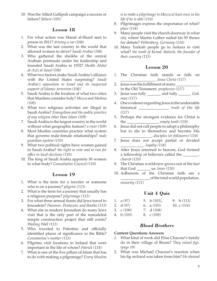10. Was the Allied Gallipoli campaign a success or failure? *failure (105)*

# **Lesson 18**

- 1. For what action was Manal al-Sharif sent to prison in 2011? *driving a car (108)*
- 2. What was the last country in the world that allowed women to drive? *Saudi Arabia (108)*
- 3. Who gathered the sheikhs of the central Arabian peninsula under his leadership and founded Saudi Arabia in 1932? *Sheikh Abdul al-Aziz al Saud (108)*
- 4. What two factors make Saudi Arabia's alliance with the United States surprising? *Saudi Arabia's opposition to Israel and its suspected support of Islamic terrorism (108)*
- 5. Saudi Arabia is the location of what two cities that Muslims consider holy? *Mecca and Medina (109)*
- 6. What two religious activities are illegal in Saudi Arabia? *Evangelism and the public practice of any religion other than Islam (109)*
- 7. Saudi Arabia is the largest country in the world without what geographic feature? *a river (109)*
- 8. Most Muslim countries practice what system that governs male-female relationships? *male guardian system (110)*
- 9. What two political rights have women gained in Saudi Arabia? *the right to vote and to run for office in local elections (110)*
- 10. The king of Saudi Arabia appoints 30 women to what body? *Consultative Council (110)*

# **Lesson 19**

- 1. What is the term for a traveler or someone who is on a journey? *pilgrim (113)*
- 2. What is the term for a journey that usually has a religious purpose? *pilgrimage (113)*
- 3. For what three annual feasts did Jews travel to Jerusalem? *Passover, Pentecost, and Booths (113)*
- 4. What site in modern Jerusalem do many Jews visit that is the only part of the remodeled temple construction project that still exists? *Wailing Wall (113)*
- 5. Who traveled to Palestine and officially identified places of significance in the Bible? *Constantine's mother (113)*
- 6. Pilgrims visit locations in Ireland that were important in the life of whom? *Patrick (114)*
- 7. What is one of the five pillars of Islam that has to do with making a pilgrimage? *Every Muslim*

*is to make a pilgrimage to Mecca at least once in his life if he is able (114)*

- 8. Pilgrimages express the importance of what? *place (114)*
- 9. Many people visit the church doorway in what city where Martin Luther nailed his 95 theses for debate? *Wittenberg, Germany (114)*
- 10. Many Turkish people go to Ankara to visit what? *the tomb of Kemal Ataturk, the founder of their country (115)*

# **Lesson 20**

- 1. The Christian faith stands or falls on \_\_\_\_\_\_\_\_\_\_\_\_\_\_\_\_\_\_. *Jesus Christ (117)*
- 2. Jesus was the fulfillment of many in the Old Testament. *prophecies (117)*
- 3. Jesus was fully \_\_\_\_\_\_\_ and fully \_\_\_\_\_\_. *God, man (117)*
- 4. One evidence regarding Jesus is the undeniable historical \_\_\_\_\_\_\_\_\_\_\_\_\_\_\_. *truth of His life (117)*
- 5. Perhaps the strongest evidence for Christ is the \_\_\_\_\_\_\_\_\_\_\_\_\_\_\_\_. *empty tomb (118)*
- 6. Jesus did not call people to adopt a philosophy but to die to themselves and become His \_\_\_\_\_\_\_\_\_\_\_\_\_\_\_\_. *disciples (or followers) (118)*
- 7. Jesus does not accept partial or divided \_\_\_\_\_\_\_\_\_\_\_\_. *loyalty (118)*
- 8. After Jesus returned to heaven, God formed a fellowship of believers called the \_\_\_\_\_\_\_\_. *church (120)*
- 9. The Christian worldview grows out of the fact that God \_\_\_\_\_\_\_ us. *loves (120)*
- 10. Adherents of the Christian faith are a \_\_\_\_\_\_\_\_\_\_\_\_\_\_\_ of the total world population. *minority (121)*

# **Unit 4 Quiz**

| 1. $a(97)$            | 5. b $(103)$ , | 9. b $(113)$ |
|-----------------------|----------------|--------------|
| 2. $d(97)$            | 6. a $(105)$   | 10. $c(114)$ |
| 3. $\mathcal{C}(100)$ | 7. d (108)     |              |
| 4. b $(103)$          | 8. $c(109)$    |              |

# *Blood Brothers*

#### **Content Questions Answers**

- 1. What kind of work did Elias Chacour's family do in their village of Biram? *They raised figs. (page 19)*
- 2. What was Michael Chacour's reaction when his fig orchard was taken from him? *He showed*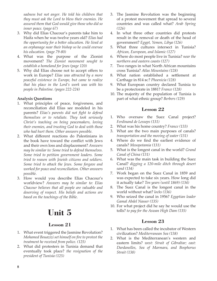*sadness but not anger. He told his children that they must ask the Lord to bless their enemies. He assured them that God would give those who did so inner peace. (page 67)*

- 3. Why did Elias Chacour's parents take him to Haifa when he was twelve years old? *Elias had the opportunity for a better education. He lived at an orphanage near their bishop so he could oversee his education. (page 79-80)*
- 4. What was the purpose of the Zionist movement? *The Zionist movement sought to establish a homeland for Jews (page 120)*
- 5. Why did Elias choose not to accept offers to work in Europe? *Elias was attracted by a more peaceful existence in Europe, but came to realize that his place in the Lord's work was with his people in Palestine. (pages 222-224)*

#### **Analysis Questions**

- 1. What principles of peace, forgiveness, and reconciliation did Elias see modeled in his parents? *Elias's parents did not fight to defend themselves or to retaliate. They took seriously Christ's teaching on being peacemakers, loving their enemies, and trusting God to deal with those who had hurt them. Other answers possible.*
- 2. What different reactions do Palestinians in the book have toward the conflict with Jews and their own loss and displacement? *Answers may be similar to: Some tried to defend themselves. Some tried to petition government leaders. Some tried to reason with Jewish citizens and soldiers. Some tried to attack the Jews. Some forgave and worked for peace and reconciliation. Other answers possible.*
- 3. How would you describe Elias Chacour's worldview? *Answers may be similar to: Elias Chacour believes that all people are valuable and deserving of respect. His beliefs and actions are based on the teachings of the Bible.*

# **Unit 5**

# **Lesson 21**

- 1. What event triggered the Jasmine Revolution? *Mohamed Bouazizi set himself on fire to protest the treatment he received from police. (125)*
- 2. What did protesters in Tunisia demand that eventually took place? *the resignation of the president of Tunisia (125)*
- 3. The Jasmine Revolution was the beginning of a protest movement that spread to several countries and was called what? *Arab Spring (126)*
- 4. In what three other countries did protests result in the removal or death of the head of government? *Egypt, Yemen, Libya (126)*
- 5. What three cultures intersect in Tunisia? *African, European, and Islamic (127)*
- 6. Where do most people live in Tunisia? *near the northern and eastern coasts (127)*
- 7. Two ranges in what North African mountains cross Tunisia? *Atlas Mountains (128)*
- 8. What nation established a settlement at Carthage in 814 bc? *Phoenicia (128)*
- 9. What European country declared Tunisia to be a protectorate in 1881? *France (128)*
- 10. The majority of the population of Tunisia is part of what ethnic group? *Berbers (129)*

#### **Lesson 22**

- 1. Who oversaw the Suez Canal project? *Ferdinand de Lesseps (131)*
- 2. What was his home country? *France (133)*
- 3. What are the two main purposes of canals? *transportation and the moving of water (131)*
- 4. Where do we find the earliest evidence of canals? *Mesopotamia (131)*
- 5. What is the longest canal in the world? *Grand Canal of China (131)*
- 6. What was the main task in building the Suez Canal? *digging a 120-mile ditch through desert sand (134)*
- 7. Work began on the Suez Canal in 1859 and was expected to take six years. How long did it actually take? *Ten years (until 1869) (134)*
- 8. The Suez Canal is the longest canal in the world without what? *locks (136)*
- 9. Who seized the canal in 1956? *Egyptian leader Gamal Abdel Nasser (135)*
- 10. For what project did he say he would use the tolls? *to pay for the Aswan High Dam (135)*

- 1. What has been called the incubator of Western civilization? *Mediterranean Sea (138)*
- 2. What is the Mediterranean's western and eastern limits? *west: Strait of Gibraltar; east: Dardanelles, Sea of Marmara, and Bosphorus Strait (138)*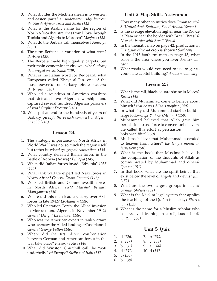- 3. What divides the Mediterranean into western and easten parts? *an underwater ridge between the North African coast and Sicily (138)*
- 4. What is the Arabic name for the region of North Africa that stretches from Libya through Tunisia and Algeria to Morocco? *Maghrib (138)*
- 5. What do the Berbers call themselves? *Amazigh (139)*
- 6. The term Berber is a variation of what term? *Barbary (139)*
- 7. The Berbers made high quality carpets, but their main economic activity was what? *piracy that preyed on sea traffic (139)*
- 8. What is the Italian word for Redbeard, what Europeans called Khayr al-Din, one of the most powerful of Barbary pirate leaders? *Barbarossa (141)*
- 9. Who led a squadron of American warships that defeated two Algerian warships and captured several hundred Algerian prisoners of war? *Stephen Decatur (143)*
- 10. What put an end to the hundreds of years of Barbary piracy? *the French conquest of Algeria in 1830 (143)*

- 1. The strategic importance of North Africa in World War II was not so much the region itself but rather its what? *geographic connections (145)*
- 2. What country defeated Italian forces in the Battle of Adowa (Adwa)? *Ethiopia (145)*
- 3. When did Italian forces invade Ethiopia? *1935 (145)*
- 4. What tank warfare expert led Nazi forces in North Africa? *General Erwin Rommel (146)*
- 5. Who led British and Commonwealth forces in North Africa? *Field Marshal Bernard Montgomery (146)*
- 6. Where did this man lead a victory over Axis forces in late 1942? *El-Alamein (146)*
- 7. Who led Operation Torch, the Allied invasion in Morocco and Algeria, in November 1942? *General Dwight Eisenhower (146)*
- 8. Who was the American expert in tank warfare who oversaw the Allied landing at Casablanca? *General George Patton (146)*
- 9. Where did the first direct confrontation between German and American forces in the war take place? *Kasserine Pass (146)*
- 10. What did Winston Churchill call the "soft underbelly" of Europe? *Sicily and Italy (147)*

# **Unit 5 Map Skills Assignment**

- 1. How many other countries does Oman touch? *3 (United Arab Emirates, Saudi Arabia, Yemen)*
- 2. Is the average elevation higher near the Rio de la Plata or near the border with Brazil (Brasil)? *Near the border with Brazil (Brasil)*
- 3. In the thematic map on page 42, production in Uruguay of what crop is shown? *Soybeans*
- 4. In the 1915 isotherm map on page 43, what color is the area where you live? *Answer will vary.*
- 5. What roads would you need to use to get to your state capitol building? *Answers will vary.*

# **Lesson 25**

- 1. What is the tall, black, square shrine in Mecca? *Kaaba (149)*
- 2. What did Muhammad come to believe about himself? *that he was Allah's prophet (149)*
- 3. In what city did Muhammad start to build a large following? *Yathrib (Medina) (150)*
- 4. Muhammad believed that Allah gave him permission to use force to convert unbelievers. He called this effort at persuasion \_\_\_\_\_\_ or holy war. *jihad (150)*
- 5. Muslims believe that Muhammad ascended to heaven from where? *the temple mount in Jerusalem (150)*
- 6. What is the book that Muslims believe is the compilation of the thoughts of Allah as communicated by Muhammad and others? *Qur'an (151)*
- 7. In that book, what are the spirit beings that exist below the level of angels and devils? *jinn (152)*
- 8. What are the two largest groups in Islam? *Sunnis, Shi'ites (152)*
- 9. What is the Muslim legal system that applies the teachings of the Qur'an to society? *Shari'a law (153)*
- 10. What is the name for a Muslim scholar who has received training in a religious school? *mullah (153)*

# **Unit 5 Quiz**

| 1. $d(126)$ | 7. $b(138)$  |
|-------------|--------------|
| 2. $a(127)$ | 8. c (138)   |
| 3. $b(131)$ | 9. a $(144)$ |
| 4. $d(131)$ | 10. $d(147)$ |

- 5. c *(136)*
- 6. b *(138)*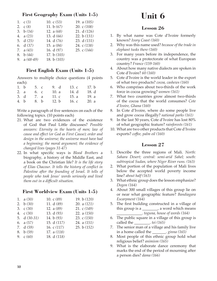# **First Geography Exam (Units 1-5)**

| 1. $c(3)$      | 10. $c(53)$   | 19. a $(105)$ |
|----------------|---------------|---------------|
| 2. $C(8)$      | 11. $b(67)$   | 20. c $(108)$ |
| 3. b $(14)$    | 12. $a(68)$   | 21. $d(126)$  |
| 4. $a(23)$     | 13. $d(66)$   | 22. b $(131)$ |
| 5. $d(25)$     | 14. d (76)    | 23. $d(131)$  |
| 6. $d(37)$     | 15. a $(84)$  | 24. $c(138)$  |
| 7. $a(43)$     | 16. $d(97)$   | 25. c $(144)$ |
| 8. b $(44)$    | 17. b $(103)$ |               |
| 9. a $(48-49)$ | 18. b $(103)$ |               |
|                |               |               |

# **First English Exam (Units 1-5)**

Answers to multiple choice questions (4 points each):

| 1. b | 5. c | 9. d    | 13. c | 17. b |
|------|------|---------|-------|-------|
| 2. a | 6. c | 10. a   | 14. d | 18. d |
| 3. d | 7. a | 11. c   | 15. a | 19. a |
| 4. b | 8. b | 12. $b$ | 16. c | 20. a |

Write a paragraph of five sentences on each of the following topics. (10 points each)

- 21. What are two evidences of the existence of God that Paul Little discusses? *Possible answers: Eternity in the hearts of men; law of cause and effect (or God as First Cause); order and design in the universe; the universe must have had a beginning; the moral argument; the evidence of changed lives (pages 31-47)*
- 22. In what specific ways is *Blood Brothers* a biography, a history of the Middle East, and a book on the Christian life? *It is the life story of Elias Chacour. It tells the history of conflict in Palestine after the founding of Israel. It tells of people who took Jesus' words seriously and lived them out in a difficult situation.*

# **First Worldview Exam (Units 1-5)**

| 1. $a(30)$    | 10. $c(89)$   | 19. b $(120)$ |
|---------------|---------------|---------------|
| 2. $b(30)$    | 11. d (89)    | 20. a $(121)$ |
| 3. $c(30)$    | 12. $a(89)$   | 21. $c(149)$  |
| 4. $c(30)$    | 13. $d(93)$   | 22. a $(150)$ |
| 5. $d(30-31)$ | 14. b $(93)$  | 23. c $(150)$ |
| 6. $a(57)$    | 15. d (117)   | 24. a $(151)$ |
| 7. $d(59)$    | 16. $c(117)$  | 25. b $(152)$ |
| 8. b $(59)$   | 17. a $(118)$ |               |
| 9. $c(60)$    | 18. d (118)   |               |

# **Unit 6**

# **Lesson 26**

- 1. By what name was Cote d'Ivoire formerly known? *Ivory Coast (160)*
- 2. Why was this name used? *because of the trade in elephant tusks there (160)*
- 3. For many years before its independence, the country was a protectorate of what European country? *France (159-160)*
- 4. About how many native dialects are spoken in Cote d'Ivoire? *60 (160)*
- 5. Cote d'Ivoire is the world leader in the export of what two products? *cocoa, cashews (160)*
- 6. Who comprises about two-thirds of the work force in cocoa growing? *women (161)*
- 7. What two countries grow almost two-thirds of the cocoa that the world consumes? *Cote d'Ivoire, Ghana (160)*
- 8. In Cote d'Ivoire, where do some people live and grow cocoa illegally? *national parks (161)*
- 9. In the last 50 years, Cote d'Ivoire has lost 80% of what geographic feature? *rainforests (161)*
- 10. What are two other products that Cote d'Ivoire exports? *coffee, palm oil (160)*

- 1. Describe the three regions of Mali. *North: Sahara Desert; central: semi-arid Sahel; south: subtropical Sudan, where Niger River runs. (163)*
- 2. What portion of the population of Mali lives below the accepted world poverty income line? *about half (163)*
- 3. What ethnic group does the lesson emphasize? *Dogon (164)*
- 4. About 300 small villages of this group lie on or near what geographic feature? *Bandiagara Escarpment (164)*
- 5. The first building constructed in a village of this group is a \_\_\_\_\_\_\_\_, a word which means \_\_\_\_\_\_\_\_\_\_\_\_\_. *toguna, house of words (164)*
- 6. The public square in a village of this group is called the \_\_\_\_\_\_\_\_. *tei (165)*
- 7. The senior man of a village and his family live in a home called the \_\_\_\_\_\_\_. *ginna (165)*
- 8. Most people of this ethnic group hold what religious belief? *animism (165)*
- 9. What is the elaborate dance ceremony that marks the end of the period of mourning after a person dies? *dama (166)*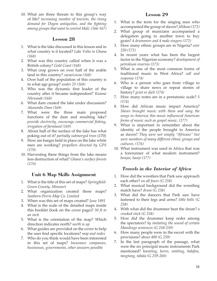10. What are three threats to this group's way of life? *increasing number of tourists, the rising demand for Dogon antiquities, and the fighting among groups that want to control Mali. (166-167)*

## **Lesson 28**

- 1. What is the lake discussed in this lesson and in what country is it located? *Lake Volta in Ghana (168)*
- 2. What was this country called when it was a British colony? *Gold Coast (168)*
- 3. What crop grows on over half of the arable land in this country? *cacao/cocoa (168)*
- 4. Over half of the population of this country is in what age group? *under 25 (168)*
- 5. Who was the dynamic first leader of the country after it became independent? *Kwame Nkrumah (168)*
- 6. What dam created the lake under discussion? *Akosombe Dam (169)*
- 7. What were the three main proposed functions of the dam and resulting lake? *provide electricity, encourage commercial fishing, irrigation of farmland (169)*
- 8. About half of the surface of the lake has what poking out of it? *partially submerged trees* (170)
- 9. How are barges held in place on the lake while men are working? *propellers directed by GPS (170)*
- 10. Harvesting these things from the lake means less destruction of what? *Ghana's surface forests (170)*

# **Unit 6 Map Skills Assignment**

- 1. What is the title of this set of maps? *Springfield-Green County, Missouri*
- 2. What organization created these maps? *Sanborn-Perris Map Co. Limited*
- 3. When was this set of maps created? *June 1891*
- 4. What is the scale of the detailed maps inside this booklet (look on the cover page)? *50 ft to an inch*
- 5. What is the orientation of the map? Which direction indicates north? *north is up*
- 6. What guides are provided on the cover to help the user find specific locations? *map and index*
- 7. Who do you think would have been interested in this set of maps? *Insurance companies, businesses, governments, other answers possible*

## **Lesson 29**

- 1. What is the term for the singing men who accompanied the group of slaves? *jillikeas (172)*
- 2. What group of musicians accompanied a delegation going to another town to buy grain? *4 drummers and 4 male singers (172)*
- 3. How many ethnic groups are in Nigeria? *over 250 (172)*
- 4. In recent years what has been the largest factor in the Nigerian economy? *development of petroleum reserves (173)*
- 5. What is one of the most common forms of traditional music in West Africa? *call and response (174)*
- 6. Who is a person who goes from village to village to share news or repeat stories of history? *griot or djeli (174)*
- 7. How many notes are in a pentatonic scale? *5 (174)*
- 8. How did African music impact America? *Slaves brought music with them and sang the songs in America; this music influenced American forms of music such as gospel music. (177)*
- 9. What is important to remember about the identity of the people brought to America as slaves? *They were not simply "Africans" but were members of many different ethnic groups and cultures. (176)*
- 10. What instrument was used in Africa that was a forerunner of what modern instrument? *bonjoe, banjo (177)*

# *Travels in the Interior of Africa*

- 1. How did the wrestlers that Park saw approach each other? *on all fours (G 258)*
- 2. What musical background did the wrestling match have? *drum (G 258)*
- 3. What did the dancers that Park saw have fastened to their legs and arms? *little bells (G 258)*
- 4. With what did the drummer beat the drum? *a crooked stick (G 258)*
- 5. How did the drummer keep order among the spectators? *by imitating the sound of certain Mandingo sentences (G 258-259)*
- 6. How many people were in the escort with the provisions? *about 400 (G 259)*
- 7. In the last paragraph of the passage, what were the six principal music instruments Park mentioned? *koonting, korro, simbing, balafou, tangtang, tabala (G 259-260)*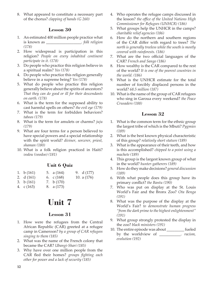8. What appeared to constitute a necessary part of the chorus? *clapping of hands (G 260)*

# **Lesson 30**

- 1. An estimated 400 million people practice what is known as \_\_\_\_\_\_\_\_\_\_\_\_\_\_\_\_\_\_. *folk religion (178)*
- 2. How widespread is participation in this religion? *People on every inhabited continent participate in it. (178)*
- 3. Do people who practice this religion believe in a spiritual realm? *Yes (178)*
- 4. Do people who practice this religion generally believe in a supreme being? *Yes (178)*
- 5. What do people who practice this religion generally believe about the spirits of ancestors? *That they can do good or ill for their descendants on earth. (178)*
- 6. What is the term for the supposed ability to cast harmful spells on others? *the evil eye (179)*
- 7. What is the term for forbidden behaviors? *taboos (179)*
- 8. What is the term for amulets or charms? *juju (179)*
- 9. What are four terms for a person believed to have special powers and a special relationship with the spirit world? *diviner, sorcerer, priest, shaman (180)*
- 10. What is a folk religion practiced in Haiti? *vodou (voodoo) (181)*

# **Unit 6 Quiz**

| 1. b $(161)$ | 5. a $(164)$ | 9. $d(177)$   |
|--------------|--------------|---------------|
| 2. d (161)   | 6. c $(168)$ | 10. a $(176)$ |
| 3. b $(161)$ | 7. b $(170)$ |               |
| 4. c (163)   | 8. a (173)   |               |

# **Unit 7**

# **Lesson 31**

- 1. How were the refugees from the Central African Republic (CAR) greeted at a refugee camp in Cameroon? *by a group of CAR refugees singing to them (185)*
- 2. What was the name of the French colony that became the CAR? *Ubangi-Shari (185)*
- 3. Why have over one million people from the CAR fled their homes? *groups fighting each other for power and a lack of security (185)*
- 4. Who operates the refugee camps discussed in the lesson? *the office of the United Nations High Commissioner for Refugees (UNHCR) (186)*
- 5. What groups help the UNHCR in the camps? *charitable relief agencies (186)*
- 6. How do the northern and southern regions of the CAR differ with regard to trees? *The north is generally treeless while the south is mostly covered with rainforests. (186)*
- 7. What are the two official languages of the CAR? *French and Sango (186)*
- 8. How wealthy is the CAR compared to the rest of the world? *It is one of the poorest countries in the world. (186)*
- 9. What is the UNHCR estimate for the total number of forcibly displaced persons in the world? *68.5 million (187)*
- 10. What is the name of the group of CAR refugees who sing in Garoua every weekend? *the Peace Crusaders (188)*

- 1. What is the common term for the ethnic group the largest tribe of which is the Mbuti? *Pygmies (189)*
- 2. What is the best known physical characteristic of this group? *relatively short stature (189)*
- 3. What is the appearance of their teeth, and how is this accomplished? *chipped to a point using a machete (189)*
- 4. This group is the largest known group of what in the world? *hunter-gatherers (189)*
- 5. How do they make decisions? *general discussion (189)*
- 6. With what people does this group have its primary conflict? *the Bantu (190)*
- 7. Who was put on display at the St. Louis World's Fair and the Bronx Zoo? *Ota Benga (191)*
- 8. What was the purpose of the display at the World's Fair? *to demonstrate human progress "from the dark prime to the highest enlightenment" (191)*
- 9. What group strongly protested the display in the zoo? *black ministers (191)*
- 10. The entire episode was about \_\_\_\_\_\_\_\_\_ fueled by the worldview of \_\_\_\_\_\_\_\_\_\_\_. *racism, evolution (192)*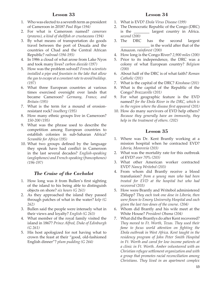- 1. Who was elected to a seventh term as president of Cameroon in 2018? *Paul Biya (194)*
- 2. For what is Cameroon named? *cameroes (prawns), a kind of shellfish or crustaceans (194)*
- 3. By what means of transportation do goods travel between the port of Douala and the countries of Chad and the Central African Republic? *railroad (194-195)*
- 4. In 1986 a cloud of what arose from Lake Nyos and took many lives? *carbon dioxide (197)*
- 5. How was the problem solved? *French scientists installed a pipe and fountain in the lake that allow the gas to escape at a constant rate to avoid buildup. (197)*
- 6. What three European countries at various times exercised oversight over lands that became Cameroon? *Germany, France, and Britain (195)*
- 7. What is the term for a mound of erosionresistant rock? *inselberg (195)*
- 8. How many ethnic groups live in Cameroon? *150-200 (195)*
- 9. What was the phrase used to describe the competition among European countries to establish colonies in sub-Saharan Africa? *Scramble for Africa (195)*
- 10. What two groups defined by the language they speak have had conflict in Cameroon in the last several decades? *English-speaking (anglophones) and French-speaking (francophones) (196-197)*

# *The Cruise of the Cachalot*

- 1. How long was it from Bullen's first sighting of the island to his being able to distinguish objects on shore? *six hours (G 261)*
- 2. As they approached the island they passed through patches of what in the water? *kelp (G 262)*
- 3. Bullen said the people were intensely what in their views and loyalty? *English (G 263)*
- 4. What member of the royal family visited the island in 1867? *Prince Alfred, Duke of Edinburgh (G 261)*
- 5. His host apologized for not having what to crown the feast at their "good, old-fashioned English dinner"? *plum pudding (G 264)*

#### **Lesson 34**

- 1. What is EVD? *Ebola Virus Disease (199)*
- 2. The Democratic Republic of the Congo (DRC) is the \_\_\_\_\_\_\_\_ largest country in Africa. *second (200)*
- 3. The DRC has the second largest \_\_\_\_\_\_\_\_\_\_\_\_\_\_\_ in the world after that of the Amazon. *rainforest (200)*
- 4. How long is the Congo River? *2,900 miles (200)*
- 5. Prior to its independence, the DRC was a colony of what European country? *Belgium (200)*
- 6. About half of the DRC is of what faith? *Roman Catholic (201)*
- 7. What is the capital of the DRC? *Kinshasa (201)*
- 8. What is the capital of the Republic of the Congo? *Brazzaville (201)*
- 9. For what geographic feature is the EVD named? *for the Ebola River in the DRC, which is in the region where the disease first appeared (201)*
- 10. How do many survivors of EVD help others? *Because they generally have an immunity, they help in the treatment of others. (202)*

- 1. Where was Dr. Kent Brantly working at a mission hospital when he contracted EVD? *Liberia, Monrovia (203)*
- 2. What was the mortality rate for this outbreak of EVD? *over 70% (203)*
- 3. What other American worker contracted EVD? *Nancy Writebol (203)*
- 4. From whom did Brantly receive a blood transfusion? *from a young man who had been treated for EVD at the hospital but who had recovered (203)*
- 5. How were Brantly and Writebol administered ZMapp? *They each took one dose in Liberia, then were flown to Emory University Hospital and each given the last two doses of the course. (204)*
- 6. Whom did Brantly and his wife meet at the White House? *President Obama (204)*
- 7. What did the Brantlys do after Kent recovered? *They moved to Ft. Worth, Texas. They used their fame to focus world attention on fighting the Ebola outbreak in West Africa. Kent taught in the residency program of John Peter Smith Hospital in Ft. Worth and cared for low income patients at a clinic in Ft. Worth. Amber volunteered with an Christian refugee settlement organization and with a group that promotes racial reconciliation among Christians. They lived in an apartment complex*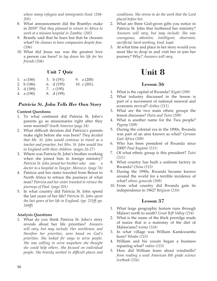*where many refugees and immigrants lived. (204- 205)*

- 8. What announcement did the Brantlys make in 2019? *That they planned to return to Africa to work at a mission hospital in Zambia. (205)*
- 9. Brantly said that he fears but that he chooses what? *He chooses to have compassion despite fear. (206)*
- 10. What did Jesus say was the greatest love a person can have? *to lay down his life for his friends (206)*

# **Unit 7 Quiz**

| 1. a $(186)$ | 5. b $(191)$ | 9. a $(200)$ |
|--------------|--------------|--------------|
| 2. b $(186)$ | 6. d (195)   | 10. $c(201)$ |
| 3. d (189)   | 7. c $(195)$ |              |

4. a (190) 8. d (199)

# *Patricia St. John Tells Her Own Story*

#### **Content Questions**

- 1. To what continent did Patricia St. John's parents go as missionaries right after they were married? *South America (page 24)*
- 2. What difficult decision did Patricia's parents make right before she was born? *They decided that Mr. St. John would continue to travel as a teacher and preacher, but Mrs. St. John would live in England with their children. (pages 26-27)*
- 3. Where was Patricia St. John's brother working when she joined him in foreign ministry? *Patricia St. John joined her brother who was a doctor in a hospital in Tangier, Morocco. (page 76)*
- 4. Patricia and her sister traveled from Beirut to North Africa to retrace the journeys of what man? *Patricia and her sister traveled to retrace the journeys of Paul. (page 201)*
- 5. In what country did Patricia St. John spend the last years of her life? *Patricia St. John spent the last years of her life in England. (pp. 231ff; pp. 269ff)*

#### **Analysis Questions**

1. What do you think Patricia St. John's story reveals about her life priorities? *Answers will vary, but may include: Her worldview, and therefore her priorities, were based on God's priorities. She looked for ways to serve people. She was willing to serve anywhere she thought she could help others. She focused on individual people. She bravely worked in difficult places and*  *conditions. She strove to do the work that the Lord placed before her.*

- 2. What are three God-given gifts you notice in Patricia St. John that furthered her ministry? *Answers will vary, but may include: She was courageous, attentive, intelligent, observant, sacrificial, hard-working, kind, loyal.*
- 3. At what time and place in her story would you most like to drop in and visit her or join her journey? Why? *Answers will vary.*

# **Unit 8**

# **Lesson 36**

- 1. What is the capital of Rwanda? *Kigali (209)*
- 2. What industry discussed in the lesson is part of a movement of national renewal and economic revival? *clothes (211)*
- 3. What are the two main ethnic groups the lesson discusses? *Hutu and Tutsi (209)*
- 4. What is another name for the Twa people? *Pygmy (209)*
- 5. During the colonial era in the 1890s, Rwanda was part of an area known as what? *German East Africa (209)*
- 6. Who has been president of Rwanda since 2000? *Paul Kagame (211)*
- 7. Of what ethnic group is this president? *Tutsi (211)*
- 8. What country has built a uniform factory in Rwanda? *China (213)*
- 9. During the 1990s, Rwanda became known around the world for a terrible incidence of what? *ethnic genocide (209)*
- 10. From what country did Rwanda gain its independence in 1962? *Belgium (210)*

- 1. What large geographic feature runs through Malawi north to south? *Great Rift Valley (214)*
- 2. What is the name of the thick porridge made of maize that is a mainstay of the diet of Malawians? *nsima (214)*
- 3. In what village was William Kamkwamba born? *Wimbe (215)*
- 4. William and his cousin began a business repairing what? *radios (215)*
- 5. How did William learn about windmills? *from reading a used American 8th grade science textbook (216)*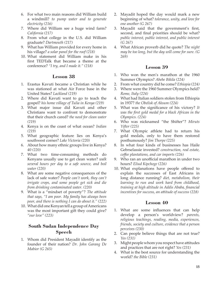- 6. For what two main reasons did William build a windmill? *to pump water and to generate electricity (216)*
- 7. Where did William see a huge wind farm? *California (217)*
- 8. From what college in the U.S. did William graduate? *Dartmouth (217)*
- 9. What has William provided for every home in his village? *a solar panel for the roof (218)*
- 10. What statement did William make in his first TEDTalk that became a theme at the conference? *"I try, and I made it." (218)*

- 1. Erastus Kavuti became a Christian while he was stationed at what Air Force base in the United States? *Lackland (219)*
- 2. Where did Kavuti want to go to teach the gospel? *his home village of Tulia in Kenya (219)*
- 3. What major issue did Kavuti and other Christians want to confront to demonstrate that their church cared? *the need for clean water (219)*
- 4. Kenya is on the coast of what ocean? *Indian (219)*
- 5. What geographic feature lies on Kenya's southwest corner? *Lake Victoria (220)*
- 6. About how many ethnic groups live in Kenya? *40 (220)*
- 7. What two time-consuming methods do Kenyans usually use to get clean water? *walk several hours per day to a safe source, and boil water (220)*
- 8. What are some negative consequences of the lack of safe water? *People can't work, they can't irrigate crops, and some people get sick and die from drinking contaminated water. (220)*
- 9. What is a "mindset of poverty"? *The attitude that says, "I am poor. My family has always been poor, and there is nothing I can do about it." (222)*
- 10. What did one Kenyan tell a group of Americans was the most important gift they could give? *"our love" (223)*

# **South Sudan Independence Day Speech**

1. Whom did President Mayadit identify as the founder of their nation? *Dr. John Garang De Mabior (G 265)*

- 2. Mayadit hoped the day would mark a new beginning of what? *tolerance, unity, and love for one another (G 267)*
- 3. Mayadit said that the government's first, second, and final priorities should be what? *public interest, public interest, and public interest (G 267)*
- 4. What African proverb did he quote? *The night may be too long, but the day will come for sure. (G 269)*

## **Lesson 39**

- 1. Who won the men's marathon at the 1960 Summer Olympics? *Abebe Bikila (224)*
- 2. From what country did he come? *Ethiopia (224)*
- 3. Where were the 1960 Summer Olympics held? *Rome, Italy (224)*
- 4. What had Italian soldiers stolen from Ethiopia in 1937? *the Obelisk of Aksum (224)*
- 5. What was the significance of his victory? *It was the first gold medal for a black African in the Olympics. (224)*
- 6. Who was nicknamed "the Shifter"? *Miruts Yifter (225)*
- 7. What Olympic athlete had to return his gold medals, only to have them restored posthumously? *Jim Thorpe (225)*
- 8. In what four kinds of businesses has Haile Gebrselassie invested? *construction, real estate, coffee plantations, and car imports (226)*
- 9. Who ran an unofficial marathon in under two hours? *Eliud Kipchoge (226)*
- 10. What explanations have people offered to explain the successes of East Africans in long distance running? *diet, metabolism, their learning to run and work hard from childhood, training at high altitude in Addis Ababa, financial incentives for success, an attitude of success (228)*

- 1. What are some influences that can help develop a person's worldview? *parents, religious teachings, reading, media, experiences, friends, society and culture, evidence that a person perceives (230)*
- 2. Can people believe things that are not true? *Yes (231)*
- 3. Might people whom you respect have attitudes and practices that are not right? *Yes (231)*
- 4. What is the best source for understanding the world? *the Bible (231)*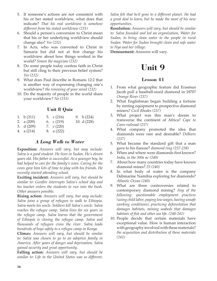- 5. If someone's actions are not consistent with his or her stated worldview, what does that indicate? *That his real worldview is somehow different from his stated worldview (231)*
- 6. Should a person's conversion to Christ mean that his or her underlying worldview should change also? *Yes (232)*
- 7. In Acts, who was converted to Christ in Samaria but did not at first change his worldview about how things worked in the world? *Simon the magician (232)*
- 8. Do some people today confess faith in Christ but still cling to their previous belief system? *Yes (232)*
- 9. What does Paul describe in Romans 12:2 that is another way of expressing changing one's worldview? *the renewing of your mind (232)*
- 10. Do the majority of people in the world share your worldview? *No (233)*

## **Unit 8 Quiz**

| 1. $b(211)$<br>2. a $(209)$ | 5. $\int (216)$<br>6. $c(219)$ | 9. b $(224)$<br>10. d (228) |
|-----------------------------|--------------------------------|-----------------------------|
| 3. $d(209)$<br>4. $a(214)$  | 7. $c(220)$<br>8. a (222)      |                             |

#### *A Long Walk to Water*

**Exposition:** *Answers will vary, but may include: Salva is a good student. He lives in Sudan. He's eleven years old. His father is successful. As a younger boy, he had helped to care for the family's cows. Caring for the cows gave him lots of time to play with his friends. He recently started attending school.*

**Exciting incident:** *Answers will vary, but should be similar to: Gunfire interrupts Salva's school day and his teacher orders the students to run into the bush. Other answers possible.*

**Rising action:** *Answers will vary, but may include: Salva joins a group of refugees to walk to Ethiopia. Salva meets his uncle. Soldiers kill Salva's uncle. Salva reaches the refugee camp. Salva lives for six years in the refugee camp. Salva learns that the government of Ethiopia is closing the refugee camp. Salva and thousands of refugees cross the river. Salva leads hundreds of boys safely to a refugee camp in Kenya.*

**Climax:** *Answers will vary, but should be similar to: Salva was chosen to go to an adoptive family in America. After years of danger and deprivation, Salva gained security and great opportunity.*

**Falling action:** *Answers will vary, but should be similar to: Life in the United States was so different,* 

*Salva felt that he'd gone to a different planet. He had a great deal to learn, but he made the most of his new opportunities.*

**Resolution:** *Answers will vary, but should be similar to: Salva founded and led an organization, Water for Sudan, to bring clean water to the people in rural Sudan. Water for Sudan brought clean and safe water to Nya and her village.*

**Denouement:** Answers will vary.

# **Unit 9**

- 1. From what geographic feature did Erasmus Jacob pull a baseball-sized diamond in 1870? *Orange River (237)*
- 2. What Englishman began building a fortune by renting equipment to prospective diamond miners? *Cecil Rhodes (237)*
- 3. What project was this man's dream to transverse the continent of Africa? *Cape to Cairo railroad (237)*
- 4. What company promoted the idea that diamonds were rare and desirable? *DeBeers (237)*
- 5. What became the standard gift that a man gave to his fiancee? *diamond ring (237-238)*
- 6. When and where were diamonds first known? *India, in the 300s bc (240)*
- 7. About how many countries today have known diamond mines? *25 (240)*
- 8. In what body of water is the company Debmarine Namibia exploring for diamonds? *Atlantic Ocean (240)*
- 9. What are three controversies related to contemporary diamond mining? *Any of the following: questionable employment practices (using child labor, paying low wages, having unsafe working conditions), practicing deforestation that damages habitats, mining seabeds that damages habitats of fish and other sea life. (240-241)*
- 10. People decide that certain materials have exceptional value. How is human interaction with geography involved with these materials? *the acquisition and distribution of these materials (241)*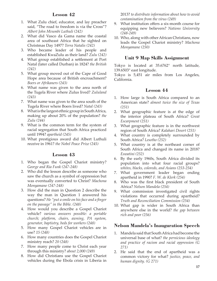- 1. What Zulu chief, educator, and lay preacher said, "The road to freedom is via the Cross"? *Albert John Mvumbi Luthuli (242)*
- 2. What did Vasco da Gama name the coastal area of southeast Africa that he sighted on Christmas Day 1497? *Terra Natalis (242)*
- 3. Who became leader of his people and established KwaZulu as their land? *Zulu (242)*
- 4. What group established a settlement at Port Natal (later called Durban) in 1824? *the British (242)*
- 5. What group moved out of the Cape of Good Hope area because of British encroachment? *Boers or Afrikaners (243)*
- 6. What name was given to the area north of the Tugela River where Zulus lived? *Zululand (243)*
- 7. What name was given to the area south of the Tugela River where Boers lived? *Natal (243)*
- 8. What is the largest ethnic group in South Africa, making up about 20% of the population? *the Zulu (244)*
- 9. What is the common term for the system of racial segregation that South Africa practiced until 1994? *apartheid (245)*
- 10. What prestigious award did Albert Luthuli receive in 1961? *the Nobel Peace Prize (245)*

# **Lesson 43**

- 1. Who began the Gospel Chariot ministry? *George and Ria Funk (247-248)*
- 2. Who did the lesson describe as someone who saw the church as a symbol of oppression but was eventually converted to Christ? *Machona Monyamane (247-248)*
- 3. How did the man in Question 2 describe the way the man in Question 1 answered his questions? *He "put a smile on his face and a finger on the passage" in the Bible. (248)*
- 4. How would you describe a Gospel Chariot vehicle? *various answers possible: a portable church; platform, chairs, awning, PA system, generator, baptistry, beds for workers (248)*
- 5. How many Gospel Chariot vehicles are in use? *15 (248)*
- 6. How many countries does the Gospel Chariot ministry reach? *20 (248)*
- 7. How many people come to Christ each year through this ministry? *about 2,000 (249)*
- 8. How did Christians use the Gospel Chariot vehicles during the Ebola crisis in Liberia in

2013? *to distribute information about how to avoid contamination from the virus (249)*

- 9. What institution offers a six-month course for equipping new believers? *Nations University (248-249)*
- 10. Who, along with other African Christians, now leads the Gospel Chariot ministry? *Machona Monyamane (250)*

# **Unit 9 Map Skills Assignment**

Tokyo is located at 35.6762° north latitude, 139.6503° east longitude.

Tokyo is 5,451 air miles from Los Angeles, California.

# **Lesson 44**

- 1. How large is South Africa compared to an American state? *almost twice the size of Texas (251)*
- 2. What geographic feature is at the edge of the interior plateau of South Africa? *Great Escarpment (251)*
- 3. What geographic feature is in the northwest region of South Africa? *Kalahari Desert (251)*
- 4. What country is completely surrounded by South Africa? *Lesotho (252)*
- 5. What country is at the northeast corner of South Africa and changed its name in 2018? *Eswatini (252)*
- 6. By the early 1960s, South Africa divided its population into what four racial groups? *whites, blacks, coloreds, and Asians (253-254)*
- 7. What government leader began ending apartheid in 1990? *F. W. de Klerk (254)*
- 8. Who was the first black president of South Africa? *Nelson Mandela (254)*
- 9. What commission investigated civil rights violations that occurred during apartheid? *Truth and Reconciliation Commission (254)*
- 10. What gap is wider in South Africa than anywhere else in the world? *the gap between rich and poor (256)*

# **Nelson Mandela's Inauguration Speech**

- 1. Mandela said that South Africa had become the universal base of what? *the pernicious ideology and practice of racism and racial oppression (G 271)*
- 2. He said that the end of apartheid was a common victory for what? *justice, peace, and human dignity. (G 271)*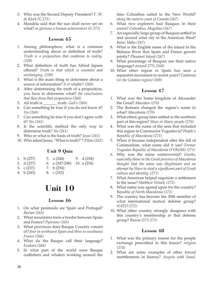- 3. Who was the Second Deputy President? *F. W. de Klerk (G 271)*
- 4. Mandela said that the sun shall never set on what? *so glorious a human achievement (G 272)*

- 1. Among philosophers, what is a common understanding about or definition of truth? *Truth is a proposition that conforms to reality. (259)*
- 2. What definition of truth has Alfred Jepsen offered? *Truth is that which is constant and unchanging. (259)*
- 3. What is the main thing to determine about a source of information? *Is it reliable? (260)*
- 4. After determining the truth of a proposition, you have to determine what? *the conclusions that flow from that proposition (260)*
- 5. All truth is \_\_\_\_\_\_\_ truth. *God's (260)*
- 6. Can something be true if you do not know it? *Yes (260)*
- 7. Can something be true if you don't agree with it? *Yes (261)*
- 8. Is the scientific method the only way to determine truth? *No (261)*
- 9. Who or what is the basis of truth? *Jesus (261)*
- 10. Who asked Jesus, "What is truth?"? *Pilate (262)*

# **Unit 9 Quiz**

- 1. b (237) 5. a (244) 9. d (254)
- 2. d (237) 6. a (247-248) 10. a (254)
- 3. c (237) 7. b (254)
- 4. b (243) 8. c (252)

# **Unit 10**

# **Lesson 46**

- 1. On what peninsula are Spain and Portugal? *Iberian (265)*
- 2. What mountains form a border between Spain and France? *Pyrenees (265)*
- 3. What provinces does Basque Country consist of? *four in northwest Spain and three in southwest France (266)*
- 4. What do the Basque call their language? *Euskara (266)*
- 5. In what part of the world were Basque codfishers and whalers working around the

time Columbus sailed to the New World? *along the eastern coast of Canada (267)*

- 6. What two explorers had Basques in their crews? *Columbus, Magellan (267)*
- 7. An especially large group of Basques settled in and around what city in the American West? *Boise, Idaho (267)*
- 8. What is the English name of the island in the Bidasoa River that Spain and France govern jointly? *Pheasant Island (267)*
- 9. What percentage of Basques use their native language? *around 27% (268)*
- 10. What other region in Spain has seen a separatist movement in recent years? *Catalonia (or the Catalan region) (269)*

# **Lesson 47**

- 1. What was the home kingdom of Alexander the Great? *Macedon (270)*
- 2. The Romans changed the region's name to what? *Macedonia (270)*
- 3. What ethnic group later settled in the northern part of this region? *Slavs or Slavic people (270)*
- 4. What was the name of the area that included this region in Communist Yugoslavia? *People's Republic of Macedonia (271)*
- 5. When it became independent after the fall of Communism, what name did it use? *Former Yugoslav Republic of Macedonia (FYROM) (271)*
- 6. Why was the name controversial? *Greeks, especially those in the Greek province of Macedonia thought that the name was illegitimate and an attempt by Slavs to steal a significant part of Greek culture and identity. (271)*
- 7. What American helped negotiate a settlement to the issue? *Matthew Nimetz (272)*
- 8. What name was agreed upon for the country? *Republic of North Macedonia (272)*
- 9. The country has become the 30th member of what international mutual defense group? *NATO (272)*
- 10. What other country strongly disagrees with this country's membership in that defense group? *Russia (272-273)*

- 1. What was the primary reason for the people exchange prescribed in this lesson? *religion (274)*
- 2. What are some examples of other forced resettlements in history? *Assyria with Israel,*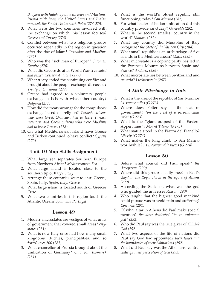*Babylon with Judah, Spain with Jews and Muslims, Russia with Jews, the United States and Indian removal, the Soviet Union with Poles (274-275)*

- 3. What were the two countries involved with the exchange on which this lesson focuses? *Greece and Turkey (276)*
- 4. Conflict between what two religious groups occurred repeatedly in the region in question after the rise of Islam? *Orthodox and Muslims (276)*
- 5. Who was the "sick man of Europe"? *Ottoman Empire (276)*
- 6. What did Greece do after World War I? *invaded and seized western Anatolia (277)*
- 7. What treaty ended the continuing conflict and brought about the people exchange discussed? *Treaty of Lausanne (277)*
- 8. Greece had agreed to a voluntary people exchange in 1919 with what other country? *Bulgaria (277)*
- 9. How did the treaty arrange for the compulsory exchange based on religion? *Turkish citizens who were Greek Orthodox had to leave Turkish territory, and Greek citizens who were Muslims had to leave Greece. (278)*
- 10. On what Mediterranean island have Greece and Turkey continued to have conflict? *Cyprus (279)*

# **Unit 10 Map Skills Assignment**

- 1. What large sea separates Southern Europe from Northern Africa? *Mediterranean Sea*
- 2. What large island is located close to the southern tip of Italy? *Sicily*
- 3. Arrange these countries west to east: Greece, Spain, Italy. *Spain, Italy, Greece*
- 4. What large island is located south of Greece? *Crete*
- 5. What two countries in this region touch the Atlantic Ocean? *Spain and Portugal*

#### **Lesson 49**

- 1. Modern microstates are vestiges of what units of government that covered small areas? *citystates (281)*
- 2. What is now Italy once had how many small kingdoms, duchies, principalities, and so forth? *over 200 (281)*
- 3. What chancellor of Prussia brought about the unification of Germany? *Otto von Bismarck (281)*
- 4. What is the world's oldest republic still functioning today? *San Marino (282)*
- 5. For what leader of Italian unification did this country provide sanctuary? *Garibaldi (282)*
- 6. What is the second smallest country in the world? *Monaco (282)*
- 7. What tiny country did Mussolini of Italy recognize? *the State of the Vatican City (284)*
- 8. What small republic is an archipelago of five islands in the Mediterranean? *Malta (285)*
- 9. What microstate is a coprincipality nestled in the Pyrenees Mountains between Spain and France? *Andorra (286)*
- 10. What microstate lies between Switzerland and Austria? *Liechtenstein (287)*

# *A Little Pilgrimage to Italy*

- 1. What is the area of the republic of San Marino? *24 square miles (G 273)*
- 2. Where does Potter say is the seat of government? *"on the crest of a perpendicular rock" (G 273)*
- 3. What is the "giant outpost of the Eastern Appennines"? *Mount Titano (G 273)*
- 4. What statue stood in the Piazza del Pianello? *Liberty (G 274)*
- 5. What makes the long climb to San Marino worthwhile? *its incomparable views (G 274)*

- 1. Before what council did Paul speak? *the Areopagus (290)*
- 2. Where did this group usually meet in Paul's day? *in the Royal Porch in the agora of Athens (290)*
- 3. According the Stoicism, what was the god who guided the universe? *Reason (290)*
- 4. Who taught that the highest good mankind could pursue was to avoid pain and suffering? *Epicurus (291)*
- 5. Of what altar in Athens did Paul make special mention? *the altar dedicated "to an unknown god" (292)*
- 6. Who did Paul say was the true giver of all life? *God (292)*
- 7. What two aspects of the life of nations did Paul say God had appointed? *their times and the boundaries of their habitations (292)*
- 8. What did Paul say was the Athenians' central failing? *their perception of God (293)*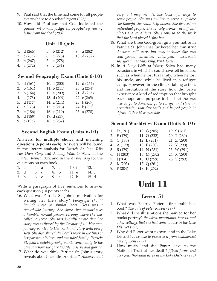- 9. Paul said that the time had come for all people everywhere to do what? *repent (293)*
- 10. How did Paul say that God indicated the person who will judge all people? *by raising Jesus from the dead (293)*

## **Unit 10 Quiz**

| 1. $d(265)$  | 5. b $(272)$ | 9. a $(282)$ |
|--------------|--------------|--------------|
| 2. $c(265)$  | 6. c $(276)$ | 10. $d(282)$ |
| 3. b $(267)$ | 7. a $(278)$ |              |
| 4. a (272)   | 8. $c(281)$  |              |

# **Second Geography Exam (Units 6-10)**

| 1. $d(161)$  | 10. a $(200)$ | 19. d (254)   |
|--------------|---------------|---------------|
| 2. $b(161)$  | 11. $b(211)$  | 20. a $(254)$ |
| 3. b $(164)$ | 12. a (209)   | 21. d $(265)$ |
| 4. a (173)   | 13. d (209)   | 22. c $(265)$ |
| 5. d (177)   | 14. a (214)   | 23. b $(267)$ |
| 6. a $(176)$ | 15. c $(216)$ | 24. b (272)   |
| 7. b $(186)$ | 16. c $(219)$ | 25. a $(278)$ |
| 8. d (189)   | 17. d (237)   |               |
| 9. $c(195)$  | 18. c (237)   |               |
|              |               |               |

## **Second English Exam (Units 6-10)**

**Answers for multiple choice and matching questions (4 points each).** Answers will be found in the literary analysis for *Patricia St. John Tells Her Own Story* and *A Long Walk to Water* in the *Student Review Book* and in the *Answer Key* for the questions on each book:

|  |  |  | 1. c 4. a 7. a 10. f 13. a |  |
|--|--|--|----------------------------|--|
|  |  |  | 2. d 5. d 8. b 11. e 14. c |  |
|  |  |  | 3. b 6. c 9. c 12. b 15. d |  |

Write a paragraph of five sentences to answer each question (10 points each).

- 16. What was Patricia St. John's motivation for writing her life's story? *Paragraph should include these or similar ideas: Hers was a remarkable journey. She shares her memories as a humble, normal person, serving where she was called to serve. She was joyfully aware that her story was authored by the Creator of all. Her own journey pointed to His truth and glory with every step. She also shared the Lord's work in the lives of her parents, siblings, and extended family. Patricia St. John's autobiography points continually to the One to whom she gave her life to serve and glorify.*
- 17. What do you think Patricia St. John's story reveals about her life priorities? *Answers will*

*vary, but may include: She looked for ways to serve people. She was willing to serve anywhere she thought she could help others. She focused on individual people. She bravely worked in difficult places and conditions. She strove to do the work that the Lord placed before her.*

- 18. What are three God-given gifts you notice in Patricia St. John that furthered her ministry? *Answers will vary, but may include: She was courageous, attentive, intelligent, observant, sacrificial, hard-working, kind, loyal.*
- 19. In *A Long Walk to Water*, Salva had many occasions in which he could have felt hopeless, such as when he lost his family, when he lost his uncle, and while he lived in a refugee camp. However, in the climax, falling action, and resolution of the story how did Salva experience a kind of redemption that brought back hope and purpose to his life? *He was able to go to America, go to college, and start an organization that dug wells and helped people in Africa. Other ideas possible.*

# **Second Worldview Exam (Units 6-10)**

| 1. $D(181)$ | 10. $G(205)$ | 19. S (261)  |
|-------------|--------------|--------------|
| 2. $E(179)$ | 11. O (232)  | 20. $T(260)$ |
| 3. $C(180)$ | 12. $L(231)$ | 21. Z (290)  |
| 4. A (179)  | 13. P (230)  | 22. Y (290)  |
| 5. B (179)  | 14. N (231)  | 23. W (291)  |
| 6. $H(203)$ | 15. M (232)  | 24. X (290)  |
| 7. $J(204)$ | 16. U (259)  | 25. V (293)  |
| 8. K (203)  | 17. Q (261)  |              |
| 9. $F(204)$ | 18. R (262)  |              |

# **Unit 11**

- 1. What was Beatrix Potter's first published book? *The Tale of Peter Rabbit (297)*
- 2. What did the illustrations she painted for her books portray? *the lakes, mountains, forests, and other settings that she had come to love in the Lake District (297)*
- 3. Why did Potter want to own land in the Lake District? *to be able to preserve it from commercial development (297)*
- 4. How much land did Potter leave to the National Trust at her death? *fifteen farms and over four thousand acres in the Lake District (298)*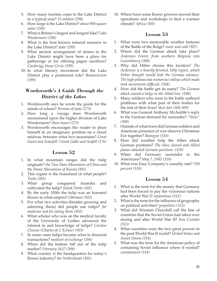- 5. How many tourists come to the Lake District in a typical year? *15 million (298)*
- 6. How large is the Lake District? *about 900 square miles (298)*
- 7. What is Britain's largest and longest lake? *Lake Windermere (298)*
- 8. What is the best known mineral resource in the Lake District? *slate (299)*
- 9. What ancient arrangement of stones in the Lake District might have been a place for gatherings or for offering pagan sacrifices? *Castlerigg Stone Circle (299)*
- 10. In what literary movement did the Lake District play a prominent role? *Romanticism (299)*

# **Wordsworth's** *A Guide Through the District of the Lakes*

- 1. Wordsworth says he wrote the guide for the minds of whom? *Persons of taste (275)*
- 2. How long a voyage does Wordsworth recommend upon the higher division of Lake Windermere? *three hours (275)*
- 3. Wordsworth encourages the reader to place himself in an imaginary position on a cloud midway between what two mountains? *Great Gavel and Scawfell / Great Gable and Scafell (276)*

# **Lesson 52**

- 1. In what mountain ranges did the tulip originate? *the Tien Shan Mountains of China and the Pamir Mountains of Russia (301)*
- 2. This region is the homeland of what people? *Turks (301)*
- 3. What group conquered Anatolia and cultivated the tulip? *Seljuk Turks (301)*
- 4. By the early 1500s the tulip was an honored flower in what empire? *Ottoman (302)*
- 5. For what two activities (besides growing and admiring them) did people use tulips? *for medicine and for eating them (302)*
- 6. What scholar who was on the medical faculty of the University of Leiden advanced the interest in and knowledge of tulips? *Carolus Clusius (Charles de L'Ecluse) (303)*
- 7. In some cases tulips became what in financial transactions? *medium of exchange (304)*
- 8. When did the bottom fall out of the tulip market? *February 1637 (304)*
- 9. What country is the headquarters for today's flower industry? *the Netherlands (305)*

10. Where have some flower growers moved their operations and workshops to find a warmer climate? *Africa (305)*

# **Lesson 53**

- 1. What were two memorable weather features of the Battle of the Bulge? *snow and cold (307)*
- 2. Where did the German attack take place? *Ardennes Forest, from southern Belgium into Luxembourg (308)*
- 3. Why did Hitler choose this location? *The Ardennes is a heavily forested, hilly region, which Hitler thought would hide the German advance. The high plateau has numerous valleys which made tank movements difficult. (308)*
- 4. How did the battle get its name? *The German attack caused a bulge in the Allied line. (308)*
- 5. Many soldiers who were in the battle suffered problems with what part of their bodies for the rest of their lives? *their feet (308-309)*
- 6. What was General Anthony McAuliffe's reply to the German demand for surrender? *"Nuts" (309)*
- 7. Outside of what town did German soldiers and American prisoners of war observe Christmas Eve together? *Bastogne (310)*
- 8. How did weather help the Allies attack German positions? *The skies cleared and Allied planes attacked German positions. (310)*
- 9. When did Germany surrender to the Americans? *May 7, 1945 (310)*
- 10. What was Easy Company's casualty rate? *150 percent (310)*

- 1. What is the term for the money that Germany had been forced to pay the victorious nations after World War I? *reparations (313)*
- 2. What is the term for the influence of geography on political activities? *geopolitics (313)*
- 3. What did Winston Churchill call the line of countries that the Soviet Union had taken over during and after World War II? *Iron Curtain (313)*
- 4. What countries were the two great powers in the post-World War II world? *United States and Soviet Union (314)*
- 5. What was the term for the American policy of containing Soviet influence where it existed? *containment (314)*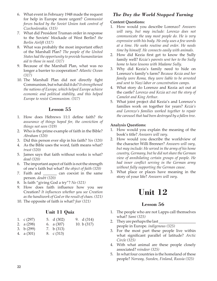- 6. What event in February 1948 made the request for help in Europe more urgent? *Communist forces backed by the Soviet Union took control of Czechoslovakia. (315)*
- 7. What did President Truman order in response to the Soviets' blockade of West Berlin? *the Berlin Airlift (317)*
- 8. What was probably the most important effect of the Marshall Plan? *The people of the United States had the opportunity to provide humanitarian aid to those in need. (317)*
- 9. Because of the Marshall Plan, what was no longer a barrier to cooperation? *Atlantic Ocean (317)*
- 10. The Marshall Plan did not directly fight Communism, but what did it do? *It strengthened the nations of Europe, which helped Europe achieve economic and political stability, and this helped Europe to resist Communism. (317)*

- 1. How does Hebrews 11:1 define faith? *the assurance of things hoped for, the conviction of things not seen (319)*
- 2. Who is the prime example of faith in the Bible? *Abraham (320)*
- 3. Did this person ever slip in his faith? *Yes (320)*
- 4. As the Bible uses the word, faith means what? *trust (320)*
- 5. James says that faith without works is what? *dead (320)*
- 6. The important aspect of faith is not the strength of one's faith but what? *the object of faith (320)*
- 7. Faith and \_\_\_\_\_\_\_ can coexist in the same person. *doubt (320)*
- 8. Is faith "giving God a try"? *No (321)*
- 9. How does faith influence how you see Creation? *It influences whether you see Creation as the handiwork of God or the result of chaos. (321)*
- 10. The opposite of faith is what? *fear (321)*

# **Unit 11 Quiz**

| 1. $\int (297)$    | 5. d $(302)$ | 9. $d(314)$   |
|--------------------|--------------|---------------|
| 2. a $(298)$       | 6. a $(307)$ | 10. b $(317)$ |
| 3. b $(299)$       | 7. b $(313)$ |               |
| $\lambda$ $(0.01)$ | $\cap$ $($   |               |

4. a (301) 8. c (313)

# *The Day the World Stopped Turning*

#### **Content Questions:**

- 1. How would you describe Lorenzo? *Answers will vary, but may include: Lorenzo does not communicate the way most people do. He is very expressive with his body. He only uses a few words at a time. He seeks routine and order. He needs time by himself. He connects easily with animals.*
- 2. How did Kezia first get to know the Sully family well? *Kezia's parents sent her to the Sully home to have lessons with Madame Sully.*
- 3. Why did Kezia's family need to hide on Lorenzo's family's farm? *Because Kezia and her family were Roma, they were liable to be arrested and sent to Nazi labor or concentration camps.*
- 4. What story do Lorenzo and Kezia act out at the castle? *Lorenzo and Kezia act out the story of Camelot and King Arthur.*
- 5. What joint project did Kezia's and Lorenzo's families work on together for years? *Kezia's and Lorenzo's families worked together to repair the carousel that had been destroyed by a fallen tree.*

#### **Analysis Questions:**

- 1. How would you explain the meaning of the book's title? *Answers will vary.*
- 2. How would you describe the worldview of the character Willi Brenner? *Answers will vary, but may include: He served in the army of his home country, Germany, but he did not share the German view of annihilating certain groups of people. He had inner conflict serving in the German army without fully supporting the German cause.*
- 3. What place or places have meaning in the story of your life? *Answers will vary.*

# **Unit 12**

- 1. The people who are not Lapps call themselves what? *Sami (325)*
- 2. They are perhaps the last people in Europe. *indigenous (325)*
- 3. For the most part these people live within what significant parallel of latitude? *Arctic Circle (325)*
- 4. With what animal are these people closely associated? *reindeer (325)*
- 5. In what four countries is the homeland of these people? *Norway, Sweden, Finland, Russia (325)*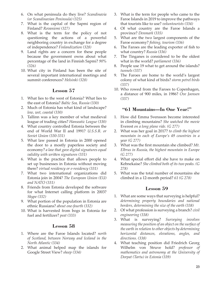- 6. On what peninsula do they live? *Scandinavia (or Scandinavian Peninsula) (325)*
- 7. What is the capital of the Sapmi region of Finland? *Rovaniemi (327)*
- 8. What is the term for the policy of not questioning the actions of a powerful neighboring country in exchange for a degree of independence? *Finlandization (328)*
- 9. Land rights are a concern for these people because the government owns about what percentage of the land in Finnish Sapmi? *90% (326)*
- 10. What city in Finland has been the site of several important international meetings and summit conferences? *Helsinki (328)*

- 1. What lies to the west of Estonia? What lies to the east of Estonia? *Baltic Sea, Russia (330)*
- 2. Much of Estonia has what kind of landscape? *low, wet, coastal (330)*
- 3. Tallinn was a key member of what medieval league of trading cities? *Hanseatic League (330)*
- 4. What country controlled Estonia between the end of World War II and 1991? *U.S.S.R. or Soviet Union (330-331)*
- 5. What law passed in Estonia in 2000 opened the door to a mostly paperless society and economy? *a law that gave digital signatures equal validity with written signatures (331)*
- 6. What is the practice that allows people to set up businesses in Estonia without moving there? *virtual residency or e-residency (331)*
- 7. What two international organizations did Estonia join in 2004? *The European Union (EU) and NATO (331)*
- 8. Friends from Estonia developed the software for what Internet calling platform in 2003? *Skype (332)*
- 9. What portion of the population in Estonia are ethnic Russians? *about one-fourth (332)*
- 10. What is harvested from bogs in Estonia for fuel and fertilizer? *peat (333)*

# **Lesson 58**

- 1. Where are the Faroe Islands located? *north of Scotland, between Norway and Iceland in the North Atlantic (334)*
- 2. What animal helped map the islands for Google Street View? *sheep (334)*
- 3. What is the term for people who came to the Faroe Islands in 2019 to improve the pathways that tourists like to use? *voluntourists (334)*
- 4. Of what country are the Faroe Islands a province? *Denmark (335)*
- 5. What are the two largest components of the Faroe economy? *fishing, tourism (336)*
- 6. The Faroes are the leading exporter of fish to what country? *Russia (336)*
- 7. The Tinganes is considered to be the oldest what in the world? *parliament (336)*
- 8. People use 19 what to get around the islands? *tunnels (337)*
- 9. The Faroes are home to the world's largest colony of what kind of birds? *storm petrel birds (337)*
- 10. Who rowed from the Faroes to Copenhagen, a distance of 900 miles, in 1986? *Ove Joensen (337)*

# **"61 Mountains—In One Year!"**

- 1. How did Emma Svensson become interested in climbing mountains? *She watched the movie*  Everest *on a long plane ride. (G 277)*
- 2. What was her goal in 2017? *to climb the highest mountain in each of Europe's 49 countries in a year (G 277)*
- 3. What was the first mountain she climbed? *Mt. Elbrus in Russia, the highest mountain in Europe (G 277)*
- 4. What special effort did she have to make on Kebnekaise? *She climbed both of its two peaks. (G 278)*
- 5. What was the total number of mountains she climbed in a 12-month period? *61 (G 278)*

- 1. What are some ways that surveying is helpful? *determining property boundaries and national borders, determining the size of the earth (338)*
- 2. Of what profession is surveying a branch? *civil engineering (338)*
- 3. What is surveying? *Surveying involves measuring the position of an object on the surface of the earth in relation to other objects by determining horizontal distances, elevations, angles, and directions. (338)*
- 4. What teaching position did Friedrich Georg Wilhelm von Struve hold? *professor of mathematics and astronomy at the University of Dorpat (Tartu) in Estonia (339)*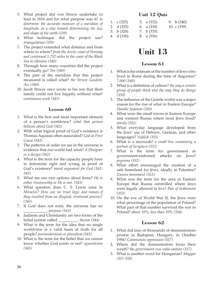- 5. What project did von Struve undertake to lead in 1816 and for what purpose was it? *to determine the accurate measure of a meridian of longitude, as a step toward determining the size and shape of the earth (339)*
- 6. What technique did the project use? *triangulation (339)*
- 7. The project extended what distance and from where to where? *from the Arctic coast of Norway and continued 1,752 miles to the coast of the Black Sea in Ukraine (340)*
- 8. Through how many countries did the project eventually go? *Ten (340)*
- 9. The part of the meridian that this project measured is called what? *the Struve Geodetic Arc (340)*
- 10. Jacob Struve once wrote to his son that their family could not live happily without what? *continuous work (341)*

- 1. What is the first and most important element of a person's worldview? *what that person believes about God (342)*
- 2. With what logical proof of God's existence is Thomas Aquinas often associated? *God as First Cause (342)*
- 3. The patterns of order we see in the universe is evidence that our world had what? *A Designer or a design (342)*
- 4. What is the term for the capacity people have to determine right and wrong as proof of God's existence? *moral argument for God (342- 343)*
- 5. What are our two options about Jesus? *He is either trustworthy or He is not. (343)*
- 6. What question does C. S. Lewis raise in *Miracles*? *How can we trust logic and reason if they resulted from an illogical, irrational process? (343)*
- 7. If God does not exist, the universe has no \_\_\_\_\_\_\_\_\_\_\_\_. *purpose (343)*
- 8. Judaism and Christianity are two forms of the belief system called \_\_\_\_\_\_\_\_\_\_. *theism (344)*
- 9. What is the term for the idea that no single worldview is a valid basis of truth for all people? *postmodernism or pluralism (345)*
- 10. What is the term for the belief that we cannot know whether God exists or not? *agnosticism (345)*

# **Unit 12 Quiz**

| 1. $\int (325)$ | 5. a $(332)$ | 9. b $(340)$ |
|-----------------|--------------|--------------|
| 2. $d(325)$     | 6. a $(334)$ | 10. $c(339)$ |
| 3. $b(328)$     | 7. b $(335)$ |              |
| 4. d (330)      | 8. a (336)   |              |

# **Unit 13**

# **Lesson 61**

- 1. What is the estimate of the number of Jews who lived in Rome during the time of Augustus? *7,000 (349)*
- 2. What is a definition of culture? *the way a certain group of people think and the way they do things (350)*
- 3. The influence of the Gentile world was a major reason for the rise of what in Eastern Europe? *Hasidic Judaism (350)*
- 4. What were the small towns in Eastern Europe and western Russia where most Jews lived? *shtetls (351)*
- 5. What everyday language developed from the Jews' use of Hebrew, German, and other languages? *Yiddish (351)*
- 6. What is a mezuzah? *a small box containing a portion of Scripture (351)*
- 7. What is the term for government or government-endorsed attacks on Jews? *pogroms (352)*
- 8. What effort encouraged the creation of a safe homeland for Jews, ideally in Palestine? *Zionist movement (353)*
- 9. What was the term for the area in Eastern Europe that Russia controlled where Jews were legally allowed to live? *Pale of Settlement (353)*
- 10. On the eve of World War II, the Jews were what percentage of the population of Poland? What part of that number survived the war in Poland? *about 10%; less than 10% (354)*

- 1. What did tens of thousands of demonstrators protest in Budapest, Hungary, in October 1956? *Communist oppression (357)*
- 2. Where did the demonstrators focus their wrath? *the government-run radio station (357)*
- 3. What is another word for Hungarian? *Magyar (357-358)*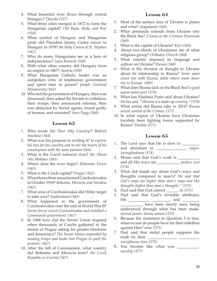- 4. What beautiful river flows through central Hungary? *Danube (357)*
- 5. What three cities merged in 1872 to form the Hungarian capital? *Old Buda, Buda, and Pest (359)*
- 6. What symbol of Hungary and Hungarian pride did President Jimmy Carter return to Hungary in 1978? *the Holy Crown of St. Stephen (362)*
- 7. Who do many Hungarians see as a hero of independence? *Lajos Kossuth (358)*
- 8. With what other country did Hungary form an empire in 1867? *Austria (359)*
- 9. What Hungarian Catholic leader was an outspoken critic of totalitarian government and spent time in prison? *Joseph Cardinal Mindszenty (361)*
- 10. Who led the government of Hungary, then was dismissed, then asked the Soviets to withdraw their troops, then announced reforms, then was abducted by Soviet agents, found guilty of treason, and executed? *Imre Nagy (360)*

- 1. Who wrote *Ma Vlast (My Country)*? *Bedrich Smetana (364)*
- 2. What was his purpose in writing it? *to express his love for his country and to stir the hearts of his countrymen with the same passion (364)*
- 3. What is the Czech national river? *the Vltava (the Moldau) (365)*
- 4. Where does the river begin? *Bohemian Forest (365)*
- 5. What is the Czech capital? *Prague (365)*
- 6. What three ethnic areas formed Czechoslovakia in October 1918? *Bohemia, Moravia, and Slovakia (365)*
- 7. What area of Czechoslovakia did Hitler target to take over? *Sudetenland (365)*
- 8. What happened to the government of Czechoslovakia near the end of World War II? *Soviet forces seized Czechoslovakia and installed a Communist government. (367)*
- 9. In 1968 how did the Soviet Union respond when thousands of Czechs gathered in the streets of Prague asking for greater freedoms and democracy? *The Soviet Union responded by sending troops and tanks into Prague to quell the protests. (367)*
- 10. After the fall of Communism, what country did Bohemia and Moravia form? *the Czech Republic or Czechia (367)*

## **Lesson 64**

- 1. Most of the surface area of Ukraine is plains and what? *steppelands (368)*
- 2. What peninsula extends from Ukraine into the Black Sea? *Crimea or the Crimean Peninsula (368)*
- 3. What is the capital of Ukraine? *Kiev (368)*
- 4. About two thirds of Ukrainians are of what religious group? *Orthodox Church (368)*
- 5. What country imposed its language and culture on Ukraine? *Russia (368)*
- 6. What is the division of thought in Ukraine about its relationship to Russia? *Some want closer ties with Russia, while others want closer ties to Europe. (369)*
- 7. What does Russia lack on the Black Sea? *a good warm-water port (370)*
- 8. What has Vladimir Putin said about Ukraine? *He has said, "Ukraine is a made-up country." (370)*
- 9. What action did Russia take in 2014? *Russia seized control of the Crimea. (371)*
- 10. In what region of Ukraine have Ukrainian loyalists been fighting forces supported by Russia? *Donbas (371)*

- 1. The Lord says that He is slow to \_\_\_\_\_\_\_\_\_ and abundant in \_\_\_\_\_\_\_\_\_\_\_\_\_\_\_. *anger, lovingkindness (374)*
- 2. Moses said that God's work is \_\_\_\_\_\_\_\_\_\_\_ and all His ways are \_\_\_\_\_\_\_\_\_\_\_. *perfect, just (374)*
- 3. What did Isaiah say about God's ways and thoughts compared to man's? *He said that God's ways are higher than man's ways and His thoughts higher than man's thoughts." (375)*
- 4. Paul said that God cannot \_\_\_\_\_\_. *lie (375)*
- 5. Paul said that God's invisible attributes, His \_\_\_\_\_\_\_\_\_\_\_ \_\_\_\_\_\_\_\_\_\_ and \_\_\_\_\_\_\_\_\_ \_\_\_\_\_\_\_\_\_\_\_, have been clearly seen, being understood through what has been made. *eternal power, divine nature (375)*
- 6. Because the statement in Question 5 is true, what excuse do people have for their rebellion against Him? *none (375)*
- 7. Paul said that sinful people suppress the truth by their <u>the</u> *unrighteous lives (375)*
- 8. You become like what you \_\_\_\_\_\_\_\_\_\_. *worship (377)*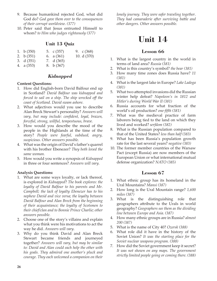- 9. Because humankind rejected God, what did God do? *God gave them over to the consequences of their corrupt worldview. (377)*
- 10. Peter said that Jesus entrusted Himself to whom? *to Him who judges righteously (377)*

## **Unit 13 Quiz**

- 1. b (350) 5. c (357) 9. c (368)
- 2. b (351) 3. d (351) 6. a (361) 7. d (365) 10. d (370)
- 4. a (353) 8. b (367)

## *Kidnapped*

#### **Content Questions:**

- 1. How did English-born David Balfour end up in Scotland? *David Balfour was kidnapped and forced to sail on a ship. The ship wrecked off the coast of Scotland. David swam ashore.*
- 2. What adjectives would you use to describe Alan Breck Stewart's personality? *Answers will vary, but may include: confident, loyal, brazen, forceful, strong, willful, tempestuous, brave.*
- 3. How would you describe the mood of the people in the Highlands at the time of the story? *People were fearful, subdued, angry, suspicious. Other answers possible.*
- 4. What was the origin of David's father's quarrel with his brother Ebenezer? *They both loved the same woman.*
- 5. How would you write a synopsis of *Kidnapped*  in three or four sentences? *Answers will vary.*

#### **Analysis Questions:**

- 1. What are some ways loyalty, or lack thereof, is explored in *Kidnapped*? *The book explores: the loyalty of David Balfour to his parents and Mr. Campbell; the lack of loyalty Ebenezer has to his nephew David and vice versa; the loyalty between David Balfour and Alan Breck from the beginning of their acquaintance; the loyalty of Scotsmen to their chief/clan and to Bonnie Prince Charlie; other answers possible.*
- 2. Choose one of the story's villains and explain what you think were his motivations to act the way he did. *Answers will vary.*
- 3. Why do you think David and Alan Breck Stewart became friends and journeyed together? *Answers will vary, but may be similar to: David and Alan could each help the other with his goals. They admired one another's pluck and courage. They each welcomed a companion on their*

*lonely journey. They were safer traveling together. They had camaraderie after surviving battle and other dangers. Other answers possible.*

# **Unit 14**

## **Lesson 66**

- 1. What is the largest country in the world in terms of land area? *Russia (381)*
- 2. What is this country's symbol? *the bear (381)*
- 3. How many time zones does Russia have? *11 (381)*
- 4. What is the largest lake in Europe? *Lake Ladoga (381)*
- 5. What two attempted invasions did the Russian winter help defeat? *Napoleon's in 1812 and Hitler's during World War II (381)*
- 6. Russia accounts for what fraction of the world's oil production? *one-fifth (381)*
- 7. What was the medieval practice of farm laborers being tied to the land on which they lived and worked? *serfdom (382)*
- 8. What is the Russian population compared to that of the United States? *less than half (383)*
- 9. What has been Russia's population growth rate for the last several years? *negative (383)*
- 10. The former member countries of the Warsaw Pact (except Russia) are now members of the European Union or what international mutual defense organization? *NATO (385)*

- 1. What ethnic group has its homeland in the Ural Mountains? *Mansi (387)*
- 2. How long is the Ural Mountain range? *1,600 miles (387)*
- 3. What is the distinguishing role that geographers attribute to the Urals in world geography? *Geographers see them as the dividing line between Europe and Asia. (387)*
- 4. How many ethnic groups are in Russia? *almost 200 (387)*
- 5. What is the name of City 40? *Ozersk (388)*
- 6. What role did it have in the history of the Soviet Union? *It was the starting place for the Soviet nuclear weapons program. (388)*
- 7. How did the Soviet government keep it secret? *It was not shown on any maps. The government strictly limited people going or coming there. (388)*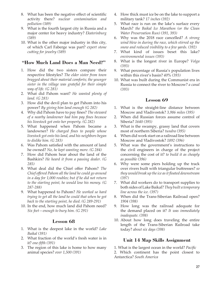- 8. What has been the negative effect of scientific activity there? *nuclear contamination and pollution (389)*
- 9. What is the fourth largest city in Russia and a major center for heavy industry? *Ekaterinburg (389)*
- 10. What is the other major industry in this city, of which Carl Faberge was part? *expert stone cutting for jewelry (389)*

## **"How Much Land Does a Man Need?"**

- 1. How did the two sisters compare their respective lifestyles? *The elder sister from town bragged about their material comforts; the younger sister in the village was grateful for their simple way of life. (G 281)*
- 2. What did Pahom want? *He wanted plenty of land. (G 281)*
- 3. How did the devil plan to get Pahom into his power? *By giving him land enough (G 282)*
- 4. Why did Pahom have to pay fines? *The steward of a nearby landowner had him pay fines because his livestock got onto her property. (G 282)*
- 5. What happened when Pahom became a landowner? *He charged fines to people whose livestock got onto his land, and his neighbors began to dislike him. (G 283)*
- 6. Was Pahom satisfied with the amount of land he owned? *No, he kept wanting more. (G 284)*
- 7. How did Pahom hear about the land of the Bashkirs? *He heard it from a passing dealer. (G 285)*
- 8. What deal did the Chief offer Pahom? *The Chief offered Pahom all the land he could go around in a day for 1,000 roubles; but if he did not return to the starting point, he would lose his money. (G 287-288)*
- 9. What happened to Pahom? *He worked so hard trying to get all the land he could that when he got back to the starting point, he died. (G 289-291)*
- 10. In the end, how much land did Pahom need? *Six feet—enough to bury him. (G 291)*

## **Lesson 68**

- 1. What is the deepest lake in the world? *Lake Baikal (391)*
- 2. What fraction of the world's fresh water is in it? *one-fifth (391)*
- 3. The region of this lake is home to how many animal species? *over 1,500 (391)*
- 4. How thick must ice be on the lake to support a military tank? *17 inches (392)*
- 5. What race is run on the lake's surface every March? *the Baikal Ice Marathon (or the Clean Water Preservation Run) (391, 393)*
- 6. Why was the 2018 race cancelled? *A strong wind blew in during the race, which stirred up the snow and reduced visibility to a few yards. (392)*
- 7. What kind of issues beset this lake? *environmental issues (393)*
- 8. What is the longest river in Europe? *Volga (393)*
- 9. What percentage of Russia's population lives within this river's basin? *40% (393)*
- 10. What was built during the Communist era in Russia to connect the river to Moscow? *a canal (393)*

## **Lesson 69**

- 1. What is the straight-line distance between Moscow and Vladivostok? *3,986 miles (395)*
- 2. When did Russian forces assume control of Siberia? *1640 (395)*
- 3. What is the swampy, grassy land that covers most of northern Siberia? *tundra (395)*
- 4. When did work start on a railroad line between Moscow and Vladivostok? *1892 (396)*
- 5. What was the government's instructions to the civil engineers in charge of the project concerning the cost of it? *to build it as cheaply as possible (396)*
- 6. Why were some piers holding up the track over rivers built with triangular buttresses? *so they would break up the ice as it floated downstream (397)*
- 7. What did workers do to transport supplies to both sides of Lake Baikal? *They built a temporary line across the ice. (397)*
- 8. When did the Trans-Siberian Railroad open? *1904 (398)*
- 9. How long was the railroad adequate for the demand placed on it? *It was immediately inadequate. (398)*
- 10. About how long does traveling the entire length of the Trans-Siberian Railroad take today? *about six days (398)*

## **Unit 14 Map Skills Assignment**

1. What is the largest ocean in the world? *Pacific*

2. Which continent has the point closest to Antarctica? *South America*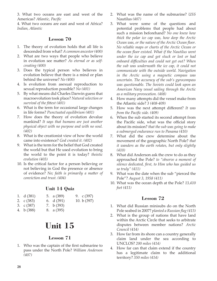3. What two oceans are east and west of the Americas? *Atlantic, Pacific*

4. What two oceans are east and west of Africa? *Indian, Atlantic*

#### **Lesson 70**

- 1. The theory of evolution holds that all life is descended from what? *A common ancestor (400)*
- 2. What are two ways that people who believe in evolution see matter? *As eternal or as selfcreating (400)*
- 3. Does the typical person who believes in evolution believe that there is a mind or plan behind the universe? *No (400)*
- 4. Is evolution from asexual reproduction to sexual reproduction possible? *No (401)*
- 5. By what means did Charles Darwin guess that macroevolution took place? *Natural selection or survival of the fittest (401)*
- 6. What is the term for occasional large changes in life forms? *Punctuated equilibrium (401)*
- 7. How does the theory of evolution devalue mankind? *It says that humans are just another physical object with no purpose and with no soul. (402)*
- 8. What is the creationist view of how the world came into existence? *God created it. (402)*
- 9. What is the term for the belief that God created the world but that He used evolution to bring the world to the point it is today? *theistic evolution (403)*
- 10. Is the critical factor for a person believing or not believing in God the presence or absence of evidence? *No; faith is primarily a matter of conviction and trust. (404)*

# **Unit 14 Quiz**

- 1. d (381) 5. a (389) 9. c (397)
- 2. c (383) 3. c (387) 6. d (391) 7. b (393) 10. b (397)
- 4. b (388) 8. a (395)

# **Unit 15**

# **Lesson 71**

1. Who was the captain of the first submarine to pass under the North Pole? *William Anderson (407)*

- 2. What was the name of the submarine? *USS*  Nautilus *(407)*
- 3. What were some of the questions and potential problems that people had about such a mission beforehand? *No one knew how thick the polar ice cap was, how deep the Arctic Ocean was, or the nature of the Arctic Ocean floor. No reliable maps or charts of the Arctic Ocean or the ocean floor existed. What if the Nautilus went under the ice cap and got stuck or lost or had onboard difficulties and could not get out? When the sub was underneath the ice cap, it could not communicate with the outside world. Navigation in the Arctic using a magnetic compass was uncertain. The accuracy of the sub's gyrocompass was questionable. The Soviets could look upon an American Navy vessel sailing through the Arctic as a military provocation. (408)*
- 4. How many attempts did the vessel make from the Atlantic side? *3 (408-409)*
- 5. How was the next attempt different? *It was from the Pacific side. (409)*
- 6. When the sub started its second attempt from the Pacific side, what was the official story about its mission? *that the sub was going to make a submerged endurance run to Panama (410)*
- 7. What did the crew determine about the movement of the geographic North Pole? *that it wanders as the earth rotates, but only slightly (410)*
- 8. What did Anderson ask the crew to do as they approached the Pole? *to "observe a moment of silence dedicated, first, to Him who has guided us so truly" (411)*
- 9. What was the date when the sub "pierced the Pole"? *August 3, 1958 (411)*
- 10. What was the ocean depth at the Pole? *13,410 feet (411)*

- 1. What did Russian minisubs do on the North Pole seabed in 2007? *planted a Russian flag (413)*
- 2. What is the group of nations that have land within the Arctic Circle that seeks to arbitrate disputes between member nations? *Arctic Council (414)*
- 3. How far from its shore can a country generally claim land under the sea according to UNCLOS? *200 miles (414)*
- 4. How far can that claim extend if the country has a legitimate claim to the additional territory? *350 miles (414)*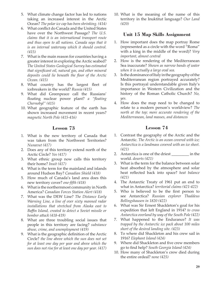- 5. What climate change factor has led to nations taking an increased interest in the Arctic Ocean? *The polar ice cap has been shrinking. (414)*
- 6. What conflict do Canada and the United States have over the Northwest Passage? *The U.S. claims that it is an international transport route and thus open to all nations. Canada says that it is an internal waterway which it should control. (415)*
- 7. What is the main reason for countries having a greater interest in exploring the Arctic seabed? *The United States Geological Survey has estimated that significant oil, natural gas, and other mineral deposits could lie beneath the floor of the Arctic Ocean. (415)*
- 8. What country has the largest fleet of icebreakers in the world? *Russia (415)*
- 9. What did Greenpeace call the Russians' floating nuclear power plant? *a "floating Chernobyl" (415)*
- 10. What geographic feature of the earth has shown increased movement in recent years? *magnetic North Pole (415-416)*

- 1. What is the new territory of Canada that was taken from the Northwest Territories? *Nunavut (417)*
- 2. Does any of this territory extend north of the Arctic Circle? *Yes (417)*
- 3. What ethnic group now calls this territory their home? *Inuit (417)*
- 4. What is the term for the mainland and islands around Hudson Bay? *Canadian Shield (418)*
- 5. How much of Canada's land area does this new territory cover? *one-fifth (418)*
- 6. What is the northernmost community in North America? *Canadian Forces Station Alert (418)*
- 7. What was the DEW Line? *The Distance Early Warning Line, a line of over sixty manned radar installations that stretched from Alaska east to Baffin Island, created to detect a Soviet missile or bomber attack (418-419)*
- 8. What are three troubling social issues that people in this territory are facing? *substance abuse, crime, and unemployment (419)*
- 9. What is the geographic definition of the Arctic Circle? *the line above which the sun does not set for at least one day per year and above which the sun does not rise for at least one day per year. (417)*

10. What is the meaning of the name of this territory in the Inuktitut language? *Our Land (420)*

## **Unit 15 Map Skills Assignment**

- 1. How important does the map portray Rome (represented as a circle with the word "Roma" with a king in the middle of the word)? *Very important, almost central*
- 2. How is the rendering of the Mediterranean Sea inaccurate? *Shown as narrow bands of water when it is actually a large oval sea.*
- 3. Is the dominance of Italy in the geography of the Mediterranean region portrayed accurately? Is this portrayal understandable given Italy's importance in Western Civilization and the history of the Roman Catholic Church? *No, yes.*
- 4. How does the map need to be changed to relate to a modern person's worldview? *The north at the top; more accurate rendering of the Mediterranean, land masses, and distances*

- 1. Contrast the geography of the Arctic and the Antarctic. *The Arctic is an ocean covered with ice; Antarctica is a landmass covered with an ice sheet. (421)*
- 2. Antarctica is one of the driest \_\_\_\_\_\_\_\_ in the world. *deserts (421)*
- 3. What is the term for the balance between solar heat absorbed by the atmosphere and solar heat reflected back into space? *heat balance (421)*
- 4. The Antarctic Treaty of 1961 put an end to what in Antarctica? *territorial claims (421-422)*
- 5. Who is believed to be the first person to see Antarctica? *Russian explorer Thaddeus Bellingshausen in 1820 (422)*
- 6. What was Sir Ernest Shackleton's goal for his expedition that left England in 1914? *to cross Antarctica overland by way of the South Pole (422)*
- 7. What happened to the Endurance? *It was trapped by the Antarctic ice pack about 100 miles short of the desired landing site. (423)*
- 8. To where did Shackleton and his crew sail in 1916? *Elephant Island (424)*
- 9. Where did Shackleton and five crew members go to find help? *South Georgia Island (424)*
- 10. How many of Shackleton's crew died during the entire ordeal? *none (425)*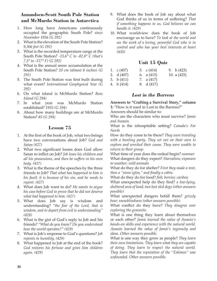## **Amundsen-Scott South Pole Station and McMurdo Station in Antarctica**

- 1. How long have Americans continuously occupied the geographic South Pole? *since November 1956 (G 292)*
- 2. What is the elevation of the South Pole Station? *9,306 feet (G 292)*
- 3. What is the recorded temperature range at the South Pole Station? *-13.6° C to -82.8° C (that's 7.5° to -117° F) (G 292)*
- 4. What is the annual snow accumulation at the South Pole Station? *20 cm (almost 8 inches) (G 292)*
- 5. The South Pole Station was first built during what event? *International Geophysical Year (G 292)*
- 6. On what island is McMurdo Station? *Ross Island (G 294)*
- 7. In what year was McMurdo Station established? *1955 (G 294)*
- 8. About how many buildings are at McMurdo Station? *85 (G 294)*

## **Lesson 75**

- 1. At the first of the book of Job, what two beings have two conversations about Job? *God and Satan (427)*
- 2. What two significant losses does God allow Satan to inflict on Job? *Job loses his children and all his possessions, and then he suffers in his own body. (427)*
- 3. What is the theme of the speeches by the three friends to Job? *That what has happened to him is his fault; it is because of his sin, and he needs to repent. (427)*
- 4. What does Job want to do? *He wants to argue his case before God to prove that he did not deserve what had happened to him. (427)*
- 5. What does Job say is wisdom and understanding? *"the fear of the Lord, that is wisdom, and to depart from evil is understanding" (428)*
- 6. What is the gist of God's reply to Job and his friends? *"What do you know? Do you understand how the world operates?" (429)*
- 7. What is Job's response to God's questions? *Job repents in humility. (429)*
- 8. What happened to Job at the end of the book? *God restores his fortune and gives him children again. (429)*
- 9. What does the book of Job say about what God thinks of us in terms of suffering? *That if something happens to us, God believes we can handle it. (429)*
- 10. What worldview does the book of Job encourage us to have? *To look at the world and see the work of a loving, powerful God who is in control and who has your best interests at heart (430)*

## **Unit 15 Quiz**

| 1. $\int (407)$ | 5. $c(414)$  | 9. b $(423)$  |
|-----------------|--------------|---------------|
| 2. d (407)      | 6. $a(415)$  | 10. a $(425)$ |
| 3. b (411)      | 7. a $(417)$ |               |
| 4. b (414)      | 8. d (417)   |               |

## *Lost in the Barrens*

**Answers to "Crafting a Survival Story," column 1:** "How is it used in Lost in the Barrens?"

Answers should be similar to:

Who are the characters who must survive? *Jamie and Awasin*

What is the inhospitable setting? *Canada's Far North*

How do they come to be there? *They were traveling with a hunting party. They set out on their own to explore and wrecked their canoe. They were unable to return to their group.*

What time of year does the ordeal begin? *summer* What dangers do they expect? *Starvation; exposure to weather; wild animals*

What do they do for shelter? *First they made a tent, then a "stone igloo," and finally a cabin.*

What do they do for food? *fish; berries; caribou*

What unexpected help do they find? *a low-lying, sheltered area of land; two lost sled dogs (other answers possible)*

What unexpected dangers befall them? *grizzly bear; snowblindness (other answers possible)*

What conflict do they have? *They disagree over exploring the gravesite.*

What is one thing they learn about themselves or each other? *Jamie learned the value of Awasin's hands-on skills and experience with the natural world. Awasin learned the value of Jamie's ingenuity and ideas. Other answers possible.*

What is one way they grow as people? *They learn their own limitations. They learn what they are capable of doing. They learn to respect the natural world. They learn that the reputation of the "Eskimos" was unfounded. Other answers possible.*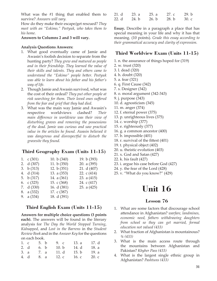What was the #1 thing that enabled them to survive? *Answers will vary.*

How do they make their escape/get rescued? *They meet with an "Eskimo," Peetyuk, who takes them to his home.*

#### **Answers to Columns 2 and 3 will vary.**

#### **Analysis Questions Answers:**

- 1. What good eventually came of Jamie and Awasin's foolish decision to separate from the hunting party? *They grew and matured as people and in their friendship. They learned the value of their skills and talents. They and others came to understand the "Eskimo" people better. Peetyuk was able to learn about his father and his father's way of life.*
- 2. Though Jamie and Awasin survived, what was the cost of their ordeal? *They put other people at risk searching for them. Their loved ones suffered from the fear and grief that they had died.*
- 3. What was the main way Jamie and Awasin's respective worldviews clashed? *Their main difference in worldview was their view of disturbing graves and removing the possessions of the dead. Jamie was curious and saw practical value in the articles he found. Awasin believed it was dangerous and disrespectful to disturb the gravesite they found.*

## **Third Geography Exam (Units 11-15)**

| 1. $\int (301)$ | 10. b $(340)$ | 19. b (393)   |
|-----------------|---------------|---------------|
| 2. d (307)      | 11. b $(350)$ | 20. a $(395)$ |
| 3. $b(313)$     | 12. b $(351)$ | 21. d (407)   |
| 4. d (314)      | 13. a $(353)$ | 22. c $(414)$ |
| 5. b $(317)$    | 14. a (361)   | 23. a $(415)$ |
| 6. c $(325)$    | 15. c $(368)$ | 24. c (417)   |
| 7. d (330)      | 16. d (381)   | 25. a $(425)$ |
| 8. a (332)      | 17. c (387)   |               |
| 9. a $(334)$    | 18. d (391)   |               |
|                 |               |               |

## **Third English Exam (Units 11-15)**

**Answers for multiple choice questions (3 points**  each). The answers will be found in the literary analysis for *The Day the World Stopped Turning*, *Kidnapped*, and *Lost in the Barrens* in the *Student Review Book* and in the *Answer Key* for the questions on each book.

| 1. $\epsilon$ | 5. b | 9c              | 13. a   | 17. d |
|---------------|------|-----------------|---------|-------|
| 2. d          | 6. b | 10. $\mathbf b$ | 14. d   | 18. a |
| 3. a          | 7. a | 11. d           | 15. $b$ | 19. a |
| 4. d          | 8. a | 12. $c$         | 16. c   | 20.c. |

| 21. d | 23. a | 25. a | 27. c | 29. b |
|-------|-------|-------|-------|-------|
| 22. d | 24. b | 26. b | 28. b | 30. c |

**Essay.** Describe in a paragraph a place that has special meaning in your life and why it has that meaning. (10 points). *Grade this essay according to their grammatical accuracy and clarity of expression.*

## **Third Worldview Exam (Units 11-15)**

1. n. the assurance of things hoped for (319)

- 2. w. trust (320)
- 3. l. dead (320)
- 4. h. doubt (320)
- 5. a. fear (321)
- 6. q. First Cause (342)
- 7. s. Designer (342)
- 8. o. moral argument (342-343)
- 9. j. purpose (343)
- 10. d. agnosticism (345)
- 11. m. anger (374)
- 12. f. eternal power (375)
- 13. p. unrighteous lives (375)
- 14. c. worship (377)
- 15. e. righteously (377)
- 16. g. a common ancestor (400)
- 17. b. impossible (401)
- 18. r. survival of the fittest (401)
- 19. t. physical object (402)
- 20. u. theistic evolution (403)
- 21. x. God and Satan (427)
- 22. k. his fault (427)
- 23. i. argue his case before God (427)
- 24. y. the fear of the Lord (428)
- 25. v. "What do you know?" (429)

# **Unit 16**

- 1. What are some factors that discourage school attendance in Afghanistan? *warfare, landmines, economic need, fathers withdrawing daughters from school so they can get married, formal education not valued (433)*
- 2. What fraction of Afghanistan is mountainous? *¾ (433)*
- 3. What is the main access route through the mountains between Afghanistan and Pakistan? *Khyber Pass (433)*
- 4. What is the largest single ethnic group in Afghanistan? *Pashtuns (433)*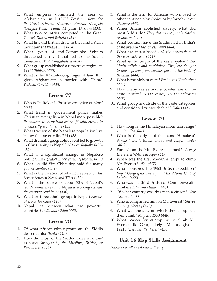- 5. What empires dominated the area of Afghanistan until 1978? *Persian, Alexander the Great, Seleucid, Mauryan, Kushan, Mongols (Genghis Khan), Timur, Mughals, Durrani (434)*
- 6. What two countries competed in the Great Game? *Russia and Britain (434)*
- 7. What line did Britain draw in the Hindu Kush mountains? *Durand Line (434)*
- 8. What group of anti-Communist fighters threatened a revolt that led to the Soviet invasion in 1979? *mujahideen* (434)
- 9. What group established a repressive regime in 1996? *Taliban (435)*
- 10. What is the 185-mile-long finger of land that gives Afghanistan a border with China? *Wakhan Corridor (435)*

- 1. Who is Tej Rokka? *Christian evangelist in Nepal (438)*
- 2. What trend in government policy makes Christian evangelism in Nepal more possible? *the movement away from being officially Hindu to an officially secular state (438)*
- 3. What fraction of the Nepalese population live below the poverty line? *¼ (438)*
- 4. What dramatic geographic event led to growth in Christianity in Nepal? *2015 earthquake (438- 439)*
- 5. What is a significant change in Nepalese political life? *greater involvement of women (439)*
- 6. What job did Sita Chhaudry hold for many years? *kamlari (439)*
- 7. What is the location of Mount Everest? *on the border between Nepal and Tibet (439)*
- 8. What is the source for about 30% of Nepal's GDP? *remittances that Nepalese working outside the country send home (440)*
- 9. What are three ethnic groups in Nepal? *Newar, Sherpas, Gurkhas (440)*
- 10. Nepal lies between what two powerful countries? *India and China (440)*

## **Lesson 78**

- 1. Of what African ethnic group are the Siddis descendants? *Bantu (443)*
- 2. How did most of the Siddis arrive in india? *as slaves, brought by the Muslims, British, or Portuguese (443)*
- 3. What is the term for Africans who moved to other continents by choice or by force? *African diaspora (443)*
- 4. When Britain abolished slavery, what did most Siddis do? *They fled to the jungle fearing recapture. (444)*
- 5. What position have the Siddis had in India's caste system? *the lowest ranks (444)*
- 6. What are castes based on? *the occupations of those in each caste (444)*
- 7. What is the origin of the caste system? *The hindu religion and worldview. They are thought to have sprung from various parts of the body of Brahma. (444)*
- 8. What is the highest caste? *Brahmans (Brahmins) (444)*
- 9. How many castes and subcastes are in the caste system? *3,000 castes, 25,000 subcastes (445)*
- 10. What group is outside of the caste categories and considered "untouchable"? *Dalits (445)*

## **Lesson 79**

- 1. How long is the Himalayan mountain range? *1,550 miles (447)*
- 2. What is the origin of the name Himalaya? *Sanskrit words* hima *(snow) and* alaya *(abode) (447)*
- 3. For whom is Mt. Everest named? *George Everest, a Welsh surveyor (447)*
- 4. When was the first known attempt to climb Mt. Everest? *1921 (447)*
- 5. Who sponsored the 1953 British expedition? *Royal Geographic Society and the Alpine Club of London (448)*
- 6. Who was the third British or Commonwealth climber? *Edmund Hillary (448)*
- 7. Of what country was this man a citizen? *New Zealand (448)*
- 8. Who accompanied him on Mt. Everest? *Sherpa Tenzing Norgay (448)*
- 9. What was the date on which they completed their climb? *May 29, 1953 (448)*
- 10. What reason for attempting to climb Mt. Everest did George Leigh Mallory give in 1921? *"Because it's there." (450)*

## **Unit 16 Map Skills Assignment**

*Answers to all questions will vary.*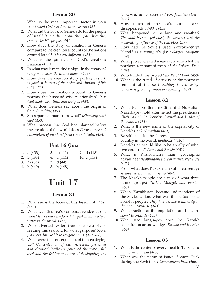- 1. What is the most important factor in your past? *what God has done in the world (451)*
- 2. What did the book of Genesis do for the people of Israel? *It told them about their past, how they came to be His people. (451)*
- 3. How does the story of creation in Genesis compare to the creation accounts of the nations around Israel? *It is very different. (451)*
- 4. What is the pinnacle of God's creation? *mankind (452)*
- 5. In what way is mankind unique in the creation? *Only man bears the divine image. (452)*
- 6. How does the creation story portray rest? *It is good; it is part of the order and rhythm of life. (452-453)*
- 7. How does the creation account in Genesis portray the husband-wife relationship? *It is God-made, beautiful, and unique. (453)*
- 8. What does Genesis say about the origin of Satan? *nothing (453)*
- 9. Sin separates man from what? *fellowship with God (453)*
- 10. What process that God had planned before the creation of the world does Genesis reveal? *redemption of mankind from sin and death. (454)*

## **Unit 16 Quiz**

- 1. d (433) 5. c (440) 9. d (448)
- 2. b (433) 6. a (444) 10. c (448)
- 3. a (435) 7. d (445)
- 4. b (440) 8. b (448)

# **Unit 17**

## **Lesson 81**

- 1. What sea is the focus of this lesson? *Aral Sea (457)*
- 2. What was this sea's comparative size at one time? *It was once the fourth largest inland body of water in the world. (457)*
- 3. Who diverted water from the two rivers feeding this sea, and for what purpose? *Soviet planners diverted it to irrigate crops. (457-458)*
- 4. What were the consequences of the sea drying up? *Concentration of salt increased, pesticides and chemical fertilizers poisoned the water, fish died and the fishing industry died, shipping and*

*tourism dried up, shops and port facilities closed. (458)*

- 5. How much of the sea's surface area disappeared? *80-90% (458)*
- 6. What happened to the land and weather? *The land became poisoned; the weather lost the moderating influence of the sea. (458-459)*
- 7. How had the Soviets used Vozrozhdeniya Island? *as a testing site for biological weapons (459)*
- 8. What project created a reservoir which fed the northern remnant of the sea? *the Kokaral Dam (459)*
- 9. Who funded this project? *the World Bank (459)*
- 10. What is the trend of activity at the northern remnant of the sea? *Fishing is recovering, tourism is growing, shops are opening. (459)*

## **Lesson 82**

- 1. What two positions or titles did Nursultan Nazarbayev hold after he left the presidency? *Chairman of the Security Council and Leader of the Nation (461)*
- 2. What is the new name of the capital city of Kazakhstan? *Nursultan (461)*
- 3. Kazakhstan is the largest country in the world. *landlocked (462)*
- 4. Kazakhstan would like to be an ally of what two countries? *China and Russia (462)*
- 5. What is Kazakhstan's main geographic advantage? *its abundant store of natural resources (462)*
- 6. From what does Kazakhstan suffer currently? *serious environmental issues (462)*
- 7. The Kazakh people are a mix of what three ethnic groups? *Turkic, Mongol, and Persian (463)*
- 8. When Kazakhstan became independent of the Soviet Union, what was the status of the Kazakh people? *They had become a minority in their own country. (463)*
- 9. What fraction of the population are Kazakhs now? *two-thirds (463)*
- 10. What two languages does the Kazakh constitution acknowledge? *Kazakh and Russian (464)*

- 1. What is the center of every meal in Tajikistan? *non or naan bread (465)*
- 2. What was the name of Ismoil Somoni Peak during the Soviet era? *Communism Peak (466)*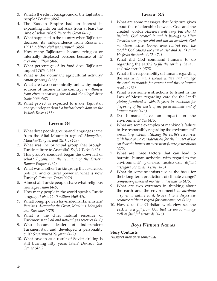- 3. What is the ethnic background of the Tajikistani people? *Persian (466)*
- 4. The Russian Empire had an interest in expanding into central Asia from at least the time of what ruler? *Peter the Great (466)*
- 5. What happened in the country when Tajikistan declared its independence from Russia in 1991? *A bitter civil war erupted. (466)*
- 6. How many Tajikistanis became refugees or internally displaced persons because of it? *over one million (466)*
- 7. What percentage of its food does Tajikistan import? *70% (466)*
- 8. What is the dominant agricultural activity? *cotton growing (466)*
- 9. What are two economically unhealthy major sources of income in the country? *remittances from citizens working abroad and the illegal drug trade (466-467)*
- 10. What project is expected to make Tajikistan energy independent? *a hydroelectric dam on the Vakhsh River (467)*

- 1. What three people groups and languages came from the Altai Mountain region? *Mongolian, Manchu-Tungus, and Turkic (469)*
- 2. What was the principal group that brought Turkic culture to Anatolia? *Seljuk Turks (469)*
- 3. This group's conquest began the downfall of what? *Byzantium, the remnant of the Eastern Roman Empire (469)*
- 4. What was another Turkic group that exercised political and cultural power in what is now Turkey? *Ottoman Turks (469)*
- 5. Almost all Turkic people share what religious heritage? *Islam (469)*
- 6. How many people in the world speak a Turkic language? *about 140 million (469-470)*
- 7. What foreign powers have ruled Turkmenistan? *Persians, Alexander the Great, Muslims, Mongols, and Russians (470)*
- 8. What is the chief natural resource of Turkmenistan? *oil and natural gas reserves (470)*
- 9. Who became leader of independent Turkmenistan and developed a personality cult? *Saparmurad Niyazov (472)*
- 10. What cave-in as a result of Soviet drilling is still burning fifty years later? *Darvaza Gas Crater (471)*

## **Lesson 85**

- 1. What are some messages that Scripture gives about the relationship between God and the created world? *Answers will vary but should include: God created it and it belongs to Him; Creation was purposeful and not an accident; God maintains active, loving, wise control over the world; God causes the sun to rise and sends rain; He feeds the birds. (473-474)*
- 2. What did God command humans to do regarding the earth? *to fill the earth, subdue it, and rule over it. (475)*
- 3. What is the responsibility of humans regarding the earth? *Humans should utilize and manage the earth to provide for current and future human needs. (475)*
- 4. What were some instructions to Israel in the Law of Moses regarding care for the land? *giving farmland a sabbath year; instructions for disposing of the waste of sacrificed animals and of human waste (475)*
- 5. Do humans have an impact on the environment? *Yes (475)*
- 6. What are some examples of mankind's failure to live responsibly regarding the environment? *unsanitary habits; utilizing the earth's resources with little or no consideration for the impact of the earth or the impact on current or future generations (475)*
- 7. What are three factors that can lead to harmful human activities with regard to the environment? *ignorance, carelessness, defiant disregard for what is true (475)*
- 8. What do some scientists use as the basis for their long-term predictions of climate change? *computer-generated models and scenarios (475)*
- 9. What are two extremes in thinking about the earth and the environment? *to attribute a spiritual nature to it; to see it as a disposable resource without regard for consequences (476)*
- 10. How does the Christian worldview see the earth? *as a gift from God that we are to manage well as faithful stewards (476)*

## *Boys Without Names*

#### **Story Contrasts**

*Answers may vary somewhat.*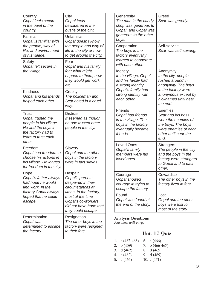| Country<br>Gopal feels secure<br>in the quiet of the<br>country.<br>Familiar<br>Gopal is familiar with                                   | City<br>Gopal feels<br>bewildered in the<br>bustle of the city.<br>Unfamiliar<br>Gopal doesn't know              | Greed<br>Generosity<br>The man in the candy<br>Scar was greedy.<br>shop was generous to<br>Gopal, and Gopal was<br>generous to the other<br>boys.                                                                                                       |
|------------------------------------------------------------------------------------------------------------------------------------------|------------------------------------------------------------------------------------------------------------------|---------------------------------------------------------------------------------------------------------------------------------------------------------------------------------------------------------------------------------------------------------|
| the people, way of<br>life, and environment<br>of his village.<br>Safety                                                                 | the people and way of<br>life in the city or how<br>to get around the city.<br>Fear                              | Self-service<br>Cooperation<br>The boys in the<br>Scar was self-serving.<br>factory eventually<br>learned to cooperate                                                                                                                                  |
| Gopal felt secure in<br>the village.                                                                                                     | Gopal and his family<br>fear what might<br>happen to them, how<br>they would get work,<br>etc.                   | with each other.<br>Anonymity<br>Identity<br>In the village, Gopal<br>In the city, people<br>and his family had<br>rushed around in<br>a strong identity.<br>anonymity. The boys                                                                        |
| <b>Kindness</b><br>Gopal and his friends<br>helped each other.                                                                           | Cruelty<br>The policeman and<br>Scar acted in a cruel<br>way.                                                    | Gopal's family had<br>in the factory were<br>strong identity with<br>anonymous except by<br>nicknames until near<br>each other.<br>the end.                                                                                                             |
| <b>Trust</b><br>Gopal trusted the<br>people in his village.<br>He and the boys in<br>the factory had to<br>learn to trust each<br>other. | <b>Distrust</b><br>It seemed as though<br>no one trusted other<br>people in the city.                            | <b>Friends</b><br>Enemies<br>Gopal had friends<br>Scar and his boss<br>in the village. The<br>were the enemies of<br>boys in the factory<br>the boys. The boys<br>were enemies of each<br>eventually became<br>friends.<br>other until near the<br>end. |
| Freedom<br>Gopal had freedom to<br>choose his actions in<br>his village. He longed<br>for freedom in the city.                           | Slavery<br>Gopal and the other<br>boys in the factory<br>were in fact slaves.                                    | <b>Loved Ones</b><br><b>Strangers</b><br>Gopal's family<br>The people in the city<br>members were his<br>and the boys in the<br>loved ones.<br>factory were strangers<br>to Gopal and to each<br>other.                                                 |
| Hope<br>Gopal's father always<br>had hope he would<br>find work. In the                                                                  | Despair<br>Gopal's parents<br>despaired in their<br>circumstances at                                             | Cowardice<br>Courage<br>Gopal showed<br>The other boys in the<br>courage in trying to<br>factory lived in fear.<br>escape the factory.                                                                                                                  |
| factory Gopal always<br>hoped that he could<br>escape.                                                                                   | times. In the factory,<br>most of the time<br>Gopal's co-workers<br>did not have hope that<br>they could escape. | Found<br>Lost<br>Gopal was found at<br>Gopal and the other<br>the end of the story.<br>boys were lost for<br>most of the story.                                                                                                                         |
| Determination<br>Gopal was<br>determined to escape<br>the factory.                                                                       | Resignation<br>The other boys in the<br>factory were resigned<br>to their fate.                                  | <b>Analysis Questions</b><br>Answers will vary.<br>Unit 17 Quiz                                                                                                                                                                                         |
|                                                                                                                                          |                                                                                                                  | c $(467-468)$<br>a $(466)$<br>1.<br>6.                                                                                                                                                                                                                  |

| 1. $C(467-468)$ | 6. a (466)       |
|-----------------|------------------|
| 2. b $(459)$    | 7. b $(466-467)$ |
| 3. d $(462)$    | 8. d (469)       |
| 4. $c(462)$     | 9. d (469)       |
| 5. a $(465)$    | 10. $c(471)$     |
|                 |                  |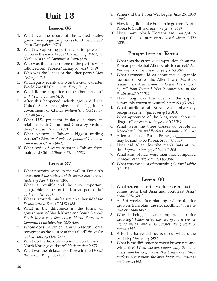# **Unit 18**

# **Lesson 86**

- 1. What was the desire of the United States government regarding access to China called? *Open Door policy (479)*
- 2. What two opposing parties vied for power in China in the early 1900s? *Kuomintang (KMT) or Nationalists and Communist Party (479)*
- 3. Who was the leader of one of the parties who followed Sun Yat-sen? *Chiang Kai-shek (479)*
- 4. Who was the leader of the other party? *Mao Zedong (479)*
- 5. Which party eventually won the civil war after World War II? *Communist Party (479)*
- 6. What did the supporters of the other party do? *withdrew to Taiwan (479)*
- 7. After this happened, which group did the United States recognize as the legitimate government of China? *Nationalists (KMT) on Taiwan (480)*
- 8. What U.S. president initiated a thaw in relations with Communist China by visiting there? *Richard Nixon (480)*
- 9. What country is Taiwan's biggest trading partner? *China (or People's Republic of China, or Communist China) (481)*
- 10. What body of water separates Taiwan from mainland China? *Taiwan Strait (482)*

# **Lesson 87**

- 1. What portraits were on the wall of Eunsun's apartment? *the portraits of the former and current leaders of North Korea (485)*
- 2. What is invisible and the most important geographic feature of the Korean peninsula? *38th parallel (485)*
- 3. What surrounds this feature on either side? *the Demilitarized Zone (DMZ) (485)*
- 4. What is the difference in the forms of government of North Korea and South Korea? *South Korea is a democracy, North Korea is a Communist dictatorship. (485-486)*
- 5. Whom does the typical family in North Korea recognize as the source of their food? *the leader of their country (486-487)*
- 6. What do the horrible economic conditions in North Korea give rise to? *black market (487)*
- 7. What was the nickname of Korea in the 1700s? *the Hermit Kingdom (487)*
- 8. When did the Korea War begin? *June 25, 1950 (488)*
- 9. How long did it take Eunsun to go from North Korea to South Korea? *nine years (489)*
- 10. How many North Koreans are thought to escape that country every year? *about 1,000 (489)*

# **Perspectives on Korea**

- 1. What was the erroneous impression about the Korean people that Allen wrote to correct? *that Koreans were a semi-savage people (G 302)*
- 2. What erroneous ideas about the geographic location of Korea did Allen hear? *Was it an island in the Mediterranean? Could it be reached by rail from Europe? Was it somewhere in the South Seas? (G 302)*
- 3. How long was the river in the capital commonly frozen in winter? *for weeks (G 302)*
- 4. What attribute of Korea was universally recognized? *beautiful scenery (G 303)*
- 5. What appointee of the king went about in disguise? *government inspector (G 303)*
- 6. What were the three classes of people in Korea? *nobility, middle class, commoners (G 304)*
- 7. Allen said that, as Paris is France, so may be said to be Korea. *Seoul (G 305)*
- 8. How did Allen describe men's hats at the time? *gauze "stove-pipe" hats (G 306)*
- 9. What kind of hats were men once compelled to wear? *clay umbrella hats (G 306)*
- 10. What was the color of mourning clothes? *white (G 306)*

- 1. What percentage of the world's rice production comes from East Asia and Southeast Asia? *about 90% (491)*
- 2. At 3-6 weeks after planting, where do rice growers transplant the rice seedlings? *to a rice field or paddy (491)*
- 3. Why is being in water important to rice growing? *Water helps the rice grow, it creates higher yields, and it suppresses the growth of weeds. (491)*
- 4. After the harvested rice is dried, what is the next step? *threshing (492)*
- 5. What is the difference between brown rice and white rice? *When workers remove only the outer husks from the rice, the result is brown rice. When workers also remove the bran layer, the result is white rice. (492)*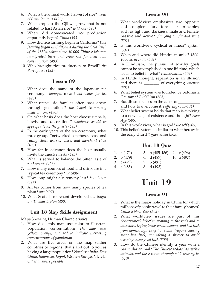- 6. What is the annual world harvest of rice? *about 500 million tons (492)*
- 7. What crop do the Ojibwe grow that is not related to East Asian rice? *wild rice (493)*
- 8. Where did domesticated rice production apparently begin? *China (493)*
- 9. How did rice farming begin in California? *Rice farming began in California during the Gold Rush of the 1850s, when some 40,000 Chinese laborers immigrated there and grew rice for their own consumption. (493)*
- 10. Who brought rice production to Brazil? *the Portuguese (493)*

- 1. What does the name of the Japanese tea ceremony, *chanoyu,* mean? *hot water for tea (495)*
- 2. What utensil do families often pass down through generations? *the teapot (commonly made of iron) (496)*
- 3. On what basis does the host choose utensils, bowls, and decorations? *whatever would be appropriate for the guests (495)*
- 4. In the early years of the tea ceremony, what three groups "networked" on those occasions? *ruling class, warrior class, and merchant class (495)*
- 5. How far in advance does the host usually invite the guests? *weeks (495)*
- 6. What is served to balance the bitter taste of tea? *sweets (496)*
- 7. How many courses of food and drink are in a typical tea ceremony? *12 (496)*
- 8. How long might a ceremony last? *four hours (497)*
- 9. All tea comes from how many species of tea plant? *one (497)*
- 10. What Scottish merchant developed tea bags? *Sir Thomas Lipton (499)*

# **Unit 18 Map Skills Assignment**

Maps Showing Human Characteristics

- 1. How does this map use color to illustrate population concentration? *The map uses yellow, orange, and red to indicate increasing concentrations of population*
- 2. What are five areas on the map (either countries or regions) that stand out to you as having a large population? *Northern India, East China, Indonesia, Egypt, Western Europe, Nigeria. Other answers possible.*

## **Lesson 90**

- 1. What worldview emphasizes two opposite and complementary forces or principles, such as light and darkness, male and female, passive and active? *yin yang or yin and yang (501)*
- 2. Is this worldview cyclical or linear? *cyclical (501)*
- 3. When and where did Hinduism arise? *1500- 1000 bc in India (502)*
- 4. In Hinduism, the pursuit of worthy goals cannot be accomplished in one lifetime, which leads to belief in what? *reincarnation (502)*
- 5. In Hindu thought, separation is an illusion and there is \_\_\_\_\_\_\_\_ of everything. *oneness (502)*
- 6. What belief system was founded by Siddharta Gautama? *Buddhism (503)*
- 7. Buddhism focuses on the cause of and how to overcome it. *suffering (503-504)*
- 8. What belief system holds that man is evolving to a new stage of existence and thought? *New Age (505)*
- 9. In this worldview, what is god? *the self (505)*
- 10. This belief system is similar to what heresy in the early church? *gnosticism (505)*

# **Unit 18 Quiz**

| 1. a $(479)$    | 5. b $(485-486)$ 9. c $(496)$ |             |
|-----------------|-------------------------------|-------------|
| 2. b $(479)$    | 6. d (487)                    | 10. a (497) |
| 3. $\int (479)$ | 7. b $(491)$                  |             |
| 4. a (485)      | 8. d (493)                    |             |

# **Unit 19**

- 1. What is the major holiday in China for which millions of people travel to their family homes? *Chinese New Year (509)*
- 2. What worldview issues are part of this observance? *belief in praying to the gods and to ancestors, trying to sweep out demons and bad luck from homes, figures of lions and dragons chasing away bad luck, not taking a shower to avoid washing away good luck (509)*
- 3. How do the Chinese identify a year with a particular animal? *The Chinese zodiac has twelve animals, and these rotate through a 12-year cycle. (510)*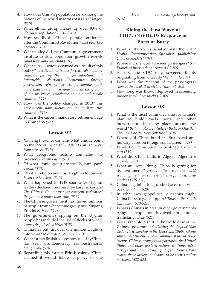- 4. How does China's population rank among the nations of the world in terms of its size? *largest (510)*
- 5. What ethnic group makes up over 90% of China's population? *Han (510)*
- 6. How rapidly did China's population double after the Communist Revolution? *just over two decades (510)*
- 7. What policy did the Communist government institute to slow population growth? *parents could have only one child (510)*
- 8. What consequences occurred as a result of this policy? *sterilizations (some forced); abandoning children, putting them up for adoption, and infanticide; abortions (sometimes forced); government refusing services for families with more than one child; a slowdown in the growth of the workforce; imbalance of male and female children (511)*
- 9. How was the policy changed in 2013? *The government now allows couples to have two children. (512)*
- 10. What is the current mandatory retirement age in China? *55 (512)*

- 1. Xinjiang Province contains what unique point on the face of the earth? *the point that is farthest from any sea (513)*
- 2. What geographic feature dominates the province? *Tarim Basin (513)*
- 3. Of what ethnic group are the Uyghurs part? *Turkic (513)*
- 4. Of what religion are most Uyghurs followers? *Islam (or Muslim) (513)*
- 5. What happened in 1949 soon after Uyghur leaders declared the area to be East Turkestan? *The Chinese Communist government reabsorbed the province under their rule. (513)*
- 6. The Chinese government has moved millions of people from what ethnic group into Xinjiang Province? *Han (514)*
- 7. The government's spying on the Uyghur people has included the use of flocks of what? *drones disguised as birds (515)*
- 8. China has put just over one million Uyghurs into what? *re-education centers (515)*
- 9. What former British colony now ruled by China has seen pro-democracy demonstrations? *Hong Kong (516)*
- 10. Regarding this former British colony, China claimed it would follow a policy of one

\_\_\_\_\_\_\_, two \_\_\_\_\_\_\_\_. *one country, two systems (516)*

## **Riding the First Wave of CDC's COVID-19 Response at Ports of Entry**

- 1. What is Jill Brown's usual job with the CDC? *Health Communication Specialist, publicizing CDC research (G 309)*
- 2. Where did she work to screen passengers? *San Francisco International Airport (G 309)*
- 3. At first the CDC only screened flights originating from what city? *Wuhan (G 309)*
- 4. What was the reaction of the passengers? *cooperative, took it in stride, "nice" (G 309)*
- 5. How long was Brown deployed in screening passengers? *three weeks (G 309)*

- 1. What is the most common name for China's plan to build roads, ports, and other infrastructure in many places around the world? *Belt and Road Initiative (BRI), or One Belt One Road or the New Silk Road (518)*
- 2. Where did China build its first naval and military bases on foreign soil? *Djibouti (519)*
- 3. What did China build in Santiago, Cuba? *a port (519)*
- 4. What did China build in Algiers, Algeria? *a mosque (519)*
- 5. What are some things China is getting for its investments? *greater influence in the world economy, reliable sources of energy, food, new markets (519-520)*
- 6. China is gaining long-desired access to what ocean? *Indian (520)*
- 7. In what two geopolitical questions might China hope to gain support? *Taiwan, the South China Sea (520-521)*
- 8. What is China's interest in other governments being corrupt or involved in human trafficking? *none (521)*
- 9. How is the BRI a shift in the worldview of the Chinese government? *During the days of Mao Zedong's leadership in the 1950s and 1960s, China saw almost the entire non-Communist world as the enemy. Chinese propaganda portrayed the United States and other western nations as "imperialist lackeys and their running dogs." Now China wants those lackeys and dogs to be their trading partners. (522-523)*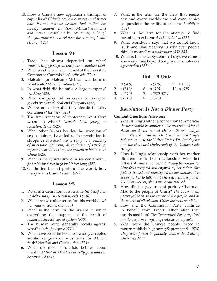10. How is China's new approach a triumph of capitalism? *China's economic success and power have become possible because that nation has largely abandoned traditional Marxist economics and moved toward market economics, although the government's control over the economy is still strong. (523)*

### **Lesson 94**

- 1. Trade has always depended on what? *transporting goods from one place to another (524)*
- 2. What was the primary interest of the Interstate Commerce Commission? *railroads (524)*
- 3. Malcolm (or Malcom) McLean was born in what state? *North Carolina (525)*
- 4. In what field did he build a large company? *trucking (525)*
- 5. What company did he create to transport goods by water? *SeaLand Company (525)*
- 6. Where on a ship did they decide to carry containers? *the deck (525)*
- 7. The first transport of containers went from where to where? *Newark, New Jersey, to Houston, Texas (525)*
- 8. What other factors besides the invention of sea containers have led to the revolution in shipping? *increased use of computers, building of interstate highways, deregulation of trucking, repeated world oil crises, the growth of business in China (525)*
- 9. What is the typical size of a sea container? *8 feet wide by 8 feet high by 20 feet long (527)*
- 10. Of the ten busiest ports in the world, how many are in China? *seven (527)*

## **Lesson 95**

- 1. What is a definition of atheism? *the belief that no deity, no spiritual realm, exists (530)*
- 2. What are two other terms for this worldview? *naturalism, secularism (530)*
- 3. What is the term for the system in which everything that happens is the result of material forces? *closed system (530)*
- 4. The human mind generally recoils against what? *a lack of purpose (531)*
- 5. What have been the two most widely accepted secular religions or substitutes for Biblical faith? *Naziism and Communism (531)*
- 6. What do most secularists believe about mankind? *that mankind is basically good and can be retrained (531)*
- 7. What is the term for the view that rejects any and every worldview and even denies or questions the reality of existence? *nihilism (532)*
- 8. What is the term for the attempt to find meaning in existence? *existentialism (532)*
- 9. What worldview says that we cannot know truth and that meaning is whatever people think it means? *postmodernism (532-533)*
- 10. What is the belief system that says we cannot know anything beyond our physical existence? *agnosticism (533)*

## **Unit 19 Quiz**

| 1. $d(509)$     | 5. b $(515)$     | 9. b $(525)$  |
|-----------------|------------------|---------------|
| 2. c $(510)$    | 6. b $(518)$     | 10. a $(525)$ |
| 3. a $(510)$    | 7. a $(520-521)$ |               |
| 4. $\int (513)$ | 8. c $(525)$     |               |

## *Revolution Is Not a Dinner Party*

#### **Content Questions Answers:**

- 1. What is Ling's father's connection to America? *Answer should be similar to: He was trained by an American doctor named Dr. Smith who taught him Western medicine. Dr. Smith invited Ling's father to come to the United States. Dr. Smith gave him the cherished photograph of the Golden Gate Bridge.*
- 2. How is Ling's relationship with her mother different from her relationship with her father? *Answers will vary, but may be similar to: Ling feels accepted and enjoyed by her father. She feels criticized and unaccepted by her mother. It is easier for her to talk and be herself with her father. With her mother, she is more constrained.*
- 3. How did the government portray Chairman Mao to the people of China? *The government portrayed Mao as the savior of the people, and as the source of all wisdom. Other answers possible.*
- 4. How did the Communist Party continue to benefit from Ling's father after they imprisoned him? *The Communist Party required him to perform surgical operations on officials.*
- 5. What were the Chinese people forced to mourn publicly beginning September 9, 1976? *They were forced to publicly mourn the death of Chairman Mao.*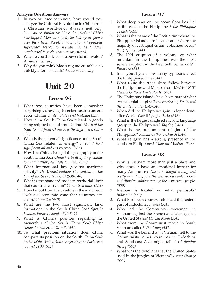#### **Analysis Questions Answers**

- 1. In two or three sentences, how would you analyze the Cultural Revolution in China from a Christian worldview? *Answers will vary, but may be similar to: Since the people of China worshipped Mao as a god, he had great power over their lives. People's ambitions and opinions superseded respect for human life. As different people tried to grab power, chaos ensued.*
- 2. Why do you think fear is a powerful motivator? *Answers will vary.*
- 3. Why do you think Mao's regime crumbled so quickly after his death? *Answers will vary.*

# **Unit 20**

## **Lesson 96**

- 1. What two countries have been somewhat surprisingly drawing closer because of concern about China? *United States and Vietnam (537)*
- 2. How is the South China Sea related to goods being shipped to and from China? *Much of the trade to and from China goes through there. (537- 538)*
- 3. What is the potential significance of the South China Sea related to energy? *It could hold significant oil and gas reserves. (538)*
- 4. How has China changed the geography of the South China Sea? *China has built up tiny islands to build military outposts on them*. *(538)*
- 5. What international law governs maritime activity? *The United Nations Convention on the Law of the Sea (UNCLOS) (538-540)*
- 6. What is the standard modern territorial limit that countries can claim? *12 nautical miles (539)*
- 7. How far out from the baseline is the maximum exclusive economic zone that countries can claim? *200 miles (540)*
- 8. What are the two most significant land formations in the South China Sea? *Spratly Islands, Paracel Islands (540-541)*
- 9. What is China's position regarding its ownership of the South China Sea? *China claims to own 80-90% of it*. *(541)*
- 10. To what previous situation does China compare its position on the South China Sea? *to that of the United States regarding the Caribbean around 1900 (542)*

#### **Lesson 97**

- 1. What deep spot on the ocean floor lies just to the east of the Philippines? *the Philippine Trench (544)*
- 2. What is the name of the Pacific rim where the Philippine islands are located and where the majority of earthquakes and volcanoes occur? *Ring of Fire (544)*
- 3. The 1991 eruption of a volcano on what mountain in the Philippines was the most severe eruption in the twentieth century? *Mt. Pinatubo (544)*
- 4. In a typical year, how many typhoons affect the Philippines? *nine (544)*
- 5. What route did trade ships follow between the Philippines and Mexico from 1565 to 1815? *Manila Galleon Trade Route (545)*
- 6. The Philippine islands have been part of what two colonial empires? *the empires of Spain and the United States (545-546)*
- 7. When did the Philippines gain independence after World War II? *July 4, 1946 (546)*
- 8. What is the largest single ethnic and language group in the Philippines? *Tagalog (546)*
- 9. What is the predominant religion of the Philippines? *Roman Catholic Church (546)*
- 10. What religion has a strong presence in the southern Philippines? *Islam (or Muslim) (546)*

- 1. Why is Vietnam more than just a place and why does it have an emotional impact for many Americans? *The U.S. fought a long and costly war there, and the war was a controversial and divisive subject among the American people. (550)*
- 2. Vietnam is located on what peninsula? *Indochina (550)*
- 3. What European country colonized the eastern part of Indochina? *France (550)*
- 4. Who led the Communist movement in Vietnam against the French and later against the United States? *Ho Chi Minh (550)*
- 5. What were the Communist rebels in South Vietnam called? *Viet Cong (551)*
- 6. What was the belief that, if Vietnam fell to the Communists, other countries in Indochina and Southeast Asia might fall also? *domino theory (551)*
- 7. What was the defoliant that the United States used in the jungles of Vietnam? *Agent Orange (551)*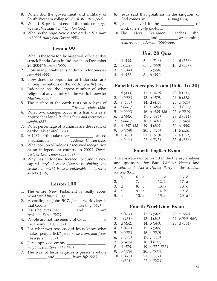- 8. When did the government and military of South Vietnam collapse? *April 30, 1975 (552)*
- 9. What U.S. president ended the trade embargo against Vietnam? *Bill Clinton (552)*
- 10. What is the huge cave discovered in Vietnam in 1990? *Hang Son Doong (553)*

- 1. What is the term for the huge wall of water that struck Banda Aceh in Indonesia on December 26, 2004? *tsunami (555)*
- 2. How many inhabited islands are in Indonesia? *over 900 (555)*
- 3. How does the population of Indonesia rank among the nations of the world? *fourth (556)*
- 4. Indonesia has the largest number of what religion of any country in the world? *Islam (or Muslim) (556)*
- 5. The surface of the earth rests on a layer of \_\_\_\_\_\_\_\_\_\_\_\_\_ \_\_\_\_\_\_\_\_\_? *tectonic plates (556)*
- 6. What two changes occur in a tsunami as it approaches land? *It slows down and increases in height*. *(557)*
- 7. What percentage of tsunamis are the result of earthquakes? *80% (557)*
- 8. A 1964 earthquake near \_\_\_\_\_\_\_\_\_\_\_\_ caused a tsunami in \_\_\_\_\_\_\_\_\_\_\_. *Alaska, Hawaii (558)*
- 9. What portion of Indonesia received recognition as an independent country in 2002? *Timor-Leste or East Timor (558-559)*
- 10. Why has Indonesia decided to build a new capital city? *Because Jakarta is sinking and because it might be less vulnerable to terrorist attacks. (559)*

#### **Lesson 100**

- 1. The entire New Testament is really about what? *worldview (561)*
- 2. According to John 5:17, Jesus' worldview is that God is \_\_\_\_\_\_\_\_\_\_\_\_\_\_\_. *working (561)*
- 3. Jesus believes that \_\_\_\_\_\_\_\_ and \_\_\_\_\_\_\_\_ are real. *sin, Satan (562)*
- 4. People are not the enemy of God; \_\_\_\_\_\_\_\_ is the enemy. *Satan (562)*
- 5. For what two reasons did Jesus know what makes people tick? *Jesus made them, and Jesus was a person. (562)*
- 6. Jesus opposed empty \_\_\_\_\_\_\_\_\_\_ \_\_\_\_\_\_\_\_\_. *religious traditions (563-564)*
- 7. The way of Jesus requires a person's whole \_\_\_\_\_\_\_\_\_\_ and \_\_\_\_\_\_\_\_. *heart, life (564)*
- 8. Jesus said that greatness in the kingdom of God comes by \_\_\_\_\_\_\_\_\_\_. *serving (564)*
- 9. Jesus believed in the \_\_\_\_\_\_\_\_\_\_\_\_\_\_\_\_\_ of God. *sovereignty (564-565)*
- 10. The New Testament teaches that  $\_$  and  $\_$  are coming.

*resurrection, judgment (5565-566)*

## **Unit 20 Quiz**

| 1. $d(538)$  | 5. $\text{c}(546)$ | 9. $d(556)$  |
|--------------|--------------------|--------------|
| 2. $c(539)$  | 6. a $(550)$       | 10. $d(557)$ |
| 3. a $(544)$ | 7. b $(550)$       |              |
| 4. $d(544)$  | 8. b $(551)$       |              |

## **Fourth Geography Exam (Units 16-20)**

|    | 1. $d(433)$    | 12. a $(479)$   | 23. b $(515)$ |
|----|----------------|-----------------|---------------|
|    | 2. $b(433)$    | 13. b (479)     | 24. b (518)   |
| 3. | a(435)         | 14. d (479)     | 25. c $(525)$ |
|    | 4. $c(440)$    | 15. a $(485)$   | 26. d (538)   |
| 5. | b(448)         | 16. b (485-486) | 27. c (539)   |
|    | 6. $d(448)$    | 17. $c(496)$    | 28. d (544)   |
|    | 7. $c(448)$    | 18. a (497)     | 29. c $(546)$ |
|    | 8. d (457-458) | 19. d (509)     | 30. a $(550)$ |
|    | 9. b $(459)$   | 20. $c(510)$    | 31. b $(550)$ |
|    | 10. a $(465)$  | 21. a $(510)$   | 32. b $(551)$ |
|    | 11. a $(466)$  | 22. $c(513)$    | 33. d (556)   |

## **Fourth English Exam**

The answers will be found in the literary analysis and questions for *Boys Without Names* and *Revolution Is Not a Dinner Party* in the *Student Review Book*.

| 1. b | 6. c  | 11. c | 16. d |
|------|-------|-------|-------|
| 2. c | 7. d  | 12. b | 17. a |
| 3. d | 8. b  | 13. a | 18. d |
| 4. c | 9. a  | 14. b | 19. d |
| 5. b | 10. a | 15.c  | 20. a |

## **Fourth Worldview Exam**

| 1. $a(451)$   | 12. b $(502)$     | 23. c $(562)$   |
|---------------|-------------------|-----------------|
| 2. $c(451)$   | 13. $d(502)$      | 24. c (563-564) |
| 3. d $(452)$  | 14. b $(503)$     | 25. d $(564)$   |
| 4. $a(452)$   | 15. b $(505)$     |                 |
| 5. b $(453)$  | 16. a $(530)$     |                 |
| 6. a $(475)$  | 17. $c(530)$      |                 |
| 7. b $(475)$  | 18. $d(532)$      |                 |
| 8. $d(475)$   | 19. c $(532-533)$ |                 |
| 9. b $(476)$  | 20. a $(533)$     |                 |
| 10. a $(476)$ | 21. $c(561)$      |                 |
| 11. $c(501)$  | 22. a $(562)$     |                 |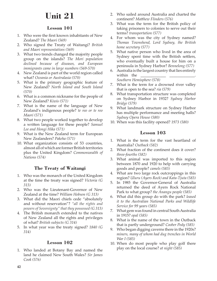# **Unit 21**

## **Lesson 101**

- 1. Who were the first known inhabitants of New Zealand? *The Maori (569)*
- 2. Who signed the Treaty of Waitangi? *British and Maori representatives (569)*
- 3. What two trends changed the majority people group on the islands? *The Mori population declined because of diseases, and European immigrants came in large numbers (569-570)*
- 4. New Zealand is part of the world region called what? *Oceania or Australasia (570)*
- 5. What is the primary geographic feature of New Zealand? *North Island and South Island (570)*
- 6. What is a common nickname for the people of New Zealand? *Kiwis (571)*
- 7. What is the name of the language of New Zealand's indigenous people? *te reo or te reo Maori (571)*
- 8. What two people worked together to develop a written language for these people? *Samuel Lee and Hongi Hika (571)*
- 9. What is the New Zealand term for European New Zealanders? *Pakeha (571)*
- 10. What organization consists of 53 countries, almost all of which are former British territories plus the United Kingdom? *Commonwealth of Nations (574)*

# **The Treaty of Waitangi**

- 1. Who was the monarch of the United Kingdom at the time the treaty was signed? *Victoria (G 313)*
- 2. Who was the Lieutenant-Governor of New Zealand at the time? *William Hobson (G 313)*
- 3. What did the Maori chiefs cede "absolutely and without reservation"? *"all the rights and powers of Sovereignty" that they possessed (G 313)*
- 4. The British monarch extended to the natives of New Zealand all the rights and privileges of what? *British subjects (G 314)*
- 5. In what year was the treaty signed? *1840 (G 314)*

## **Lesson 102**

1. Who landed at Botany Bay and named the land he claimed New South Wales? *Sir James Cook (576)*

- 2. Who sailed around Australia and charted the continent? *Matthew Flinders (576)*
- 3. What was the term for the British policy of taking prisoners to colonies to serve out their terms? *transportation (577)*
- 4. For whom was the city of Sydney named? *Thomas Townshend, Lord Sydney, the British home secretary (577)*
- 5. What native person who lived in the area of Sydney spent time with the British settlers, who eventually built a house for him on a peninsula in Sydney Harbor? *Bennelong (577)*
- 6. Australia is the largest country that lies entirely within the

*Southern Hemisphere (578)*

- 7. What is the term for a drowned river valley that is open to the sea? *ria (579)*
- 8. What transportation structure was completed on Sydney Harbor in 1932? *Sydney Harbor Bridge (579)*
- 9. What landmark structure on Sydney Harbor has multiple performance and meeting halls? *Sydney Opera House (580)*
- 10. When was this facility opened? *1973 (580)*

- 1. What is the term for the vast heartland of Australia? *Outback (582)*
- 2. What fraction of the continent does it cover? *three-fourths (582)*
- 3. What animal was imported to this region between 1870 and 1920 to help with carrying goods and people? *camels (583)*
- 4. What are two large rock outcroppings in this region? *Uluru (Ayers Rock) and Kata-Tjuta (583)*
- 5. In 1985 the Governor-General of Australia returned the deed of Ayers Rock National Park to what group? *the Anangu people (585)*
- 6. What did this group do with the park? *leased it to the Australian National Parks and Wildlife Service for 99 years (585)*
- 7. What gem was found in central South Australia in 1915? *opal (585)*
- 8. What is the name of the town in the Outback that is partly underground? *Coober Pedy (585)*
- 9. Who began digging caverns there in the 1920s? *miners, many of whom had dug trenches in World War I (585)*
- 10. When do most people who play golf there play on the local course? *at night (585)*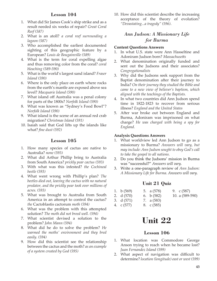- 1. What did Sir James Cook's ship strike and as a result needed six weeks of repair? *Great Coral Reef (587)*
- 2. What is an atoll? *a coral reef surrounding a lagoon (587)*
- 3. Who accomplished the earliest documented sighting of this geographic feature by a European? *Louis de Bougainville (589)*
- 4. What is the term for coral expelling algae and thus removing color from the coral? *coral bleaching (589-590)*
- 5. What is the world's largest sand island? *Fraser Island (590)*
- 6. Where is the only place on earth where rocks from the earth's mantle are exposed above sea level? *Macquarie Island (590)*
- 7. What island off Australia was a penal colony for parts of the 1800s? *Norfolk Island (590)*
- 8. What was known as "Sydney's Food Bowl"? *Norfolk Island (590)*
- 9. What island is the scene of an annual red crab migration? *Christmas Island (591)*
- 10. Isaiah said that God lifts up the islands like what? *fine dust (592)*

### **Lesson 105**

- 1. How many species of cactus are native to Australia? *none (593)*
- 2. What did Arthur Phillip bring to Australia from South America? *prickly pear cactus (593)*
- 3. With what was this infested? *the Cochineal beetle (593)*
- 4. What went wrong with Phillip's plan? *The beetles died out, leaving the cactus with no natural predator, and the prickly pear took over millions of acres. (593)*
- 5. What was brought to Australia from South America in an attempt to control the cactus? *the* Cactoblastis cactorum *moth (594)*
- 6. What was the problem with this attempted solution? *The moth did not breed well. (594)*
- 7. What scientist devised a solution to the problem? *John Mann (594)*
- 8. What did he do to solve the problem? *He warmed the moths' environment and they bred easily. (594)*
- 9. How did this scientist see the relationship between the cactus and the moth? *as an example of a system created by God (595)*

10. How did this scientist describe the increasing acceptance of the theory of evolution? *"Devastating...a tragedy" (596)*.

## *Ann Judson: A Missionary Life for Burma*

#### **Content Questions Answers**

- 1. In what U.S. state were Ann Hasseltine and Adoniram Judson born? *Massachusetts*
- 2. What denomination originally funded and sent out the Judsons and their associates? *Congregationalists*
- 3. Why did the Judsons seek support from the Baptist denomination after their journey to India? *On their journey they studied the Bible and came to a new view of believer's baptism, which aligned with the teachings of the Baptists.*
- 4. In what two countries did Ann Judson spend time in 1822-1823 to recover from serious illness? *England and the United States*
- 5. After war broke out between England and Burma, Adoniram was imprisoned on what charge? *He was charged with being a spy for England.*

#### **Analysis Questions Answers**

- 1. What worldview led Ann Judson to go as a missionary to Burma? *Answers will vary, but may include: Ann Judson sought to obey God's call to take the gospel to all nations.*
- 2. Do you think the Judsons' mission in Burma was "successful?" *Answers will vary.*
- 3. Write a one-paragraph review of *Ann Judson: A Missionary Life for Burma. Answers will vary.*

## **Unit 21 Quiz**

| 1. b $(569)$ | 5. a $(578)$ | 9. c (587)      |
|--------------|--------------|-----------------|
| 2. d (570)   | 6. b $(582)$ | 10. a (589-590) |
| - - - - - -  | ________     |                 |

- 3. d (571) 7. a (583)
- 4. c (577) 8. c (585)

# **Unit 22**

- 1. What location was Commodore George Anson trying to reach when he became lost? *Juan Fernandez Island (599)*
- 2. What aspect of navigation was difficult to determine? *location (longitude) east or west (599)*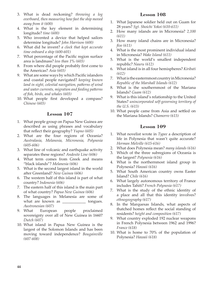- 3. What is dead reckoning? *throwing a log overboard, then measuring how fast the ship moved away from it (600)*
- 4. What is the key element in determining longitude? *time (600)*
- 5. Who invented a device that helped sailors determine longitude? *John Harrison (600)*
- 6. What did he invent? *a clock that kept accurate time onboard a ship (600-601)*
- 7. What percentage of the Pacific region surface area is landmass? *less than 1% (603)*
- 8. From where did people probably first come to the Americas? *Asia (603)*
- 9. What are some ways by which Pacific islanders and coastal people navigated? *keeping known land in sight, celestial navigation, patterns of wind and water currents, migration and feeding patterns of fish, birds, and whales (603)*
- 10. What people first developed a compass? *Chinese (603)*

- 1. What people group on Papua New Guinea are described as using phrases and vocabulary that reflect their geography? *Yupno (605)*
- 2. What are the four regions of Oceania? *Australasia, Melanesia, Micronesia, Polynesia (605-606)*
- 3. What line of volcanic and earthquake activity separates these regions? *Andesite Line (606)*
- 4. What term comes from Greek and means "black islands"? *Melanesia (606)*
- 5. What is the second largest island in the world after Greenland? *New Guinea (606)*
- 6. The western half of this island is part of what country? *Indonesia (606)*
- 7. The eastern half of this island is the main part of what country? *Papua New Guinea (606)*
- 8. The languages in Melanesia are some of what are known as \_\_\_\_\_\_\_\_\_\_\_\_\_ tongues. *Austronesian (607)*
- 9. What European people proclaimed sovereignty over all of New Guinea in 1660? *Dutch (607)*
- 10. What island in Papua New Guinea is the largest of the Solomon Islands and has been moving toward independence? *Bougainville (607-608)*

#### **Lesson 108**

- 1. What Japanese soldier held out on Guam for 28 years? *Sgt. Shoichi Yokoi (610-611)*
- 2. How many islands are in Micronesia? *2,100 (611)*
- 3. How many island chains are in Micronesia? *five (611)*
- 4. What is the most prominent individual island in Micronesia? *Wake Island (611)*
- 5. What is the world's smallest independent republic? *Nauru (612)*
- 6. What island is in all four hemispheres? *Kiribati (612)*
- 7. What is the easternmost country in Micronesia? *Republic of the Marshall Islands (612)*
- 8. What is the southernmost of the Mariana Islands? *Guam (612)*
- 9. What is this island's relationship to the United States? *unincorporated self-governing territory of the U.S. (613)*
- 10. What people came from Asia and settled on the Mariana Islands? *Chamorro (613)*

- 1. What novelist wrote in *Typee* a description of life in Polynesia that wasn't quite accurate? *Herman Melville (615-616)*
- 2. What does Polynesia mean? *many islands (616)*
- 3. Which of the three subregions of Oceania is the largest? *Polynesia (616)*
- 4. What is the northernmost island group in Polynesia? *Hawaii (616)*
- 5. What South American country owns Easter Island? *Chile (616)*
- 6. What largely autonomous territory of France includes Tahiti? *French Polynesia (617)*
- 7. What is the study of the ethnic identity of a place and all that this identity involves? *ethnogeography (617)*
- 8. In the Marquesas Islands, what aspects of thatched homes reflect the social standing of residents? *height and composition (617)*
- 9. What country exploded 192 nuclear weapons in French Polynesia between 1962 and 1996? *France (618)*
- 10. What is home to 70% of the population of Polynesia? *Hawaii (618)*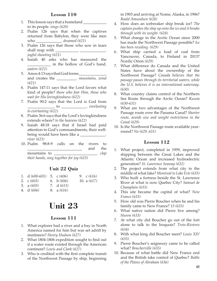- 1. This lesson says that a homeland to its people. *sings (620)*
- 2. Psalm 126 says that when the captives returned from Babylon, they were like men who \_\_\_\_\_\_\_\_\_\_\_\_\_. *dreamed (621)*
- 3. Psalm 126 says that those who sow in tears shall reap with *joyful shouting (621)*
- 4. Isaiah 40 asks who has measured the \_\_\_\_\_\_\_\_\_\_\_\_ in the hollow of God's hand. *waters (621)*
- 5. Amos 4:13 says that God forms and creates the \_\_\_\_\_\_\_\_\_\_. *mountains, wind (621)*
- 6. Psalm 147:11 says that the Lord favors what kind of people? *those who fear Him, those who wait for His lovingkindness (622)*
- 7. Psalm 90:2 says that the Lord is God from \_\_\_\_\_\_\_\_\_\_\_\_\_\_ to \_\_\_\_\_\_\_\_\_\_\_\_\_. *everlasting to everlasting (622)*
- 8. Psalm 36:6 says that the Lord's lovingkindness extends where? *to the heavens (622)*
- 9. Isaiah 48:18 says that if Israel had paid attention to God's commandments, their wellbeing would have been like a *river (623)*
- 10. Psalm 98:8-9 calls on the rivers to \_\_\_\_\_\_\_\_\_\_\_\_\_\_\_\_\_\_\_\_\_\_\_\_\_\_\_\_ and the mountains to \_\_\_\_\_\_\_\_\_\_\_\_\_\_\_\_\_\_\_\_\_\_. *clap*

*their hands, sing together for joy (623)*

# **Unit 22 Quiz**

- 1. d *(600-601)* 2. c *(603)* 3. a *(603)* 5. c *(606)* 6. b *(606)* 7. d *(613)* 9. c *(616)* 10. a *(617)*
- 4. d *(606)* 8. a *(616)*

# **Unit 23**

## **Lesson 111**

- 1. What explorer had a river and a bay in North America named for him but was set adrift by mutineers? *Henry Hudson (627)*
- 2. What 1804-1806 expedition sought to find out if a water route existed through the American continent? *Lewis and Clark (627)*
- 3. Who is credited with the first complete transit of the Northwest Passage by ship, beginning

in 1903 and arriving at Nome, Alaska, in 1906? *Roald Amundsen (628)*

- 4. How does an icebreaker ship break ice? *The captain pushes the ship up onto the ice and it breaks through with its weight. (628)*
- 5. What change in the Arctic Ocean since 2000 has made the Northwest Passage possible? *Ice has been receding. (629)*
- 6. What ship carried a load of coal from Vancouver, Canada, to Finland in 2013? Nordic Orion *(629)*
- 7. What difference do Canada and the United States have about the ownership of the Northwest Passage? *Canada believes that the passage passes through its territorial waters, while the U.S. believes it is an international waterway. (630)*
- 8. What country claims control of the Northern Sea Route through the Arctic Ocean? *Russia (630-631)*
- 9. What are two advantages of the Northwest Passage route over the Panama Canal? *Shorter route, avoids size and weight restrictions in the Canal (629)*
- 10. Is the Northwest Passage route available yearround? *No (629, 631)*

- 1. What project, completed in 1959, improved shipping between the Great Lakes and the Atlantic Ocean and increased hydroelectric generation? *St. Lawrence Seaway (632)*
- 2. The project extends from what city to the middle of what lake? *Montreal to Lake Erie (633)*
- 3. Who built a fortress beside the St. Lawrence River at what is now Quebec City? *Samuel de Champlain (633)*
- 4. This site became the capital of what? *New France (633)*
- 5. How old was Pierre Boucher when he and his family came to New France? *13 (633)*
- 6. What native nation did Pierre live among? *Huron (633)*
- 7. At what city did Boucher go out of the fort alone to talk to the Iroquois? *Trois-Rivieres (634)*
- 8. With what king did Boucher meet? *Louis XIV (635)*
- 9. Pierre Boucher's seigneury came to be called what? *Boucherville (635)*
- 10. Because of what battle did New France end and the British take control of Quebec? *Battle of the Plains of Abraham (636)*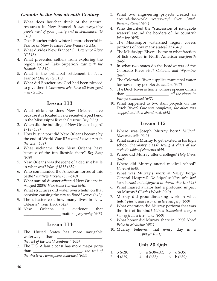## *Canada in the Seventeenth Century*

- 1. What does Boucher think of the natural resources in New France? *It has everything people need of good quality and in abundance. (G 318)*
- 2. Does Boucher think winter is more cheerful in France or New France? *New France (G 318)*
- 3. What divides New France? *St. Lawrence River (G 318)*
- 4. What prevented settlers from exploring the region around Lake Superior? *war with the Iroquois (G 319)*
- 5. What is the principal settlement in New France? *Quebec (G 319)*
- 6. What did Boucher say God had been pleased to give them? *Governors who have all been good men (G 320)*

## **Lesson 113**

- 1. What nickname does New Orleans have because it is located in a crescent-shaped bend in the Mississippi River? *Crescent City (638)*
- 2. When did the building of New Orleans begin? *1718 (639)*
- 3. How busy a port did New Orleans become by the end of World War II? *second busiest port in the U.S. (639)*
- 4. What nickname does New Orleans have because of the fun lifestyle there? *Big Easy (639)*
- 5. New Orleans was the scene of a decisive battle in what war? *War of 1812 (639)*
- 6. Who commanded the American forces at this battle? *Andrew Jackson (639-640)*
- 7. What natural disaster affected New Orleans in August 2005? *Hurricane Katrina (640)*
- 8. What structures did water overwhelm on that occasion causing the city to flood? *levees (642)*
- 9. The disaster cost how many lives in New Orleans? *about 1,800 (642)*
- 10. New Orleans is evidence that \_\_\_\_\_\_\_\_\_\_\_\_\_\_\_\_\_\_\_ matters. *geography (643)*

#### **Lesson 114**

- 1. The United States has more navigable waterways than *the rest of the world combined (644)*
- 2. The U.S. Atlantic coast has more major ports than \_\_\_\_\_\_\_\_\_\_\_\_\_\_\_\_\_\_\_\_\_\_\_\_\_. *the rest of*

*the Western Hemisphere combined (644)*

- 3. What two engineering projects created an around-the-world waterway? *Suez Canal, Panama Canal (644)*
- 4. Who described the "succession of navigable waters" around the borders of the country? *John Jay (645)*
- 5. The Mississippi watershed region covers portions of how many states? *32 (646)*
- 6. The Mississippi River is home to what fraction of fish species in North America? *one-fourth (646)*
- 7. In what two states do the headwaters of the Colorado River rise? *Colorado and Wyoming (647)*
- 8. The Colorado River supplies municipal water for how many people? *30 million (647)*
- 9. The Duck River is home to more species of fish than \_\_\_\_\_\_\_\_\_\_\_\_\_\_\_\_\_\_\_\_\_\_. *all the rivers in Europe combined (647)*
- 10. What happened to two dam projects on the Duck River? *One was completed, the other was stopped and then abandoned. (648)*

## **Lesson 115**

- 1. Where was Joseph Murray born? *Milford, Massachusetts (649)*
- 2. What caused Murray to get excited in his high school chemistry class? *seeing a chart of the periodic table of elements (649)*
- 3. Where did Murray attend college? *Holy Cross (649)*
- 4. Where did Murray attend medical school? *Harvard (649)*
- 5. What was Murray's work at Valley Forge General Hospital? *He helped soldiers who had been burned and disfigured in World War II. (649)*
- 6. What injured aviator had a profound impact on Murray? *Charles Woods (649)*
- 7. Murray did groundbreaking work in what field? *plastic and reconstructive surgery (650)*
- 8. What operation did Murray perform that was the first of its kind? *kidney transplant using a kidney from a live donor (650)*
- 9. What honor did Murray share in 1990? *Nobel Prize in Medicine (651)*
- 10. Murray believed that every day is a \_\_\_\_\_\_\_\_\_\_\_\_. *prayer (651)*

## **Unit 23 Quiz**

1. b *(628)* 2. d *(629)* 3. a *(630-631)* 4. d *(633)* 5. c *(635)* 6. b *(639)*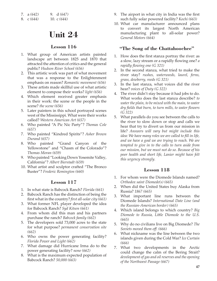| 7. $a(642)$ | 9. $d(647)$  |
|-------------|--------------|
| 8. $c(644)$ | 10. $c(644)$ |

# **Unit 24**

#### **Lesson 116**

- 1. What group of American artists painted landscape art between 1825 and 1870 that attracted the attention of critics and the general public? *Hudson River School (656)*
- 2. This artistic work was part of what movement that was a response to the Enlightenment emphasis on reason? *Romantic movement (656)*
- 3. These artists made skillful use of what artistic element to compose their works? *light (656)*
- 4. Which element received greater emphasis in their work: the scene or the people in the scene? *the scene (656)*
- 5. Later painters in this school portrayed scenes west of the Mississippi. What were their works called? *Western American Art (657)*
- 6. Who painted "A Pic Nic Party"? *Thomas Cole (657)*
- 7. Who painted "Kindred Spirits"? *Asher Brown Durand (657)*
- 8. Who painted "Grand Canyon of the Yellowstone" and "Chasm of the Colorado"? *Thomas Moran (659)*
- 9. Who painted "Looking Down Yosemite Valley, California"? *Albert Bierstadt (659)*
- 10. What artist and sculptor crafted "The Bronco Buster"? *Frederic Remington (660)*

#### **Lesson 117**

- 1. In what state is Babcock Ranch? *Florida (661)*
- 2. Babcock Ranch has the distinction of being the first what in the country? *first all-solar city (661)*
- 3. What former NFL player developed the idea for Babcock Ranch? *Syd Kitsen (661)*
- 4. From whom did this man and his partners purchase the ranch? *Babcock family (662)*
- 5. The developers sold 73,000 acres to the state for what purpose? *permanent conservation site (662)*
- 6. Who owns the power generating facility? *Florida Power and Light (662)*
- 7. What damage did Hurricane Irma do to the power generating facility? *none (662)*
- 8. What is the maximum expected population of Babcock Ranch? *50,000 (663)*
- 9. The airport in what city in India was the first such fully solar powered facility? *Kochi (663)*
- 10. What car manufacturer announced plans to convert its largest North American manufacturing plant to all-solar power? *General Motors (664)*

### **"The Song of the Chattahoochee"**

- 1. How does the first stanza portray the river: as a slow, lazy stream or a rapidly flowing one? *a rapidly flowing one (G 321)*
- 2. In the second stanza, what tried to make the river stay? *rushes, waterweeds, laurel, ferns, grass, dewberry, reeds (G 321)*
- 3. In the last stanza, what voices did the river hear? *voices of Duty (G 322)*
- 4. The river didn't stay because it had jobs to do. What works does the last stanza describe? *to water the plain, to be mixed with the main, to water dry fields that burn, to turn mills, to water flowers (G 322)*
- 5. What parallels do you see between the calls to the river to slow down or stop and calls we hear that try to divert us from our mission in life? *Answers will vary but might include this idea: We have many roles we are called to fill in life, and we have a goal we are trying to reach. We are tempted to give in to the calls to turn aside from our mission, but we must not do so. Because of his poor health and short life, Lanier might have felt this urgency strongly.*

- 1. For whom were the Diomede Islands named? *Orthodox saint Diomede(s) (665)*
- 2. When did the United States buy Alaska from Russia? *1867 (665)*
- 3. What important line runs between the Diomede Islands? *International Date Line (and the Russian-American border) (665)*
- 4. Which island belongs to which country? *Big Diomede to Russia, Little Diomede to the U.S. (665)*
- 5. Why do no civilians live on Big Diomede? *The Soviets moved them off. (666)*
- 6. What nickname was the line between the two islands given during the Cold War? *Ice Curtain (666)*
- 7. What two developments in the Arctic could change the calm of the Bering Strait? *development of gas and oil reserves and the opening of the Northwest Passage (667)*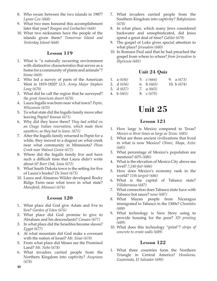- 8. Who swam between the two islands in 1987? *Lynne Cox (668)*
- 9. What two men honored this accomplishment later that year? *Reagan and Gorbachev (668)*
- 10. What two nicknames have the people of the islands given them? *Tomorrow Island and Yesterday Island (668)*

- 1. What is "a naturally occurring environment with distinctive characteristics that serves as a home for a community of plants and animals"? *biome (669)*
- 2. Who led a survey of parts of the American West in 1819-1820? *U.S. Army Major Stephen Long (670)*
- 3. What did he call the region that he surveyed? *the great American desert (670)*
- 4. Laura Ingalls was born near what town? *Pepin, WIsconsin (670)*
- 5. To what state did the Ingalls family move after leaving Pepin? *Kansas (671)*
- 6. Why did they leave there? *They had settled on an Osage Indian reservation, which made them squatters; so they had to leave. (671)*
- 7. After the Ingalls family returned to Pepin for a while, they moved to a dugout on what creek near what community in Minnesota? *Plum Creek near Walnut Grove (672)*
- 8. Where did the Ingalls family live and have such a difficult time that Laura didn't write about it? *Burr Oak, Iowa (672)*
- 9. What South Dakota town is the setting for five of Laura's books? *De Smet (673)*
- 10. Laura and Almanzo Wilder developed Rocky Ridge Farm near what town in what state? *Mansfield, Missouri (674)*

## **Lesson 120**

- 1. What place did God give Adam and Eve to live? *Garden of Eden (676)*
- 2. What place did God promise to give to Abraham and his descendants? *Canaan (677)*
- 3. In what place did the Israelites become slaves? *Egypt (677)*
- 4. At what mountain did God make a covenant with the nation of Israel? *Mt. Sinai (678)*
- 5. From what place did Moses see the Promised Land? *Mt. Nebo (678)*
- 6. What invaders carried people from the Northern Kingdom into captivity? *Assyrians (678)*
- 7. What invaders carried people from the Southern Kingdom into captivity? *Babylonians (678)*
- 8. In what place, which many Jews considered backwater and unsophisticated, did Jesus spend a great deal of time? *Galilee (679)*
- 9. The gospel of Luke gives special attention to what place? *Jerusalem (680)*
- 10. In Romans Paul said that he had preached the gospel from where to where? *from Jerusalem to Illyricum (681)*

# **Unit 24 Quiz**

| 1. $a(656)$  | 5. $\mathcal{C}(664)$ | 9. $a(673)$   |
|--------------|-----------------------|---------------|
| 2. d $(656)$ | 6. b $(665)$          | 10. b $(674)$ |
| 3. $d(657)$  | 7. a $(665)$          |               |
| 4. b $(661)$ | 8. $\mathcal{C}(670)$ |               |

# **Unit 25**

## **Lesson 121**

- 1. How large is Mexico compared to Texas? *Mexico is three times as large as Texas. (685)*
- 2. What are three ancient civilizations that lived in what is now Mexico? *Olmec, Maya, Aztec (685)*
- 3. What percentage of Mexico's population are mestizos? *60% (686)*
- 4. What is the elevation of Mexico City above sea level? *7,240 feet (686)*
- 5. How does Mexico's economy rank in the world? *11th largest (686)*
- 6. What is the capital of Tabasco state? *Villahermosa (687)*
- 7. What connection does Tabasco state have with Tabasco hot sauce? *none (687)*
- 8. What Mayan people from Nicaragua immigrated to Tabasco in the 1300s? *Chontales (688)*
- 9. What technology is New Story using to provide housing for the poor? *3D printing (689)*
- 10. What does this technology "print"? *strips of concrete to create walls (689)*

## **Lesson 122**

1. What three countries form the Northern Triangle in Central America? *Honduras, Guatemala, El Salvador (690)*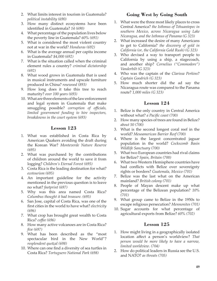- 2. What limits interest in tourism in Guatemala? *political instability (690)*
- 3. How many distinct ecosystems have been identified in Guatemala? *14 (690)*
- 4. What percentage of the population lives below the poverty line in Guatemala? *60% (691)*
- 5. What is considered the most violent country not at war in the world? *Honduras (692)*
- 6. What is the average annual per capita income in Guatemala? *\$4,000 (692)*
- 7. What is the situation called when the criminal element rules a country? *criminal dictatorship (692)*
- 8. What wood grows in Guatemala that is used in musical instruments and upscale furniture produced in China? *rosewood (893)*
- 9. How long does it take this tree to reach maturity? *over 100 years (693)*
- 10. What are three elements of the law enforcement and legal system in Guatemala that make smuggling possible? *corruption of officials, limited government funding to hire inspectors, breakdowns in the court system (693)*

- 1. What was established in Costa Rica by American Quakers avoiding the draft during the Korean War? *Monteverde Nature Reserve (695)*
- 2. What was purchased by the contributions of children around the world to save it from logging? *Children's Eternal Forest (695)*
- 3. Costa Rica is the leading destination for what? *ecotourism (695)*
- 4. An important guideline for the activity mentioned in the previous question is to leave no what? *footprint (697)*
- 5. Why was this area named Costa Rica? *Columbus thought it had treasure. (695)*
- 6. San Jose, capital of Costa Rica, was one of the first cities in the world to have what? *electricity (696)*
- 7. What crop has brought great wealth to Costa Rica? *coffee (696)*
- 8. How many active volcanoes are in Costa Rica? *five (697)*
- 9. What has been described as the "most spectacular bird in the New World"? *resplendent quetzal (698)*
- 10. Where can one find a diversity of sea turtles in Costa Rica? *Tortuguero National Park (698)*

## **Going West by Going South**

- 1. What were the three most likely places to cross Central America? *the Isthmus of Tehuantepec in southern Mexico, across Nicaragua using Lake Nicaragua, and the Isthmus of Panama (G 323)*
- 2. What increased the desire of many Americans to get to California? *the discovery of gold in California (or, the California Gold Rush) (G 323)*
- 3. Who devised a way to transport people to California by using a ship, a stagecoach, and another ship? *Cornelius ("Commodore") Vanderbilt (G 323)*
- 4. Who was the captain of the *Clarissa Perkins*? *Captain Goodrich (G 323)*
- 5. How much shorter did the ad say the Nicaragua route was compared to the Panama route? *1,000 miles (G 323)*

## **Lesson 124**

- 1. Belize is the only country in Central America without what? *a Pacific coast (700)*
- 2. How many species of trees are found in Belize? *about 50 (700)*
- 3. What is the second longest coral reef in the world? *Mesoamerican Barrier Reef (700)*
- 4. Where is the largest concentrated jaguar population in the world? *Cockscomb Basin Wildlife Sanctuary (700)*
- 5. What two European countries had rival claims for Belize? *Spain, Britain (700)*
- 6. What two Western Hemisphere countries have had conflicts with Belize over sovereignty rights or borders? *Guatemala, Mexico (701)*
- 7. Belize was the last what on the American mainland? *British colony (701)*
- 8. People of Mayan descent make up what percentage of the Belizean population? *10% (701)*
- 9. What group came to Belize in the 1950s to escape religious persecution? *Mennonites (701)*
- 10. Sugar accounts for what percentage of agricultural exports from Belize? *60% (702)*

- 1. How might living in a geographically isolated location affect a person's worldview? *That person would be more likely to have a narrow, limited worldview. (704)*
- 2. How do political leaders in Russia see the U.S. and NATO? *as threats (705)*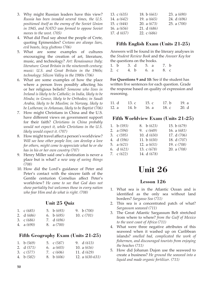- 3. Why might Russian leaders have this view? *Russia has been invaded several times, the U.S. positioned itself as the enemy of the Soviet Union in 1945, and NATO was formed to oppose Soviet moves to the west. (705)*
- 4. What did Paul say about the people of Crete, quoting Epimenides? *Cretans are always liars, evil beasts, lazy gluttons (706)*
- 5. What are some examples of cultures encouraging the creation of art, literature, music, and technology? *Art: Renaissance Italy; literature: Great Britain in the nineteenth century; music: U.S. and Great Britain in the 1960s; technology: Silicon Valley in the 1980s (706)*
- 6. What are some examples of how the place where a person lives possibly affecting his or her religious beliefs? *Someone who lives in Ireland is likely to be Catholic; in India, likely to be Hindu; in Greece, likely to be Orthodox; in Saudi Arabia, likely to be Muslim; in Norway, likely to be Lutheran; in Arkansas, likely to be Baptist (706)*
- 7. How might Christians in China and the U.S. have different views on government support for their faith? *Christians in China probably would not expect it, while Christians in the U.S. likely would expect it. (707)*
- 8. How might travel affect a person's worldview? *Will see how other people live, can develop a love for others, might come to appreciate what he or she has in his or her own country (707)*
- 9. Henry Miller said one's destination is never a place but is what? *a new way of seeing things (708)*
- 10. How did the Lord's guidance of Peter and Peter's contact with the sincere faith of the Gentile centurion Cornelius affect Peter's worldview? *He came to see that God does not show partiality but welcomes those in every nation who fear Him and do what is right. (708)*

## **Unit 25 Quiz**

| 1. $\int (685)$ | 5. b $(693)$ | 9. b $(700)$  |
|-----------------|--------------|---------------|
| 2. d (686)      | 6. b $(695)$ | 10. c $(701)$ |
| 3. c (686)      | 7. d (696)   |               |
| 4. a $(690)$    | 8. a $(700)$ |               |

## **Fifth Geography Exam (Units 21-25)**

| 1. b $(569)$ | 5. $c(587)$     | 9. $d(613)$       |
|--------------|-----------------|-------------------|
| 2. $d(571)$  | 6. $a(603)$     | 10. a $(616)$     |
| 3. $c(577)$  | 7. $\int$ (606) | 11. $d(629)$      |
| 4. b $(582)$ | 8. b $(606)$    | 12. a $(630-631)$ |
|              |                 |                   |

| 13. c $(635)$ | 18. b $(661)$ | 23. a $(690)$ |
|---------------|---------------|---------------|
| 14. a $(642)$ | 19. a $(665)$ | 24. d (696)   |
| 15. c $(644)$ | 20. a $(673)$ | 25. a $(700)$ |
| 16. a $(656)$ | 21. $d(686)$  |               |
| 17. $d(657)$  | 22. $c(686)$  |               |

## **Fifth English Exam (Units 21-25)**

Answers will be found in the literary analyses in the *Student Review Book* and the *Answer Key* for the questions on the books.

| 1. b |  | 3. d 5. a |      | 7. b |  |
|------|--|-----------|------|------|--|
| 2. c |  | 4. b      | 6. a | 8. c |  |

**For Questions 9 and 10:** See if the student has written five sentences for each question. Grade the response based on quality of expression and reasoning.

| 11. d | 13. с | 15. c | 17. $b$ | 19. a |
|-------|-------|-------|---------|-------|
| 12. a | 14. b | 16. a | 18. c   | 20. d |

## **Fifth Worldview Exam (Units 21-25)**

| 1. b $(593)$ | 8. b $(623)$  | 15. b $(679)$ |
|--------------|---------------|---------------|
| 2. $a(594)$  | 9. $c(649)$   | 16. a $(681)$ |
| 3. $c(595)$  | 10. $d(650)$  | 17. d (706)   |
| 4. $d(596)$  | 11. b $(650)$ | 18. d (707)   |
| 5. $a(621)$  | 12. a $(651)$ | 19. c (708)   |
| 6. $d(621)$  | 13. $c(678)$  | 20. a $(708)$ |
| 7. $c(622)$  | 14. d (678)   |               |

# **Unit 26**

- 1. What sea is in the Atlantic Ocean and is identified as the only sea without land borders? *Sargasso Sea (711)*
- 2. This sea is a concentrated patch of what? *Sargassum seaweed (711)*
- 3. The Great Atlantic Sargassum Belt stretched from where to where? *from the Gulf of Mexico to the west coast of Africa (711)*
- 4. What were three negative attributes of this seaweed when it washed up on Caribbean islands? *smelled bad, complicated the work of fishermen, and discouraged tourists from enjoying the beaches (711)*
- 5. How did Johanan Dujon use the seaweed to create a business? *He ground the seaweed into a liquid and made organic fertilizer. (711)*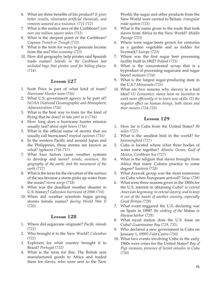- 6. What are three benefits of his product? *It gives better results, eliminates artificial chemicals, and removes seaweed as a nuisance. (711-712)*
- 7. What is the surface area of the Caribbean? *just over one million square miles (712)*
- 8. What is the deepest point of the Caribbean? *Cayman Trench or Trough (712)*
- 9. What is the term for ways to generate income from the sea? *blue economy (713)*
- 10. How did geography help pirates raid Spanish trade routes? *Islands in the Caribbean had secluded bays that pirates used for hiding places. (714)*

- 1. Scott Price is part of what kind of team? *Hurricane Hunter team (716)*
- 2. What U.S. government agency is he part of? *NOAA (National Oceanographic and Atmospheric Administration (716)*
- 3. What is the best way to train for the kind of flying that he does? *to take part in it (716)*
- 4. How long does a hurricane hunter mission usually last? *about eight hours (716)*
- 5. What is the official name of storms that we usually call hurricanes? *tropical cyclones (716)*
- 6. In the western Pacific and around Japan and the Philippines, these storms are known as what? *typhoons (716-717)*
- 7. What four factors cause weather systems to develop and move? *winds, moisture, the geography of the earth, and the movement of the earth (717)*
- 8. What is the term for the elevation of the surface of the sea because a storm picks up water from the ocean? *storm surge (718)*
- 9. What was the deadliest weather disaster in U.S. history? *Galveston hurricane of 1900 (718)*
- 10. When did weather scientists begin giving storms female names? *during World War II (720)*

#### **Lesson 128**

- 1. Where did sugarcane originate? *Pacific islands (722)*
- 2. Who brought it to the New World? *Columbus (722)*
- 3. Explorers for what country brought it to Brazil? *Portugal (722)*
- 4. What is the term for this: The British sent manufactured goods to Africa and traded them for slaves, who were sent to the New

World; thn sugar and other products from the New World were carried to Britain. *triangular trade system (723)*

- 5. What is the name given to the route that took slaves from Africa to the New World? *Middle Passage (723)*
- 6. Where were sugar beets grown for centuries as a garden vegetable and as fodder for livestock? *Europe (723)*
- 7. Where was the first sugar beet processing facility built in 1802? *Poland (723)*
- 8. What is the concentrated syrup that is a byproduct of processing sugarcane and sugar beets? *molasses (724)*
- 9. What is the largest sugar-producing state in the U.S.? *Minnesota (725)*
- 10. What are two reasons why slavery is a bad idea? *(1) Economics: slaves have no incentive to work more efficiently or to learn new skills; (2) the negative effect on human beings, both slaves and their owners (724-725)*

- 1. How far is Cuba from the United States? *90 miles (727)*
- 2. What is the smallest bird in the world? *bee hummingbird (727)*
- 3. Cuba is located where what three bodies of water come together? *Atlantic Ocean, Gulf of Mexico, Caribbean Sea (727)*
- 4. What is the religion that slaves brought from Africa that many Cubans practice to some degree? *Santeria (728)*
- 5. What Arawak group was the most numerous on Cuba when Europeans arrived? *Taino (728)*
- 6. What were three reasons given in the 1800s for the U.S. interest in obtaining Cuba? *to extend American hegemony; to extend slavery; and to keep it out of the hands of another country, especially Great Britain (729)*
- 7. What event triggered the U.S. declaring war on Spain in 1898? *the sinking of the* Maine *in Havana harbor (729)*
- 8. What naval station does the U.S. lease on Cuba? *Guantanamo Bay (729, 731)*
- 9. Who declared a new government in Cuba on January 1, 1959? *Fidel Castro (730)*
- 10. What two events involving Cuba in the early 1960s were crises for the United States? *Bay of Pigs invasion, presence of Soviet missiles in Cuba (730)*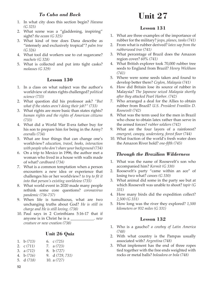## *To Cuba and Back*

- 1. In what city does this section begin? *Havana (G 325)*
- 2. What scene was a "gladdening, inspiring" sight? *the ocean (G 325)*
- 3. What kind of tree does Dana describe as "intensely and exclusively tropical"? *palm tree (G 326)*
- 4. What tool did workers use to cut sugarcane? *machete (G 328)*
- 5. What is collected and put into tight casks? *molasses (G 329)*

#### **Lesson 130**

- 1. In a class on what subject was the author's worldview of states rights challenged? *political science (733)*
- 2. What question did his professor ask? *"But what if the states aren't doing their job?" (733)*
- 3. What rights are more basic than states rights? *human rights and the rights of American citizens (733)*
- 4. What did a World War II-era father buy for his son to prepare him for being in the Army? *overalls (734)*
- 5. What are four things that can change one's worldview? *education, travel, books, interaction with people who don't share your background (734)*
- 6. On a trip to Mexico in 1996, the author met a woman who lived in a house with walls made of what? *cardboard (734)*
- 7. What is a common temptation when a person encounters a new idea or experience that challenges his or her worldview? *to try to fit it into that person's existing worldview (735)*
- 8. What world event in 2020 made many people rethink some core questions? *coronavirus pandemic (736-737)*
- 9. When life is tumultuous, what are two unchanging truths about God? *He is still in charge and He is still loving. (738)*
- 10. Paul says in 2 Corinthians 5:16-17 that if anyone is in Christ he is a \_\_\_\_\_\_\_\_\_\_\_\_. *new creature or new creation (738)*

## **Unit 26 Quiz**

- 1. b *(713)* 6. c *(725)*
- 2. c *(711)* 7. a *(723)*
- 3. a *(712)* 8. b *(727)*
- 4. b *(716)* 9. d *(729, 731)*
- 5. d *(718)* 10. a *(727)*

# **Unit 27**

## **Lesson 131**

- 1. What are three examples of the importance of rubber for the military? *jeeps, planes, tanks (741)*
- 2. From what is rubber derived? *latex sap from the rubberwood tree (741)*
- 3. What percentage of Brazil does the Amazon region cover? *60% (741)*
- 4. What British explorer took 70,000 rubber tree seeds to England from Brazil? *Henry Wickham (741)*
- 5. Where were some seeds taken and found to develop better there? *Ceylon, Malaysia (741)*
- 6. How did Britain lose its source of rubber in Malaysia? *The Japanese seized Malaysia shortly after they attacked Pearl Harbor. (742)*
- 7. Who arranged a deal for the Allies to obtain rubber from Brazil? *U.S. President Franklin D. Roosevelt (742)*
- 8. What was the term used for the men in Brazil who chose to obtain latex rather than serve in the armed forces? *rubber soldiers (742)*
- 9. What are the four layers of a rainforest? *emergent, canopy, understory, forest floor (744)*
- 10. What fraction of the world's fresh water does the Amazon River hold? *one-fifth (745)*

## *Through the Brazilian Wilderness*

- 1. What was the name of Roosevelt's son who accompanied him? *Kermit (G 330)*
- 2. Roosevelt's party "came within an ace" of losing two what? *canoes (G 330)*
- 3. What animal did some in the party see but at which Roosevelt was unable to shoot? *tapir (G 331)*
- 4. How many birds did the expedition collect? *2,500 (G 331)*
- 5. How long was the river they explored? *1,500 kilometers or 932 miles (G 331)*

- 1. Who is a gaucho? *a cowboy of Latin America (748)*
- 2. With what country is the Pampas usually associated with? *Argentina (748)*
- 3. What implement has the end of three ropes tied together with the free ends weighted with rocks or metal balls? *boleadora or bola (748)*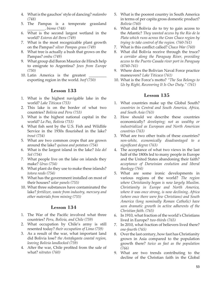- 4. What is the gauchos' style of dancing? *malambo (748)*
- 5. The Pampas is a temperate grassland \_\_\_\_\_\_\_\_\_. *biome (748)*
- 6. What is the second largest wetland in the world? *Esteros del Ibera (749)*
- 7. What is the most recognizable plant growth on the Pampas? *silver Pampas grass (749)*
- 8. What tree is actually a bush that grows on the Pampas? *ombu (749)*
- 9. What group did Baron Maurice de Hirsch help to emigrate to Argentina? *Jews from Europe (750)*
- 10. Latin America is the greatest exporting region in the world. *beef (750)*

- 1. What is the highest navigable lake in the world? *Lake Titicaca (753)*
- 2. This lake is on the border of what two countries? *Bolivia and Peru (753)*
- 3. What is the highest national capital in the world? *La Paz, Bolivia (753)*
- 4. What fish sent by the U.S. Fish and Wildlife Service in the 1930s flourished in the lake? *trout (754)*
- 5. What are two common crops that are grown around the lake? *quinoa and potatoes (754)*
- 6. What is the largest island in the lake? *Isla del Sol (754)*
- 7. What people live on the lake on islands they make? *Urus (754)*
- 8. What plant do they use to make these islands? *totora reeds (754)*
- 9. What has the government installed on most of their houses? *solar panels (755)*
- 10. What three substances have contaminated the lake? *fertilizer, waste from industry, mercury and other materials from mining (755)*

## **Lesson 134**

- 1. The War of the Pacific involved what three countries? *Peru, Bolivia, and Chile (759)*
- 2. What occupation by Chile's army is still resented today? *their occupation of Lima (759)*
- 3. As a result of the war, what important land did Bolivia lose? *the Antofagasta coastal region, leaving Bolivia landlocked (759)*
- 4. After the war, Chile profited from the sale of what? *nitrates (760)*
- 5. What is the poorest country in South America in terms of per capita gross domestic product? *Bolivia (760)*
- 6. What did Bolivia do to try to gain access to the Atlantic? *They wanted access by the Rio de la Plata which runs across the Gran Chaco region by trying to take control of the region. (760-761)*
- 7. What is this conflict called? *Chaco War (760)*
- 8. What did Bolivia receive through the truce? *a corridor along the Paraguay River, providing access to the Puerto Casada river port in Paraguay (8760-761)*
- 9. Where does the Bolivian Naval Force practice maneuvers? *Lake Titicaca (761)*
- 10. What is the Force's motto? *"The Sea Belongs to Us by Right, Recovering It Is Our Duty." (761)*

- 1. What countries make up the Global South? *countries in Central and South America, Africa, and South Asia (763)*
- 2. How should we describe these countries economically? *developing; not as wealthy or industrialized as European and North American countries (763)*
- 3. What are two other traits of these countries? *non-white, economically disadvantaged to a significant degree (763)*
- 4. The acceptance of what two views in the last half of the 1800s led to many people in Europe and the United States abandoning their faith? *acceptance of Darwinian evolution and liberal theology (764)*
- 5. What are some ironic developments in various regions of the world? *The region where Christianity began is now largely Muslim. Christianity in Europe and North America, where it was once strong, is now declining. Africa (where once there were few Christians) and South America (long nominally Roman Catholic) have seen dramatic growth in active adherents of the Christian faith. (765)*
- 6. In 1910, what fraction of the world's Christians lived in Europe? *two-thirds (765)*
- 7. In 2010, what fraction of believers lived there? *one-fourth (765)*
- 8. Over the last century, how fast has Christianity grown in Asia compared to the population growth there? *twice as fast as the population (766)*
- 9. What are two trends contributing to the decline of the Christian faith in the Global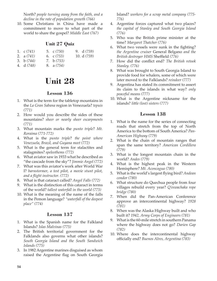North? *people turning away from the faith, and a decline in the rate of population growth (766)*

10. Some Christians in China have made a commitment to move to what part of the world to share the gospel? *Middle East (767)*

#### **Unit 27 Quiz**

| 1. $c(741)$ | 5. $c(750)$ | 9. $d(759)$  |
|-------------|-------------|--------------|
| 2. $a(741)$ | 6. $c(753)$ | 10. $d(759)$ |

- 3. b *(744)* 7. b *(753)*
- 4. d *(748)* 8. a *(754)*

# **Unit 28**

## **Lesson 136**

- 1. What is the term for the tabletop mountains in the *La Gran Sabana* region in Venezuela? *tepuis (771)*
- 2. How would you describe the sides of these mountains? *sheer or nearly sheer escarpments (771)*
- 3. What mountain marks the *punto triple*? *Mt. Roraima (771-772)*
- 4. What is the *punto triple*? *the point where Venezuela, Brazil, and Guyana meet (772)*
- 5. What is the general term for stalactites and stalagmites? *speleothems (772)*
- 6. What aviator saw in 1933 what he described as "the cascade from the sky"? *Jimmie Angel (772)*
- 7. What was this aviator's work after World War I? *barnstormer, a test pilot, a movie stunt pilot, and a flight instructor. (772)*
- 8. What is that cataract called? *Angel Falls (772)*
- 9. What is the distinction of this cataract in terms of the world? *tallest waterfall in the world (773)*
- 10. What is the meaning of the name of the falls in the Pemon language? *"waterfall of the deepest place" (774)*

## **Lesson 137**

- 1. What is the Spanish name for the Falkland Islands? *Islas Malvinas (775)*
- 2. The British territorial government for the Falklands also governs what other islands? *South Georgia Island and the South Sandwich Islands (775)*
- 3. In 1982 Argentine marines disguised as whom raised the Argentine flag on South Georgia

Island? *workers for a scrap metal company (775- 776)*

- 4. Argentine forces captured what two places? *the capital of Stanley and South Georgia Island (776)*
- 5. Who was the British prime minister at the time? *Margaret Thatcher (776)*
- 6. What two vessels were sunk in the fighting? *the Argentine cruiser* General Belgano *and the British destroyer HMS* Sheffield *(776)*
- 7. How did the conflict end? *The British retook Stanley. (776)*
- 8. What was brought to South Georgia Island to provide food for whalers, some of which were later moved to the Falklands? *reindeer (777)*
- 9. Argentina has stated its commitment to assert its claim to the islands in what way? *only peaceful means (777)*
- 10. What is the Argentine nickname for the islands? *little (lost) sisters (777)*

- 1. What is the name for the series of connecting roads that stretch from the top of North America to the bottom of South America? *Pan-American Highway (779)*
- 2. What is the chain of mountain ranges that span the same territory? *American Cordillera (779)*
- 3. What is the longest mountain chain in the world? *Andes (779)*
- 4. What is the highest peak in the Western Hemisphere? *Mt. Aconcagua (780)*
- 5. What is the world's largest flying bird? *Andean condor (780)*
- 6. What structure do Quechua people from four villages rebuild every year? *Q'eswachaka rope bridge (780)*
- 7. When did the Pan-American Conference approve an intercontinental highway? *1928 (781)*
- 8. When was the Alaska Highway built and who built it? *1942, Army Corps of Engineers (781)*
- 9. What is the 60-mile stretch in southern Panama where the highway does not go? *Darien Gap (782)*
- 10. Where does the intercontinental highway officially end? *Buenos AIres, Argentina (783)*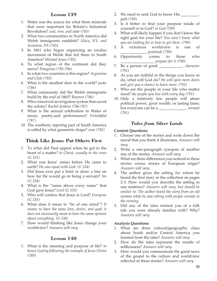- 1. Wales was the source for what three minerals that were important for Britain's Industrial Revolution? *coal, iron, and slate (785)*
- 2. What two communities in North America did Welsh immigrants establish? *Utica, NY, and Scranton, PA (785)*
- 3. In 1861 who began organizing an exodus movement of Welsh that led them to South America? *Michael Jones (785)*
- 4. To what region of the continent did they move? *Patagonia (785-786)*
- 5. In what two countries is this region? *Argentina and Chile (785)*
- 6. What is the smallest deer in the world? *pudu (786)*
- 7. What community did the Welsh immigrants build by the end of 1865? *Rawson (786)*
- 8. Who conceived an irrigation system that saved the colony? *Rachel Jenkins (786-787)*
- 9. What is the annual celebration in Wales of music, poetry,and performance? *Eisteddfod (787)*
- 10. The southern, tapering part of South America is called by what geometric shape? *cone (785)*

## **Think Like Jesus: Put Others First**

- 1. To what did Paul appeal when he got to the heart of a matter? *to Christ, usually to the cross (G 332)*
- 2. What was Jesus' status before He came to earth? *He was equal with God. (G 334)*
- 3. Did Jesus ever put a limit or draw a line on how far He would go in being a servant? *No (G 334)*
- 4. What is the "name above every name" that God gave Jesus? *Lord (G 335)*
- 5. Who will confess that Jesus is Lord? *Everyone (G 335)*
- 6. What does it mean to "be of one mind"? *It means to have the same love, desire, and goal; it does not necessarily mean to have the same opinion about everything. (G 338)*
- 7. How would thinking like Jesus change your worldview? *Answers will vary.*

#### **Lesson 140**

1. What is the meaning and purpose of life? *to honor God by following the example of Jesus Christ (789)*

- 2. We need to seek God to know His \_\_\_\_\_\_\_\_\_. *path (789)*
- 3. Is it better to find your purpose inside of yourself or in God? *in God (789)*
- 4. What will likely happen if you don't know the right goal for your life? *You won't know what you are looking for or how to get there. (790)*
- 5. A victorious worldview is one of \_\_\_\_\_\_\_\_\_\_\_\_\_. *gratitude (790)*
- 6. Opportunity comes to those who \_\_\_\_\_\_\_\_\_\_\_\_\_\_\_\_\_. *prepare for it (790)*
- 7. Be a person of good \_\_\_\_\_\_\_\_\_\_\_\_. *character (791)*
- 8. As you are faithful in the things you know to do, what will God do? *He will open more doors and give you a chance to learn more. (791)*
- 9. Who are the people in your life who matter most? *the people you live with every day (791)*
- 10. Only a relatively few people will attain political power, great wealth, or lasting fame; but everyone can be a \_\_\_\_\_\_\_\_\_\_\_\_\_\_. *servant (791)*

## *Tales from Silver Lands*

#### **Content Questions**

- 1. Choose one of the stories and write down the moral that you think it illustrates. *Answers will vary.*
- 2. Write a one-paragraph synopsis of another one of the stories. *Answers will vary.*
- 3. What are three differences you noticed in these stories versus stories of European origin? *Answers will vary.*
- 4. The author gives the setting for where he heard the first story in the collection on pages 2-3. How would you describe the setting in one sentence? *Answers will vary, but should be similar to: The author heard the story from an old woman while he was sitting with people outside in the evening.*
- 5. Did any of the tales remind you of a folk tale you were already familiar with? Why? *Answers will vary.*

#### **Analysis Questions**

- 1. What are three cultural/geographic clues about South and/or Central America you learned from the tales? *Answers will vary.*
- 2. How do the tales represent the results of selflessness? *Answers will vary.*
- 3. How would you communicate the good news of the gospel to the culture and worldview reflected in these stories? *Answers will vary.*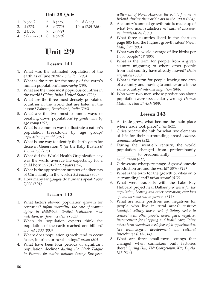## **Unit 28 Quiz**

| 1. $b(771)$               | 5. b $(775)$ | 9. d (785)          |
|---------------------------|--------------|---------------------|
| 2. $d(773)$               | 6. c $(779)$ | 10. a $(785 - 786)$ |
| 3. $d(775)$ 7. $c(779)$   |              |                     |
| 4. $c(775-776)$ 8. a(779) |              |                     |

# **Unit 29**

## **Lesson 141**

- 1. What was the estimated population of the earth as of June 2020? *7.8 billion (795)*
- 2. What is the term for the study of the earth's human population? *demography (795)*
- 3. What are the three most populous countries in the world? *China, India, United States (796)*
- 4. What are the three most densely populated countries in the world that are listed in the lesson? *Bahrain, Bangladesh, India (796)*
- 5. What are the two most common ways of breaking down population? *by gender and by age group (797)*
- 6. What is a common way to illustrate a nation's population breakdown by age group? *population pyramid (797)*
- 7. What is one way to identify the birth years for those in Generation X (or the Baby Busters)? *1965-1980 (798)*
- 8. What did the World Health Organization say was the world average life expectancy for a child born in 2017? *72.2 years (798)*
- 9. What is the approximate number of adherents of Christianity in the world? *2.3 billion (800)*
- 10. How many languages do humans speak? *over 7,000 (801)*

## **Lesson 142**

- 1. What factors slowed population growth for centuries? *infant mortality, the rate of women dying in childbirth, limited healthcare, poor nutrition, warfare, accidents (803)*
- 2. When do population experts think the population of the earth reached one billion? *around 1800 (803)*
- 3. Where does population growth tend to occur faster, in urban or rural settings? *urban (804)*
- 4. What have been four periods of significant population decline? *during the Black Plague in Europe, for native nations during European*

*settlement of North America, the potato famine in Ireland, during the world wars in the 1900s (804)*

- 5. A country's annual growth rate is made up of what two main statistics? *net natural increase, net immigration (805)*
- 6. What three countries listed in the chart on page 805 had the highest growth rates? *Niger, Mali, Iraq (805)*
- 7. What was the world average of live births per 1,000 people? *18 (805)*
- 8. What is the term for people from a given country migrating to where other people from that country have already moved? *chain migration (806)*
- 9. What is the term for people leaving one area of a country and moving to another area in the same country? *internal migration (806)*
- 10. Who were two men whose predictions about population were spectacularly wrong? *Thomas Malthus, Paul Ehrlich (808)*

- 1. As trade grew, what became the main place where trade took place? *cities (811)*
- 2. Cities became the hub for what two elements of life for their surrounding areas? *culture, communication (812)*
- 3. During the twentieth century, the world population changed from predominantly  $\Box$  to predominantly  $\Box$ . *rural, urban (812)*
- 4. Cities create what percentage of gross domestic production around the world? *80% (812)*
- 5. What is the term for the growth of cities onto surrounding land? *urban sprawl (812)*
- 6. What were tradeoffs with the Lake Ray Hubbard project near Dallas? *pro: water for the population, boating and other recreation; con: loss of land by some cotton farmers (812)*
- 7. What are some positives and negatives for people who live in rural areas? *positive: beautiful setting, lower cost of living, easier to connect with other people, slower pace; negative: inconvenient for shopping and health care; living where farm chemicals used, fewer job opportunities, less technological development and cultural interchange (813-814)*
- 8. What are three small-town settings that changed when carmakers built factories there? *Spring Hill, TN; Georgetown, KY; Tupelo, MS (814)*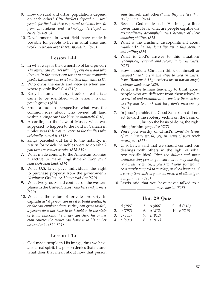- 9. How do rural and urban populations depend on each other? *City dwellers depend on rural people for the food they eat; rural residents benefit from innovations and technology developed in cities (814-815)*
- 10. Developments in what field have made it possible for people to live in rural areas and work in urban areas? *transportation (815)*

- 1. In what ways is the ownership of land power? *The owner can control what happens on it and who lives on it; the owner can use it to create economic goods; the owner can exert political influence. (817)*
- 2. Who owns the earth and decides when and where people live? *God (817)*
- 3. Early in human history, tracts of real estate came to be identified with whom? *certain people groups (818)*
- 4. From a human perspective what was the common idea about who owned all land within a kingdom? *the king (or monarch) (818)*
- 5. According to the Law of Moses, what was supposed to happen to the land in Canaan in jubilee years? *It was to revert to the families who originally owned it. (818)*
- 6. Kings parceled out land to the nobility, in return for which the nobles were to do what? *pay taxes or render service (818-819)*
- 7. What made coming to the American colonies attractive to many Englishmen? *They could own their own land. (819)*
- 8. What U.S. laws gave individuals the right to purchase property from the government? *Northwest Ordinance, Homestead Act (820)*
- 9. What two groups had conflicts on the western plains in the United States? *ranchers and farmers (820)*
- 10. What is the value of private property in capitalism? *A person can use it to build wealth; he or she can employ others so they can grow wealth; a person does not have to be beholden to the state or to bureaucrats; the owner can chart his or her own course; the owner can leave it to his or her descendants. (820-821)*

## **Lesson 145**

1. God made people in His image; thus we have an eternal spirit. If a person denies that nature, what does that mean about how that person sees himself and others? *that they are less than truly human (824)*

- 2. Because God made us in His image, a little lower than He is, what are people capable of? *extraordinary accomplishments because of their amazing abilities (825)*
- 3. What is the crushing disappointment about mankind? *that we don't live up to this identity and calling (825)*
- 4. What is God's answer to this situation? *redemption, renewal, and reconciliation in Christ (825)*
- 5. How should a Christian think of himself or herself? *dead to sin and alive to God in Christ Jesus (Romans 6:11); neither a worm nor an angel; a sinner made new (825)*
- 6. What is the human tendency to think about people who are different from themselves? *to be critical and prejudiced; to consider them as less worthy and to think that they don't measure up (826)*
- 7. In Jesus' parable, the Good Samaritan did not act toward the robbery victim on the basis of  $\cup$  but on the basis of doing the right thing for him. *prejudice (827)*
- 8. Were you worthy of Christ's love? *In terms of your innate worth, yes; in terms of your track record, no. (827)*
- 9. C. S. Lewis said that we should conduct our dealings with others in the light of what two possibilities? *"that the dullest and most uninteresting person you can talk to may one day be a creature which, if you saw it now, you would be strongly tempted to worship, or else a horror and a corruption such as you now meet, if at all, only in a nightmare" (828)*
- 10. Lewis said that you have never talked to a

\_\_\_\_\_\_\_\_ \_\_\_\_\_\_\_\_\_. *mere mortal (828)*

## **Unit 29 Quiz**

| 1. d (795) | 5. b $(806)$ | 9. $d(818)$   |
|------------|--------------|---------------|
| 2. b (797) | 6. b $(812)$ | 10. c $(819)$ |
| 3. c (803) | 7. $a(812)$  |               |
| 4. a (805) | 8. a (817)   |               |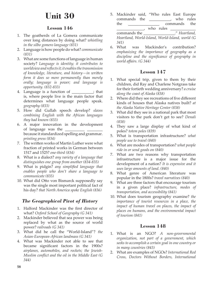# **Unit 30**

## **Lesson 146**

- 1. The goatherds of La Gomera communicate over long distances by doing what? *whistling in the silbo gomero language (831)*
- 2. Language is how people do what? *communicate (831)*
- 3. What are some functions of language in human society? *Language is identity; it contributes to worldview and reflects it; it enables the transmission of knowledge, literature, and history—in written form it does so more permanently than merely orally; language is power; and language is opportunity. (832-833)*
- 4. Language is a function of \_\_\_\_\_\_\_\_\_\_\_; that is, where people live is the main factor that determines what language people speak. *geography (833)*
- 5. How did Gullah speech develop? *slaves combining English with the African languages they had known (833)*
- 6. A major innovation in the development of language was the \_\_\_\_\_\_\_\_\_\_ \_\_\_\_\_\_\_\_ because it standardized spelling and grammar. *printing press (834)*
- 7. The written works of Martin Luther were what fraction of printed works in German between 1517 and 1525? *one-third (834)*
- 8. What is a dialect? *any variety of a language that distinguishes one group from another (834-835)*
- 9. What is pidgin? *any simplified language that enables people who don't share a language to communicate (835)*
- 10. What did Otto von Bismarck supposedly say was the single most important political fact of his day? *that North America spoke English (836)*

# *The Geographical Pivot of History*

- 1. Halford Mackinder was the first director of what? *Oxford School of Geography (G 341)*
- 2. Mackinder believed that sea power was being replaced by what as the source of world power? *railroads (G 341)*
- 3. What did he call the "World-Island"? *the Asian-European-African landmass (G 341)*
- 4. What was Mackinder not able to see that became significant factors in the 1900s? *airplanes, automobiles, and rockets; the Jewish-Muslim conflict and the oil in the Middle East (G 344)*

5. Mackinder said, "Who rules East Europe commands the \_\_\_\_\_\_\_\_\_\_\_, who rules the commands the  $\cup$  who rules

commands the \_\_\_\_\_\_\_\_\_\_\_\_\_\_\_\_." *Heartland, Heartland, World-Island, World-Island, world (G 341)*

6. What was Mackinder's contribution? *emphasizing the importance of geography as a discipline and the significance of geography in world affairs. (G 344)*

# **Lesson 147**

- 1. What special trip, given to them by their children, did Ray and Charlene Notgrass take for their fortieth wedding anniversary? *a cruise along the coast of Alaska (838)*
- 2. Where did they see recreations of five different kinds of houses that Alaska natives built? *at the Alaska Native Heritage Center (838)*
- 3. What did they see in a national park that most visitors to the park don't get to see? *Denali (838)*
- 4. They saw a large display of what kind of poles? *totem poles (839)*
- 5. What is transportation infrastructure? *what people use to travel (840)*
- 6. What are modes of transportation? *what people ride in or send goods on (840)*
- 7. What are two reasons why transportation infrastructure is a major issue for the development of a nation? *It is expensive and it uses large amounts of land*. *(840)*
- 8. What genre of American literature was popular in the 1800s? *travel narratives (840)*
- 9. What are three factors that encourage tourism in a given place? *infrastructure, modes of transportation, and accessibility (841)*
- 10. What does tourism geography examine? *the importance of tourist resources in a place, the impact of human travel on places, the impact of places on humans, and the environmental impact of tourism (841)*

- 1. What is an NGO? *A non-governmental organization, not part of a government, which seeks to accomplish a certain goal in one country or in many countries (843)*
- 2. What are examples of NGOs? *International Red Cross, Doctors Without Borders, International*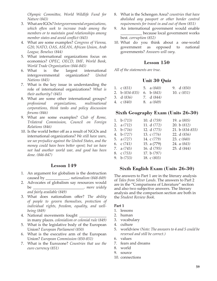*Olympic Committee, World Wildlife Fund for Nature (843)*

- 3. What are IGOs? *Intergovernmental organizations, which often seek to increase trade among the members or to maintain good relationships among member states and avoid conflict (843)*
- 4. What are some examples? *Congress of Vienna, G20, NATO, OAS, ASEAN, African Union, Arab League, Benelux (844)*
- 5. What international organizations focus on economics? *OPEC, OECD, IMF, World Bank, World Trade Organization (844-845)*
- 6. What is the largest international intergovernmental organization? *United Nations (845)*
- 7. What is the key issue in understanding the role of international organizations? *What is their authority? (845)*
- 8. What are some other international groups? *professional organizations, multinational corporations, think tanks and policy discussion forums (846)*
- 9. What are some examples? *Club of Rome, Trilateral Commission, Council on Foreign Relations (846)*
- 10. Is the world better off as a result of NGOs and international organizations? *We still have wars, we see prejudice against the United States, and the money could have been better spent; but we have not had another world war, and good has been done. (846-847)*

## **Lesson 149**

- 1. An argument for globalism is the destruction caused by \_\_\_\_\_\_\_\_\_\_\_\_. *nationalism (848-849)*
- 2. Advocates of globalism say resources would be  $\qquad \qquad$  *more widely*

*and fairly available (849)*

- 3. What does nationalism offer? *The ability of people to govern themselves, protection of individual rights, freedom, equality, and wellbeing (849)*
- 4. National movements fought in many places. *colonialism or colonial rule (849)*
- 5. What is the legislative body of the European Union? *European Parliament (850)*
- 6. What is the executive arm of the European Union? *European Commission (850-851)*
- 7. What is the Eurozone? *Countries that use the euro currency (851)*
- 8. What is the Schengen Area? *countries that have abolished any passport or other border control requirements for travel in and out of them (851)*
- 9. An international government would enable \_\_\_\_\_\_\_\_\_\_\_ because local government works best. *corruption (852)*
- 10. What do you think about a one-world government as opposed to national governments? *Answers will vary.*

## **Lesson 150**

*All of the statements are true.*

## **Unit 30 Quiz**

| 1. $\cos(831)$ 5. $\sin(840)$ |            | 9. $d(850)$   |
|-------------------------------|------------|---------------|
| 2. b $(834-835)$ 6. b $(843)$ |            | 10. c $(851)$ |
| 3. $d(836)$                   | 7. d (844) |               |
| 4. $C(840)$                   | 8. a (849) |               |

## **Sixth Geography Exam (Units 26-30)**

| 1. $b(713)$  | 10. $d(759)$  | 19. a $(805)$       |
|--------------|---------------|---------------------|
| 2. $a(712)$  | 11. d (772)   | 20. b $(812)$       |
| 3. $b(716)$  | 12. d (775)   | 21. b $(834 - 835)$ |
| 4. b $(727)$ | 13. c (776)   | 22. $d(836)$        |
| 5. $a(727)$  | 14. c (779)   | 23. $c(840)$        |
| 6. $c(741)$  | 15. a (779)   | 24. a $(843)$       |
| 7. a $(745)$ | 16. d (795)   | 25. d (844)         |
| 8. $c(753)$  | 17. b $(797)$ |                     |
| 9. b $(753)$ | 18. c (803)   |                     |

## **Sixth English Exam (Units 26-30)**

The answers to Part 1 are in the literary analysis of *Tales from Silver Lands*. The answers to Part 2 are in the "Comparisons of Literature" section and also two subjective answers. The literary analysis and the comparison section are both in the *Student Review Book*.

#### **Part 1**

- 1. lessons
- 2. human
- 3. vocabulary
- 4. culture
- 5. worldview *(Note: The answers to 4 and 5 could be reversed and still be correct.)*
- 6. values
- 7. fears and dreams
- 8. world
- 9. source
- 10. connections